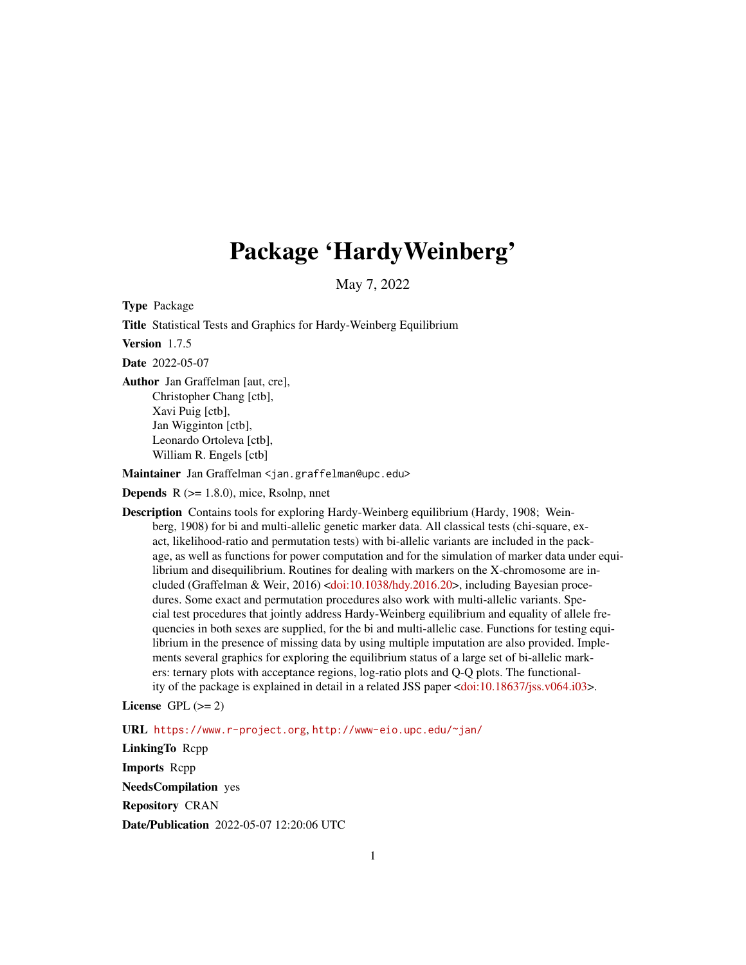# Package 'HardyWeinberg'

May 7, 2022

<span id="page-0-0"></span>Type Package

Title Statistical Tests and Graphics for Hardy-Weinberg Equilibrium

Version 1.7.5

Date 2022-05-07

Author Jan Graffelman [aut, cre], Christopher Chang [ctb], Xavi Puig [ctb], Jan Wigginton [ctb], Leonardo Ortoleva [ctb], William R. Engels [ctb]

Maintainer Jan Graffelman <jan.graffelman@upc.edu>

**Depends**  $R$  ( $>= 1.8.0$ ), mice, Rsolnp, nnet

Description Contains tools for exploring Hardy-Weinberg equilibrium (Hardy, 1908; Weinberg, 1908) for bi and multi-allelic genetic marker data. All classical tests (chi-square, exact, likelihood-ratio and permutation tests) with bi-allelic variants are included in the package, as well as functions for power computation and for the simulation of marker data under equilibrium and disequilibrium. Routines for dealing with markers on the X-chromosome are included (Graffelman & Weir, 2016) [<doi:10.1038/hdy.2016.20>](https://doi.org/10.1038/hdy.2016.20), including Bayesian procedures. Some exact and permutation procedures also work with multi-allelic variants. Special test procedures that jointly address Hardy-Weinberg equilibrium and equality of allele frequencies in both sexes are supplied, for the bi and multi-allelic case. Functions for testing equilibrium in the presence of missing data by using multiple imputation are also provided. Implements several graphics for exploring the equilibrium status of a large set of bi-allelic markers: ternary plots with acceptance regions, log-ratio plots and Q-Q plots. The functionality of the package is explained in detail in a related JSS paper [<doi:10.18637/jss.v064.i03>](https://doi.org/10.18637/jss.v064.i03).

License GPL  $(>= 2)$ 

URL <https://www.r-project.org>, <http://www-eio.upc.edu/~jan/>

LinkingTo Rcpp Imports Rcpp NeedsCompilation yes Repository CRAN Date/Publication 2022-05-07 12:20:06 UTC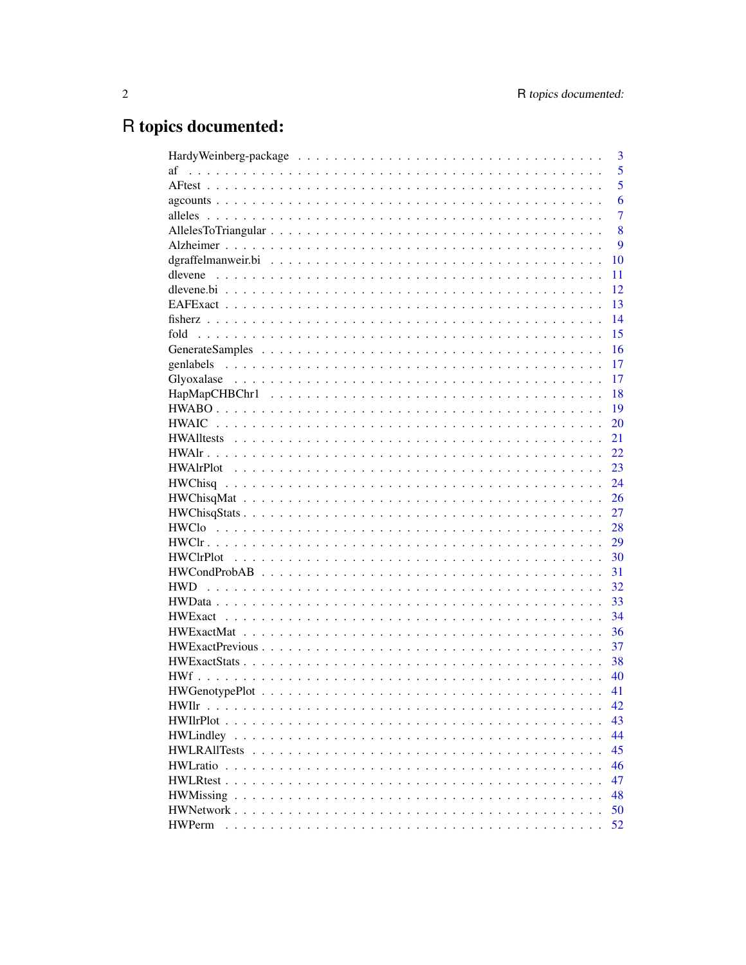# R topics documented:

|                                                                                                           |  |  |  |  |  |  |  |  |  |  |  |  | 3  |
|-----------------------------------------------------------------------------------------------------------|--|--|--|--|--|--|--|--|--|--|--|--|----|
| af                                                                                                        |  |  |  |  |  |  |  |  |  |  |  |  | 5  |
|                                                                                                           |  |  |  |  |  |  |  |  |  |  |  |  | 5  |
|                                                                                                           |  |  |  |  |  |  |  |  |  |  |  |  | 6  |
|                                                                                                           |  |  |  |  |  |  |  |  |  |  |  |  | 7  |
|                                                                                                           |  |  |  |  |  |  |  |  |  |  |  |  | 8  |
|                                                                                                           |  |  |  |  |  |  |  |  |  |  |  |  | 9  |
|                                                                                                           |  |  |  |  |  |  |  |  |  |  |  |  | 10 |
|                                                                                                           |  |  |  |  |  |  |  |  |  |  |  |  | 11 |
|                                                                                                           |  |  |  |  |  |  |  |  |  |  |  |  | 12 |
|                                                                                                           |  |  |  |  |  |  |  |  |  |  |  |  | 13 |
|                                                                                                           |  |  |  |  |  |  |  |  |  |  |  |  | 14 |
| fold                                                                                                      |  |  |  |  |  |  |  |  |  |  |  |  | 15 |
|                                                                                                           |  |  |  |  |  |  |  |  |  |  |  |  | 16 |
| genlabels                                                                                                 |  |  |  |  |  |  |  |  |  |  |  |  | 17 |
|                                                                                                           |  |  |  |  |  |  |  |  |  |  |  |  | 17 |
|                                                                                                           |  |  |  |  |  |  |  |  |  |  |  |  | 18 |
|                                                                                                           |  |  |  |  |  |  |  |  |  |  |  |  | 19 |
| <b>HWAIC</b>                                                                                              |  |  |  |  |  |  |  |  |  |  |  |  | 20 |
|                                                                                                           |  |  |  |  |  |  |  |  |  |  |  |  | 21 |
|                                                                                                           |  |  |  |  |  |  |  |  |  |  |  |  | 22 |
|                                                                                                           |  |  |  |  |  |  |  |  |  |  |  |  | 23 |
|                                                                                                           |  |  |  |  |  |  |  |  |  |  |  |  | 24 |
|                                                                                                           |  |  |  |  |  |  |  |  |  |  |  |  | 26 |
| $HWChisqStats \ldots \ldots \ldots \ldots \ldots \ldots \ldots \ldots \ldots \ldots \ldots \ldots \ldots$ |  |  |  |  |  |  |  |  |  |  |  |  | 27 |
|                                                                                                           |  |  |  |  |  |  |  |  |  |  |  |  | 28 |
|                                                                                                           |  |  |  |  |  |  |  |  |  |  |  |  | 29 |
|                                                                                                           |  |  |  |  |  |  |  |  |  |  |  |  | 30 |
|                                                                                                           |  |  |  |  |  |  |  |  |  |  |  |  | 31 |
| <b>HWD</b>                                                                                                |  |  |  |  |  |  |  |  |  |  |  |  | 32 |
|                                                                                                           |  |  |  |  |  |  |  |  |  |  |  |  | 33 |
|                                                                                                           |  |  |  |  |  |  |  |  |  |  |  |  | 34 |
|                                                                                                           |  |  |  |  |  |  |  |  |  |  |  |  | 36 |
|                                                                                                           |  |  |  |  |  |  |  |  |  |  |  |  | 37 |
|                                                                                                           |  |  |  |  |  |  |  |  |  |  |  |  | 38 |
|                                                                                                           |  |  |  |  |  |  |  |  |  |  |  |  | 40 |
|                                                                                                           |  |  |  |  |  |  |  |  |  |  |  |  | 41 |
| <b>HWI</b> Ir                                                                                             |  |  |  |  |  |  |  |  |  |  |  |  | 42 |
|                                                                                                           |  |  |  |  |  |  |  |  |  |  |  |  | 43 |
|                                                                                                           |  |  |  |  |  |  |  |  |  |  |  |  | 44 |
|                                                                                                           |  |  |  |  |  |  |  |  |  |  |  |  | 45 |
|                                                                                                           |  |  |  |  |  |  |  |  |  |  |  |  | 46 |
|                                                                                                           |  |  |  |  |  |  |  |  |  |  |  |  | 47 |
|                                                                                                           |  |  |  |  |  |  |  |  |  |  |  |  | 48 |
|                                                                                                           |  |  |  |  |  |  |  |  |  |  |  |  | 50 |
| <b>HWPerm</b>                                                                                             |  |  |  |  |  |  |  |  |  |  |  |  | 52 |
|                                                                                                           |  |  |  |  |  |  |  |  |  |  |  |  |    |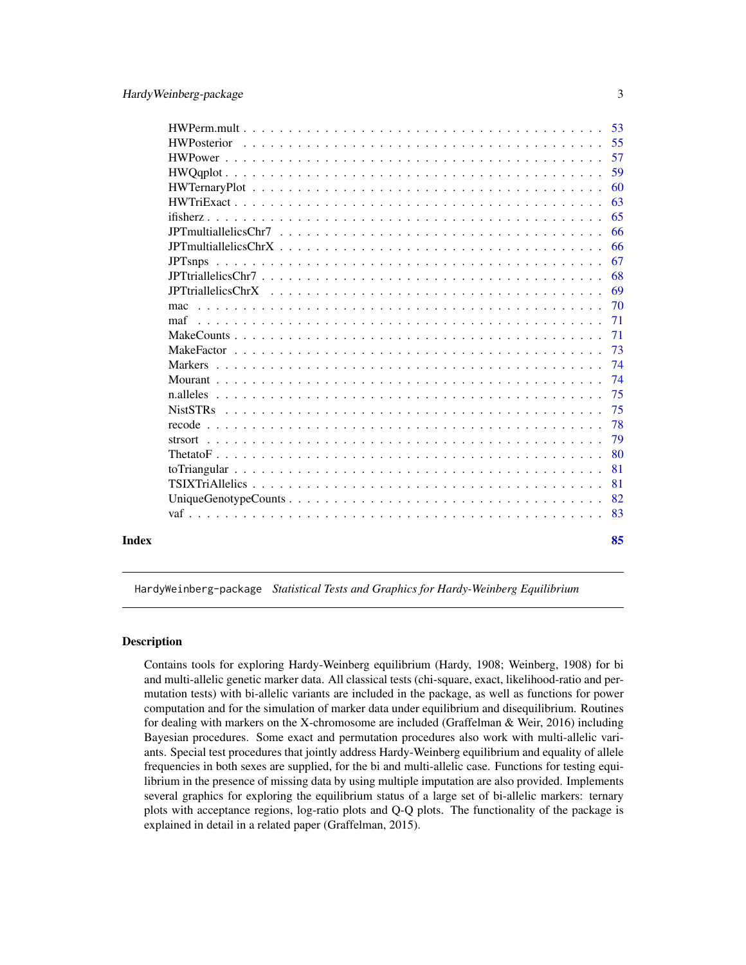<span id="page-2-0"></span>

|       |                | 53  |
|-------|----------------|-----|
|       |                | 55  |
|       |                | 57  |
|       |                | 59  |
|       |                | 60  |
|       |                | 63  |
|       |                | 65  |
|       |                | 66  |
|       |                | 66  |
|       | <b>JPTsnps</b> | 67  |
|       |                | 68  |
|       |                | 69  |
|       | mac            | 70  |
|       | maf            | 71  |
|       |                | 71  |
|       |                | 73  |
|       |                | 74  |
|       |                | 74  |
|       |                | 75  |
|       |                | 75  |
|       |                | 78  |
|       |                | 79  |
|       |                | 80  |
|       |                | 81  |
|       |                | 81  |
|       |                | 82  |
|       |                | -83 |
|       |                |     |
| Index |                | 85  |
|       |                |     |

HardyWeinberg-package *Statistical Tests and Graphics for Hardy-Weinberg Equilibrium*

#### Description

Contains tools for exploring Hardy-Weinberg equilibrium (Hardy, 1908; Weinberg, 1908) for bi and multi-allelic genetic marker data. All classical tests (chi-square, exact, likelihood-ratio and permutation tests) with bi-allelic variants are included in the package, as well as functions for power computation and for the simulation of marker data under equilibrium and disequilibrium. Routines for dealing with markers on the X-chromosome are included (Graffelman & Weir, 2016) including Bayesian procedures. Some exact and permutation procedures also work with multi-allelic variants. Special test procedures that jointly address Hardy-Weinberg equilibrium and equality of allele frequencies in both sexes are supplied, for the bi and multi-allelic case. Functions for testing equilibrium in the presence of missing data by using multiple imputation are also provided. Implements several graphics for exploring the equilibrium status of a large set of bi-allelic markers: ternary plots with acceptance regions, log-ratio plots and Q-Q plots. The functionality of the package is explained in detail in a related paper (Graffelman, 2015).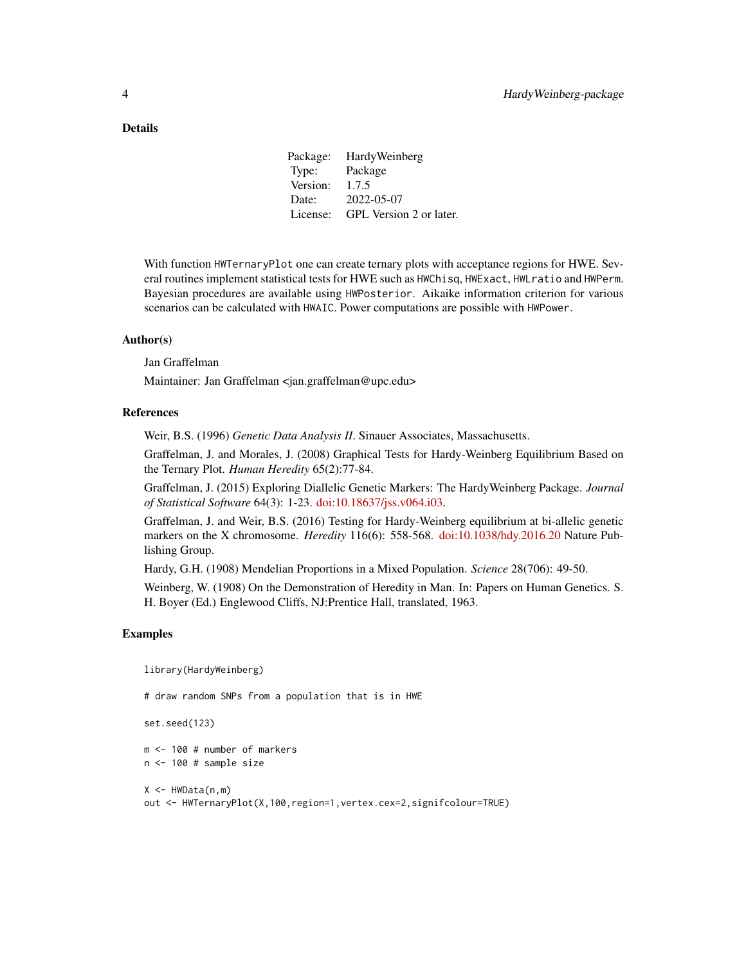#### Details

Package: HardyWeinberg Type: Package Version: 1.7.5 Date: 2022-05-07 License: GPL Version 2 or later.

With function HWTernaryPlot one can create ternary plots with acceptance regions for HWE. Several routines implement statistical tests for HWE such as HWChisq, HWExact, HWLratio and HWPerm. Bayesian procedures are available using HWPosterior. Aikaike information criterion for various scenarios can be calculated with HWAIC. Power computations are possible with HWPower.

#### Author(s)

Jan Graffelman

Maintainer: Jan Graffelman <jan.graffelman@upc.edu>

#### References

Weir, B.S. (1996) *Genetic Data Analysis II*. Sinauer Associates, Massachusetts.

Graffelman, J. and Morales, J. (2008) Graphical Tests for Hardy-Weinberg Equilibrium Based on the Ternary Plot. *Human Heredity* 65(2):77-84.

Graffelman, J. (2015) Exploring Diallelic Genetic Markers: The HardyWeinberg Package. *Journal of Statistical Software* 64(3): 1-23. [doi:10.18637/jss.v064.i03.](https://doi.org/10.18637/jss.v064.i03)

Graffelman, J. and Weir, B.S. (2016) Testing for Hardy-Weinberg equilibrium at bi-allelic genetic markers on the X chromosome. *Heredity* 116(6): 558-568. [doi:10.1038/hdy.2016.20](https://doi.org/10.1038/hdy.2016.20) Nature Publishing Group.

Hardy, G.H. (1908) Mendelian Proportions in a Mixed Population. *Science* 28(706): 49-50.

Weinberg, W. (1908) On the Demonstration of Heredity in Man. In: Papers on Human Genetics. S. H. Boyer (Ed.) Englewood Cliffs, NJ:Prentice Hall, translated, 1963.

#### Examples

library(HardyWeinberg)

# draw random SNPs from a population that is in HWE

set.seed(123)

m <- 100 # number of markers n <- 100 # sample size

 $X \leftarrow HWData(n,m)$ out <- HWTernaryPlot(X,100,region=1,vertex.cex=2,signifcolour=TRUE)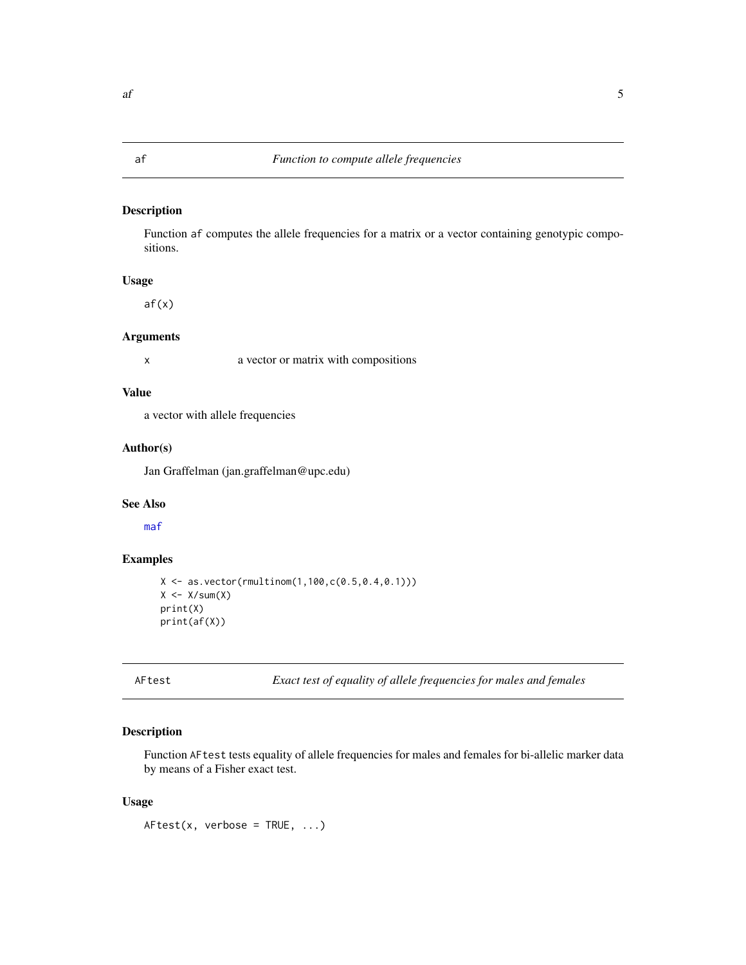<span id="page-4-1"></span><span id="page-4-0"></span>Function af computes the allele frequencies for a matrix or a vector containing genotypic compositions.

## Usage

af(x)

#### Arguments

x a vector or matrix with compositions

#### Value

a vector with allele frequencies

### Author(s)

Jan Graffelman (jan.graffelman@upc.edu)

#### See Also

[maf](#page-70-1)

#### Examples

```
X \le - as.vector(rmultinom(1,100,c(0.5,0.4,0.1)))
X \leftarrow X/\text{sum}(X)print(X)
print(af(X))
```
AFtest *Exact test of equality of allele frequencies for males and females*

### Description

Function AFtest tests equality of allele frequencies for males and females for bi-allelic marker data by means of a Fisher exact test.

#### Usage

 $AFtest(x, verbose = TRUE, ...)$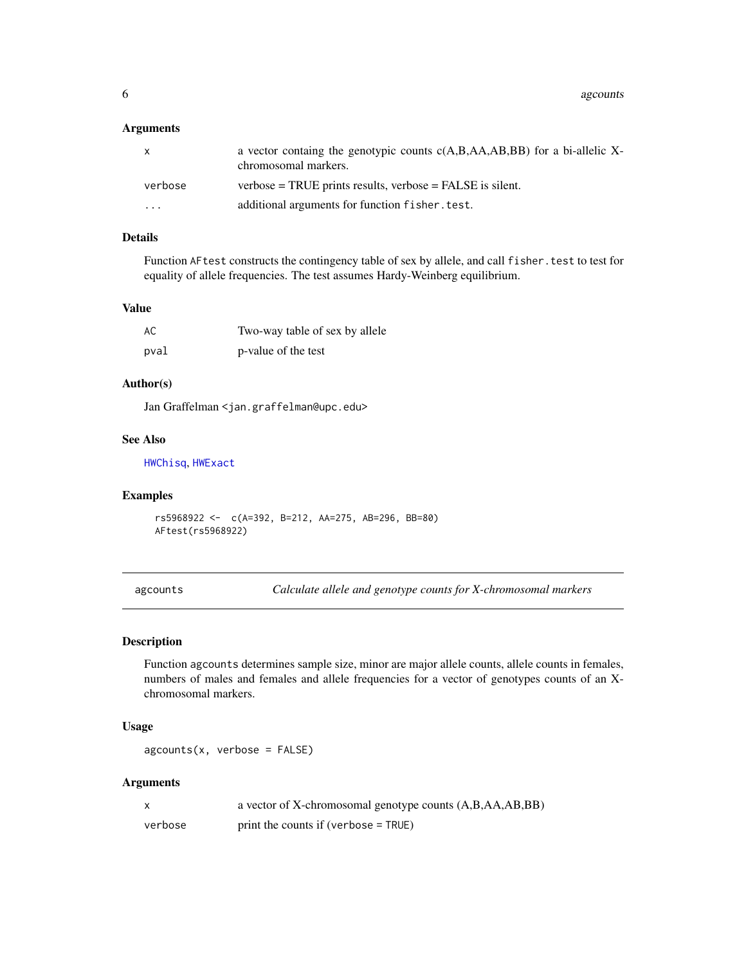#### <span id="page-5-0"></span>Arguments

| X       | a vector containg the genotypic counts $c(A,B,A,A,B,BB)$ for a bi-allelic X-<br>chromosomal markers. |
|---------|------------------------------------------------------------------------------------------------------|
| verbose | $verbose = TRUE$ prints results, $verbose = FALSE$ is silent.                                        |
| $\cdot$ | additional arguments for function fisher. test.                                                      |

### Details

Function AFtest constructs the contingency table of sex by allele, and call fisher.test to test for equality of allele frequencies. The test assumes Hardy-Weinberg equilibrium.

### Value

| AC   | Two-way table of sex by allele |
|------|--------------------------------|
| pval | p-value of the test            |

### Author(s)

Jan Graffelman <jan.graffelman@upc.edu>

#### See Also

[HWChisq](#page-23-1), [HWExact](#page-33-1)

#### Examples

rs5968922 <- c(A=392, B=212, AA=275, AB=296, BB=80) AFtest(rs5968922)

agcounts *Calculate allele and genotype counts for X-chromosomal markers*

#### Description

Function agcounts determines sample size, minor are major allele counts, allele counts in females, numbers of males and females and allele frequencies for a vector of genotypes counts of an Xchromosomal markers.

#### Usage

 $a$ gcounts(x, verbose = FALSE)

#### Arguments

|         | a vector of X-chromosomal genotype counts (A,B,AA,AB,BB) |
|---------|----------------------------------------------------------|
| verbose | print the counts if (verbose $=$ TRUE)                   |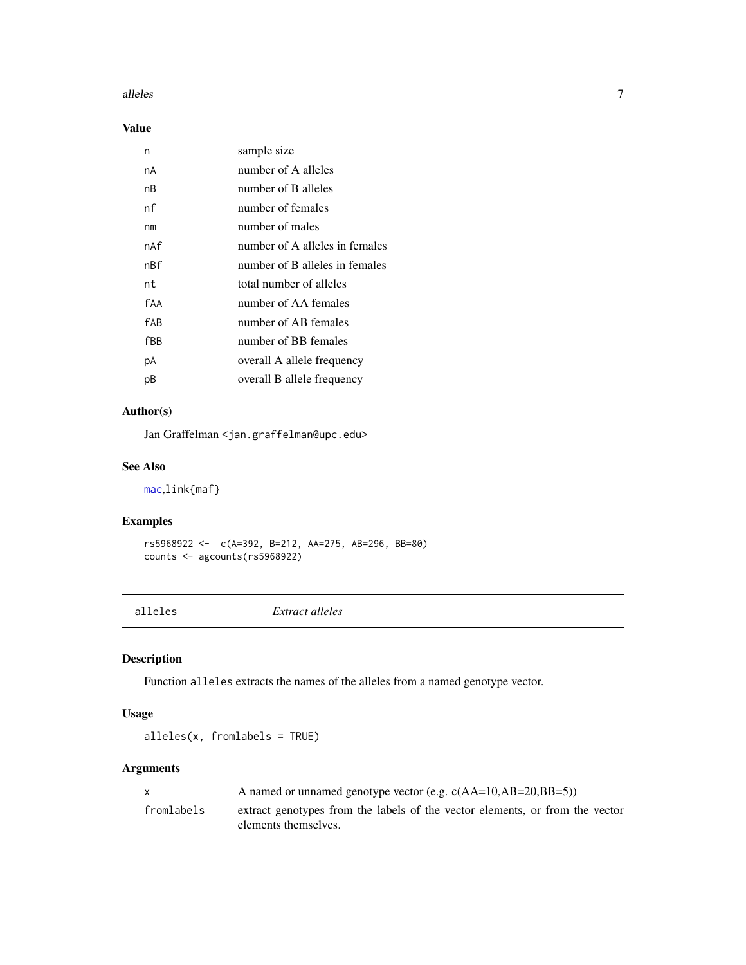#### <span id="page-6-0"></span>alleles **7**

### Value

| n   | sample size                    |
|-----|--------------------------------|
| nA  | number of A alleles            |
| nВ  | number of B alleles            |
| nf  | number of females              |
| nm  | number of males                |
| nAf | number of A alleles in females |
| nßf | number of B alleles in females |
| nt  | total number of alleles        |
| fAA | number of AA females           |
| fAB | number of AB females           |
| fBB | number of BB females           |
| рA  | overall A allele frequency     |
| рB  | overall B allele frequency     |
|     |                                |

### Author(s)

Jan Graffelman <jan.graffelman@upc.edu>

### See Also

[mac](#page-69-1),link{maf}

### Examples

```
rs5968922 <- c(A=392, B=212, AA=275, AB=296, BB=80)
counts <- agcounts(rs5968922)
```
alleles *Extract alleles*

## Description

Function alleles extracts the names of the alleles from a named genotype vector.

#### Usage

alleles(x, fromlabels = TRUE)

### Arguments

| X          | A named or unnamed genotype vector (e.g. $c(AA=10, AB=20, BB=5)$ )                                   |
|------------|------------------------------------------------------------------------------------------------------|
| fromlabels | extract genotypes from the labels of the vector elements, or from the vector<br>elements themselves. |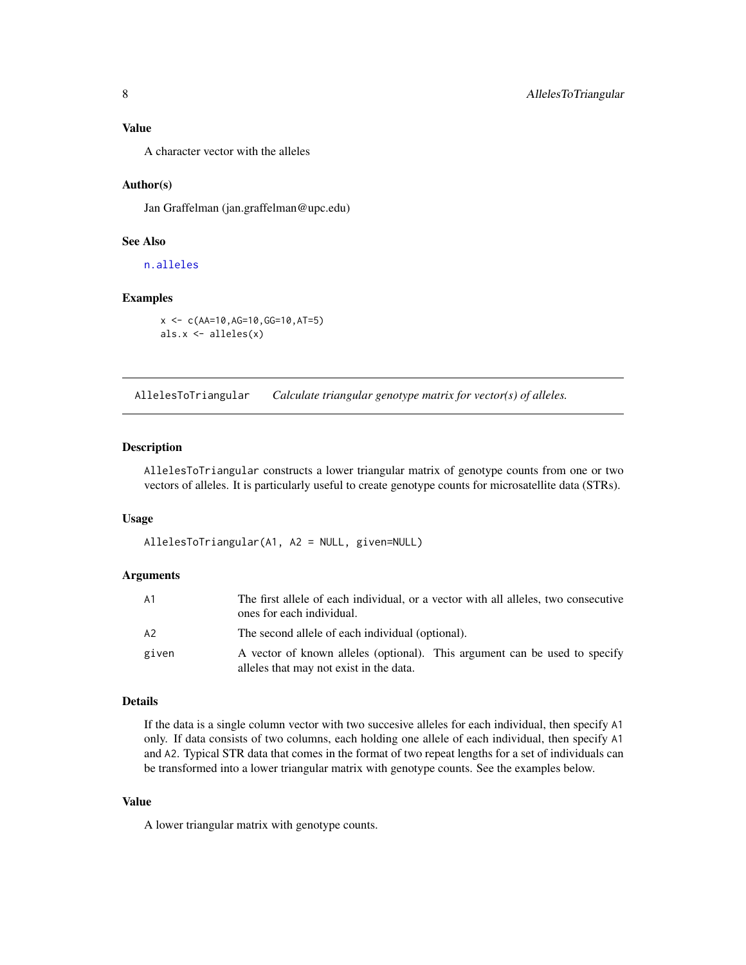<span id="page-7-0"></span>A character vector with the alleles

#### Author(s)

Jan Graffelman (jan.graffelman@upc.edu)

#### See Also

[n.alleles](#page-74-1)

#### Examples

```
x <- c(AA=10,AG=10,GG=10,AT=5)
als.x <- alleles(x)
```
AllelesToTriangular *Calculate triangular genotype matrix for vector(s) of alleles.*

#### Description

AllelesToTriangular constructs a lower triangular matrix of genotype counts from one or two vectors of alleles. It is particularly useful to create genotype counts for microsatellite data (STRs).

#### Usage

AllelesToTriangular(A1, A2 = NULL, given=NULL)

#### Arguments

| A <sub>1</sub> | The first allele of each individual, or a vector with all alleles, two consecutive<br>ones for each individual.       |
|----------------|-----------------------------------------------------------------------------------------------------------------------|
| A2             | The second allele of each individual (optional).                                                                      |
| given          | A vector of known alleles (optional). This argument can be used to specify<br>alleles that may not exist in the data. |

#### Details

If the data is a single column vector with two succesive alleles for each individual, then specify A1 only. If data consists of two columns, each holding one allele of each individual, then specify A1 and A2. Typical STR data that comes in the format of two repeat lengths for a set of individuals can be transformed into a lower triangular matrix with genotype counts. See the examples below.

#### Value

A lower triangular matrix with genotype counts.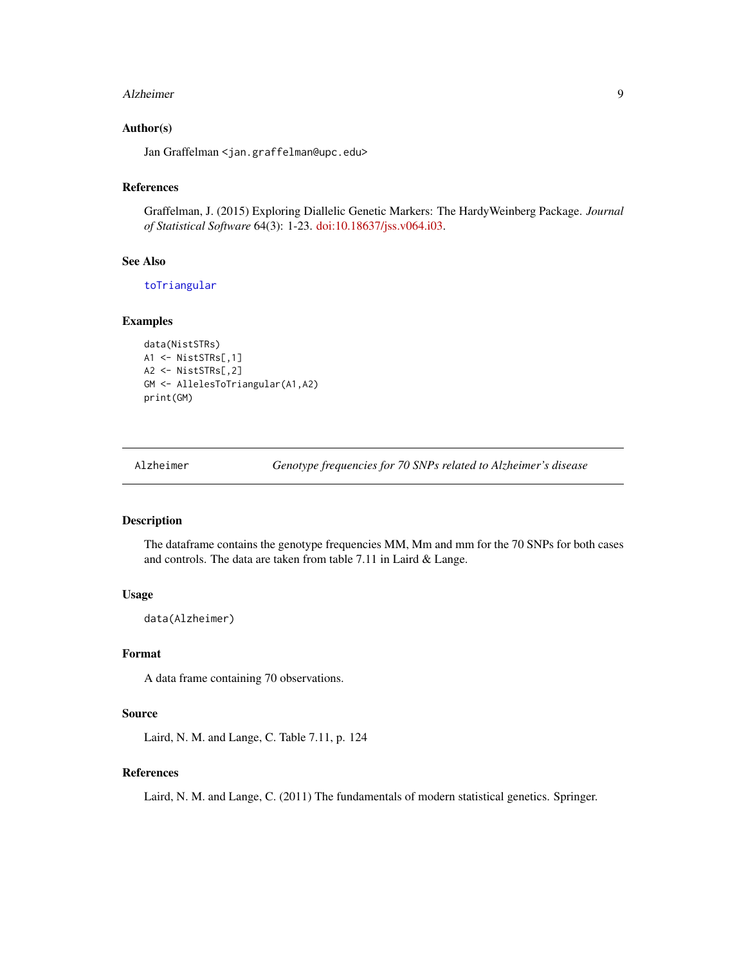#### <span id="page-8-0"></span>Alzheimer 9

#### Author(s)

Jan Graffelman <jan.graffelman@upc.edu>

## References

Graffelman, J. (2015) Exploring Diallelic Genetic Markers: The HardyWeinberg Package. *Journal of Statistical Software* 64(3): 1-23. [doi:10.18637/jss.v064.i03.](https://doi.org/10.18637/jss.v064.i03)

### See Also

[toTriangular](#page-80-1)

#### Examples

```
data(NistSTRs)
A1 <- NistSTRs[,1]
A2 <- NistSTRs[,2]
GM <- AllelesToTriangular(A1,A2)
print(GM)
```
Alzheimer *Genotype frequencies for 70 SNPs related to Alzheimer's disease*

#### Description

The dataframe contains the genotype frequencies MM, Mm and mm for the 70 SNPs for both cases and controls. The data are taken from table 7.11 in Laird & Lange.

#### Usage

data(Alzheimer)

### Format

A data frame containing 70 observations.

#### Source

Laird, N. M. and Lange, C. Table 7.11, p. 124

#### References

Laird, N. M. and Lange, C. (2011) The fundamentals of modern statistical genetics. Springer.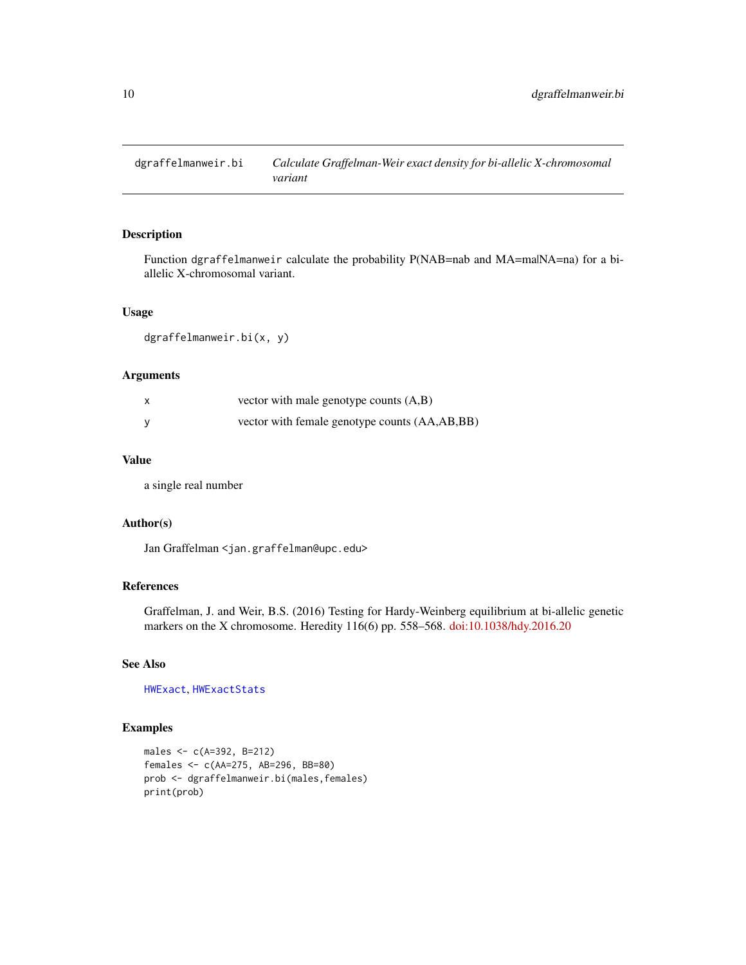<span id="page-9-0"></span>

Function dgraffelmanweir calculate the probability P(NAB=nab and MA=ma|NA=na) for a biallelic X-chromosomal variant.

#### Usage

dgraffelmanweir.bi(x, y)

### Arguments

| vector with male genotype counts $(A,B)$      |
|-----------------------------------------------|
| vector with female genotype counts (AA,AB,BB) |

#### Value

a single real number

#### Author(s)

Jan Graffelman <jan.graffelman@upc.edu>

### References

Graffelman, J. and Weir, B.S. (2016) Testing for Hardy-Weinberg equilibrium at bi-allelic genetic markers on the X chromosome. Heredity 116(6) pp. 558–568. [doi:10.1038/hdy.2016.20](https://doi.org/10.1038/hdy.2016.20)

### See Also

[HWExact](#page-33-1), [HWExactStats](#page-37-1)

```
males <- c(A=392, B=212)
females <- c(AA=275, AB=296, BB=80)
prob <- dgraffelmanweir.bi(males,females)
print(prob)
```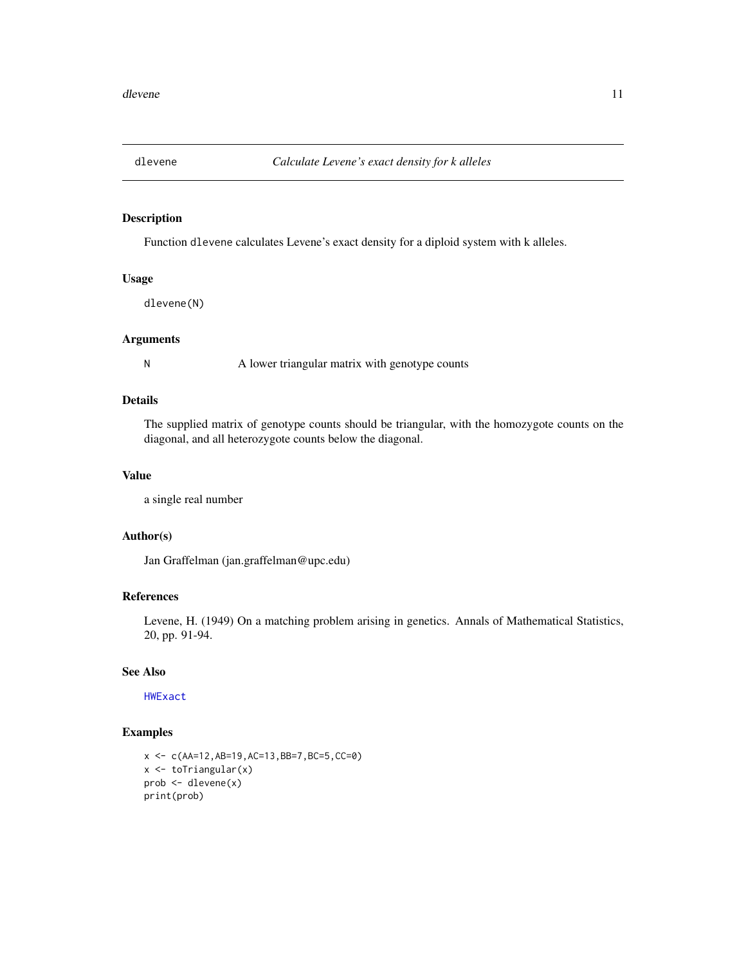<span id="page-10-1"></span><span id="page-10-0"></span>

Function dlevene calculates Levene's exact density for a diploid system with k alleles.

### Usage

dlevene(N)

#### Arguments

N A lower triangular matrix with genotype counts

### Details

The supplied matrix of genotype counts should be triangular, with the homozygote counts on the diagonal, and all heterozygote counts below the diagonal.

### Value

a single real number

### Author(s)

Jan Graffelman (jan.graffelman@upc.edu)

### References

Levene, H. (1949) On a matching problem arising in genetics. Annals of Mathematical Statistics, 20, pp. 91-94.

### See Also

[HWExact](#page-33-1)

```
x <- c(AA=12,AB=19,AC=13,BB=7,BC=5,CC=0)
x <- toTriangular(x)
prob <- dlevene(x)
print(prob)
```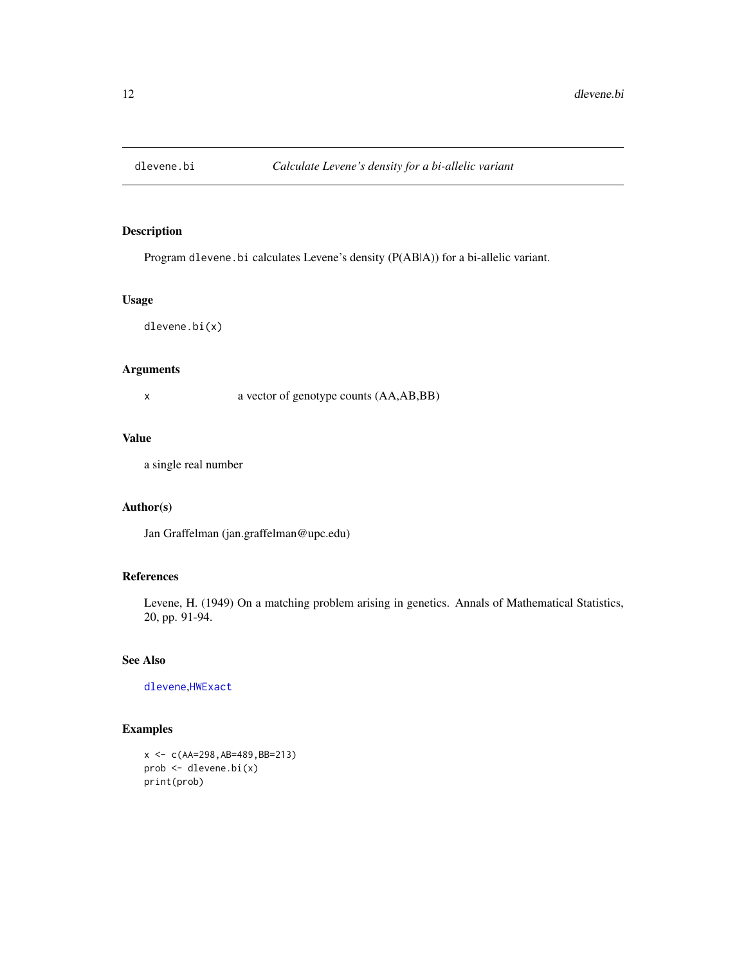<span id="page-11-0"></span>

Program dlevene.bi calculates Levene's density (P(AB|A)) for a bi-allelic variant.

## Usage

dlevene.bi(x)

### Arguments

x a vector of genotype counts (AA,AB,BB)

### Value

a single real number

#### Author(s)

Jan Graffelman (jan.graffelman@upc.edu)

### References

Levene, H. (1949) On a matching problem arising in genetics. Annals of Mathematical Statistics, 20, pp. 91-94.

### See Also

[dlevene](#page-10-1),[HWExact](#page-33-1)

```
x <- c(AA=298,AB=489,BB=213)
prob <- dlevene.bi(x)
print(prob)
```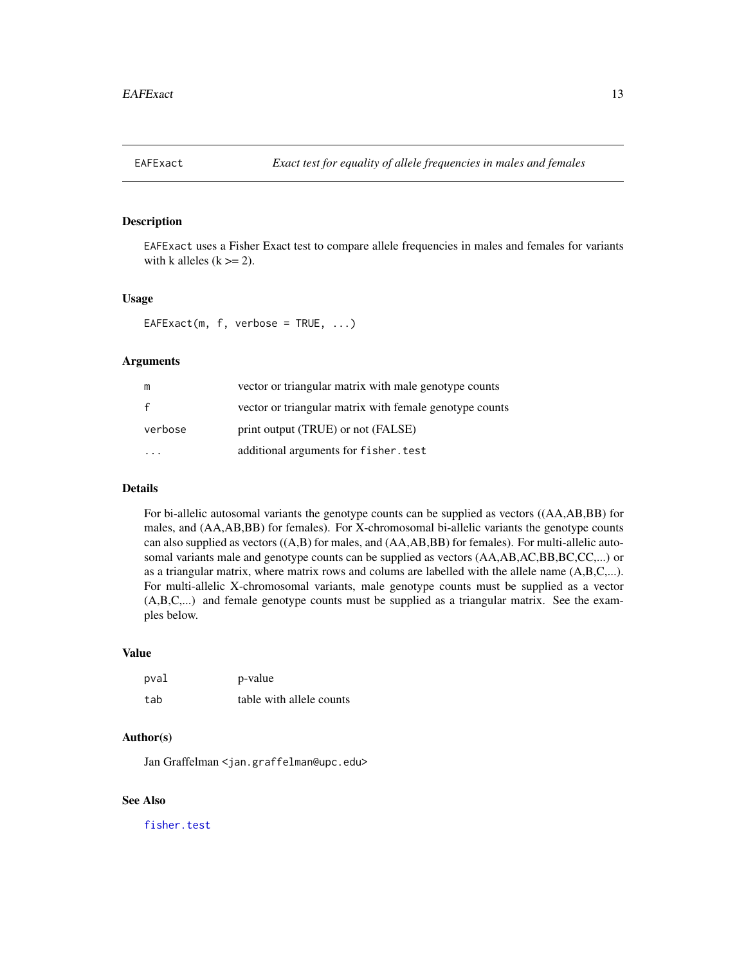<span id="page-12-0"></span>

EAFExact uses a Fisher Exact test to compare allele frequencies in males and females for variants with k alleles  $(k \geq 2)$ .

#### Usage

EAFExact(m, f, verbose = TRUE,  $\dots$ )

### Arguments

| m            | vector or triangular matrix with male genotype counts   |
|--------------|---------------------------------------------------------|
| $\mathbf{f}$ | vector or triangular matrix with female genotype counts |
| verbose      | print output (TRUE) or not (FALSE)                      |
|              | additional arguments for fisher. test                   |

### Details

For bi-allelic autosomal variants the genotype counts can be supplied as vectors ((AA,AB,BB) for males, and (AA,AB,BB) for females). For X-chromosomal bi-allelic variants the genotype counts can also supplied as vectors ((A,B) for males, and (AA,AB,BB) for females). For multi-allelic autosomal variants male and genotype counts can be supplied as vectors  $(AA,AB,AC,BB,BC,CC,...)$  or as a triangular matrix, where matrix rows and colums are labelled with the allele name (A,B,C,...). For multi-allelic X-chromosomal variants, male genotype counts must be supplied as a vector (A,B,C,...) and female genotype counts must be supplied as a triangular matrix. See the examples below.

#### Value

| pval | p-value                  |
|------|--------------------------|
| tab  | table with allele counts |

### Author(s)

Jan Graffelman <jan.graffelman@upc.edu>

### See Also

[fisher.test](#page-0-0)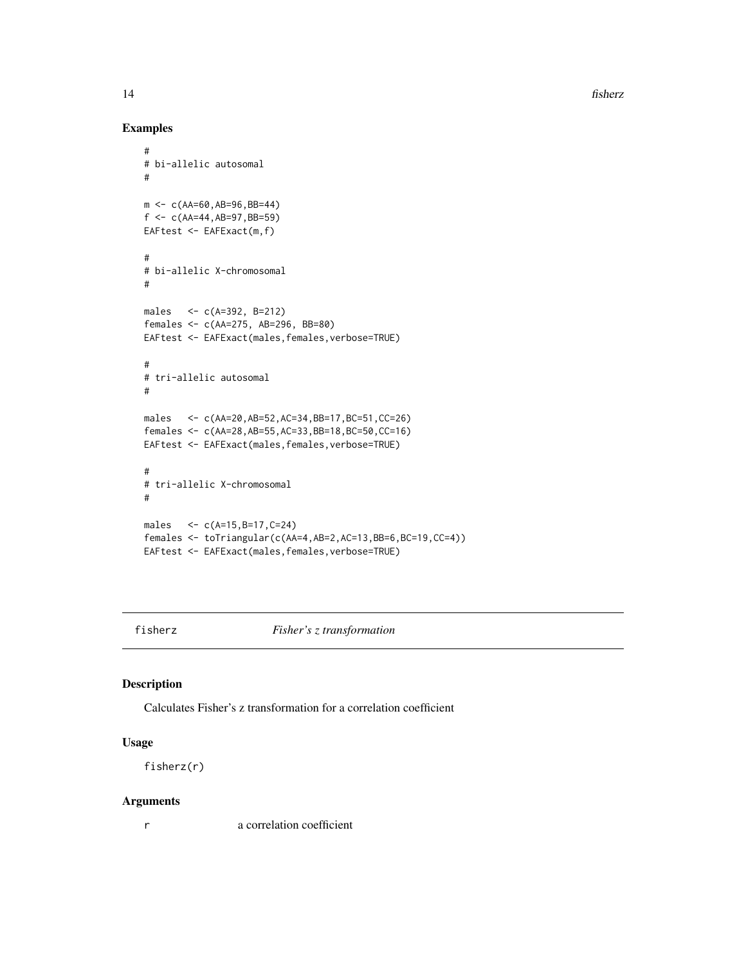14 fisherz

### Examples

```
#
# bi-allelic autosomal
#
m < -c(AA=60, AB=96, BB=44)f \leftarrow c(AA=44, AB=97, BB=59)EAFtest <- EAFExact(m,f)
#
# bi-allelic X-chromosomal
#
males <- c(A=392, B=212)
females <- c(AA=275, AB=296, BB=80)
EAFtest <- EAFExact(males,females,verbose=TRUE)
#
# tri-allelic autosomal
#
males <- c(AA=20,AB=52,AC=34,BB=17,BC=51,CC=26)
females <- c(AA=28,AB=55,AC=33,BB=18,BC=50,CC=16)
EAFtest <- EAFExact(males,females,verbose=TRUE)
#
# tri-allelic X-chromosomal
#
males <- c(A=15,B=17,C=24)
females <- toTriangular(c(AA=4,AB=2,AC=13,BB=6,BC=19,CC=4))
EAFtest <- EAFExact(males,females,verbose=TRUE)
```
fisherz *Fisher's z transformation*

### Description

Calculates Fisher's z transformation for a correlation coefficient

#### Usage

fisherz(r)

#### Arguments

r a correlation coefficient

<span id="page-13-0"></span>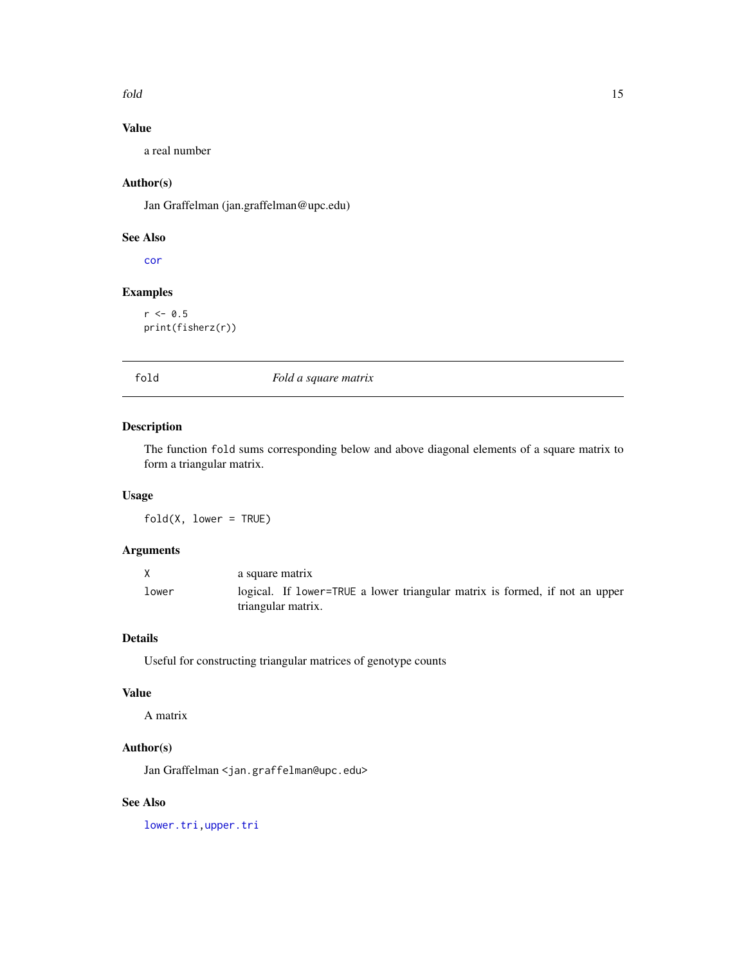<span id="page-14-0"></span>fold that the contract of the contract of the contract of the contract of the contract of the contract of the contract of the contract of the contract of the contract of the contract of the contract of the contract of the

## Value

a real number

### Author(s)

Jan Graffelman (jan.graffelman@upc.edu)

### See Also

[cor](#page-0-0)

### Examples

 $r < -0.5$ print(fisherz(r))

### fold *Fold a square matrix*

### Description

The function fold sums corresponding below and above diagonal elements of a square matrix to form a triangular matrix.

### Usage

 $fold(X, lower = TRUE)$ 

### Arguments

| X     | a square matrix                                                             |
|-------|-----------------------------------------------------------------------------|
| lower | logical. If lower=TRUE a lower triangular matrix is formed, if not an upper |
|       | triangular matrix.                                                          |

### Details

Useful for constructing triangular matrices of genotype counts

### Value

A matrix

### Author(s)

Jan Graffelman <jan.graffelman@upc.edu>

### See Also

[lower.tri,upper.tri](#page-0-0)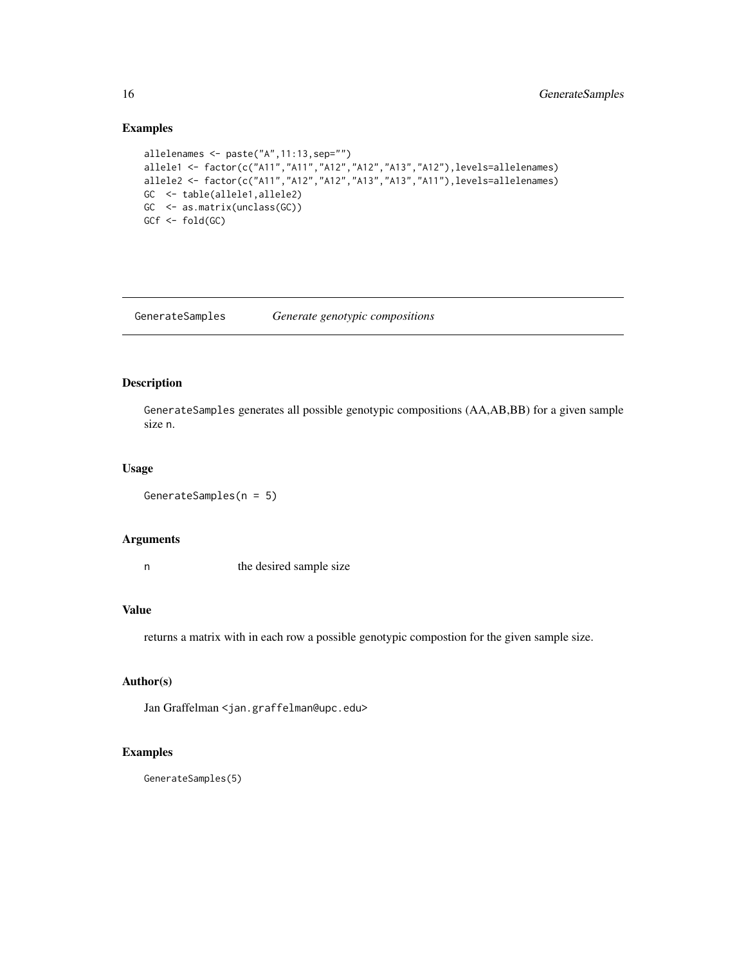### Examples

```
allelenames <- paste("A",11:13,sep="")
allele1 <- factor(c("A11","A11","A12","A12","A13","A12"),levels=allelenames)
allele2 <- factor(c("A11","A12","A12","A13","A13","A11"),levels=allelenames)
GC <- table(allele1,allele2)
GC <- as.matrix(unclass(GC))
GCf <- fold(GC)
```
GenerateSamples *Generate genotypic compositions*

### Description

GenerateSamples generates all possible genotypic compositions (AA,AB,BB) for a given sample size n.

### Usage

```
GenerateSamples(n = 5)
```
#### Arguments

n the desired sample size

### Value

returns a matrix with in each row a possible genotypic compostion for the given sample size.

#### Author(s)

Jan Graffelman <jan.graffelman@upc.edu>

### Examples

GenerateSamples(5)

<span id="page-15-0"></span>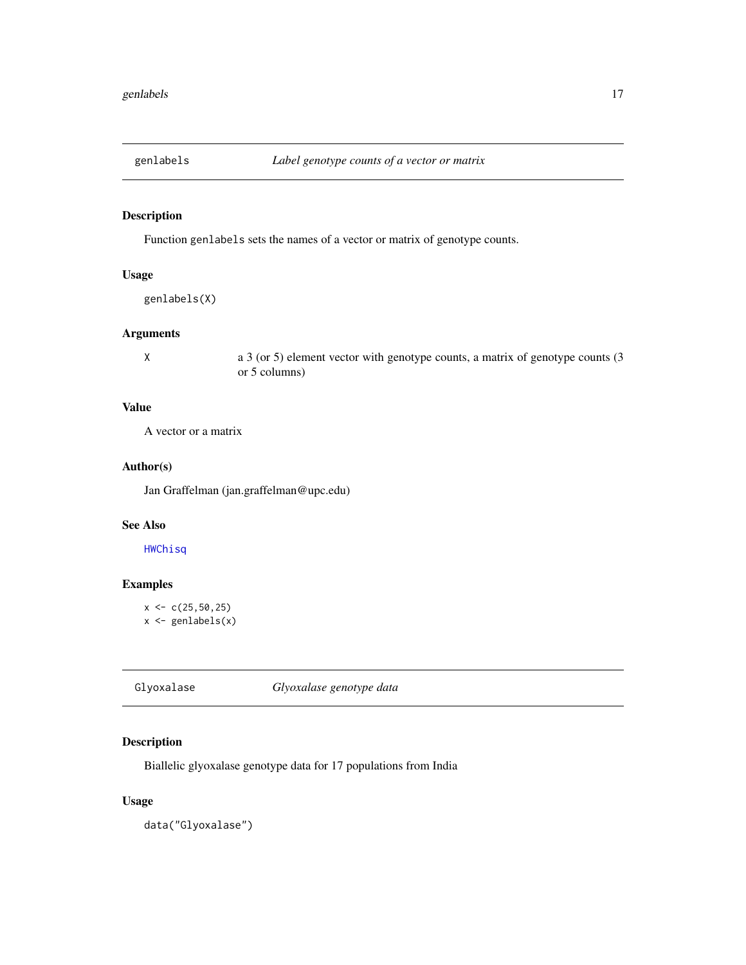<span id="page-16-0"></span>

Function genlabels sets the names of a vector or matrix of genotype counts.

### Usage

```
genlabels(X)
```
### Arguments

X a 3 (or 5) element vector with genotype counts, a matrix of genotype counts (3 or 5 columns)

### Value

A vector or a matrix

#### Author(s)

Jan Graffelman (jan.graffelman@upc.edu)

#### See Also

### [HWChisq](#page-23-1)

### Examples

```
x < -c(25, 50, 25)x \leftarrow genlabels(x)
```
Glyoxalase *Glyoxalase genotype data*

### Description

Biallelic glyoxalase genotype data for 17 populations from India

#### Usage

data("Glyoxalase")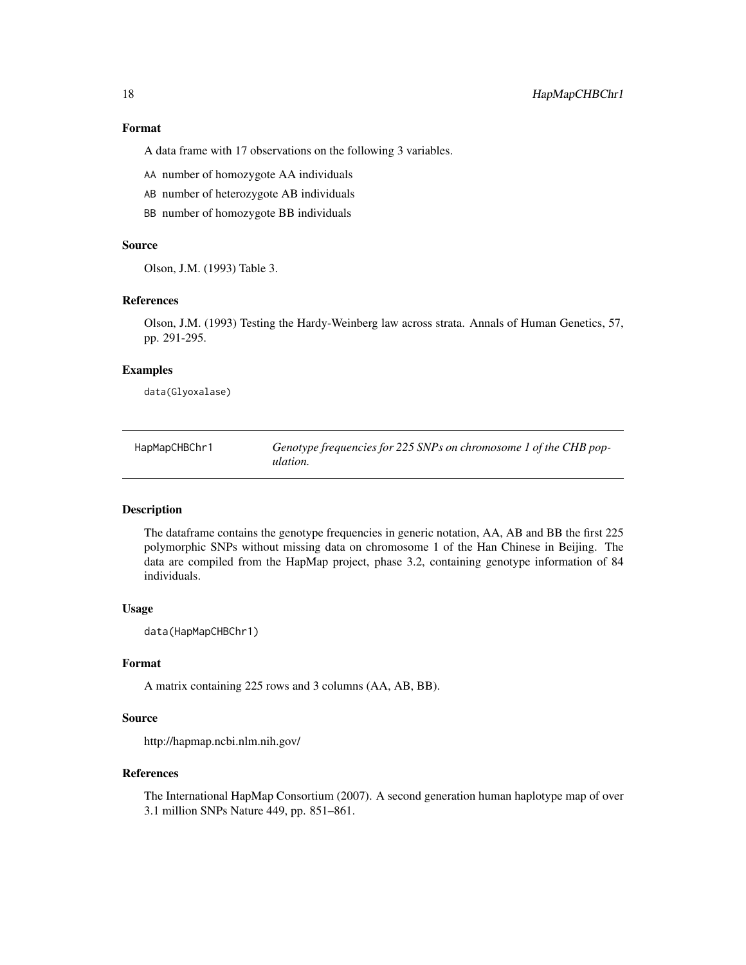#### <span id="page-17-0"></span>Format

A data frame with 17 observations on the following 3 variables.

- AA number of homozygote AA individuals
- AB number of heterozygote AB individuals
- BB number of homozygote BB individuals

### Source

Olson, J.M. (1993) Table 3.

### References

Olson, J.M. (1993) Testing the Hardy-Weinberg law across strata. Annals of Human Genetics, 57, pp. 291-295.

#### Examples

data(Glyoxalase)

| HapMapCHBChr1 | Genotype frequencies for 225 SNPs on chromosome 1 of the CHB pop- |
|---------------|-------------------------------------------------------------------|
|               | ulation.                                                          |

### Description

The dataframe contains the genotype frequencies in generic notation, AA, AB and BB the first 225 polymorphic SNPs without missing data on chromosome 1 of the Han Chinese in Beijing. The data are compiled from the HapMap project, phase 3.2, containing genotype information of 84 individuals.

#### Usage

data(HapMapCHBChr1)

### Format

A matrix containing 225 rows and 3 columns (AA, AB, BB).

#### Source

http://hapmap.ncbi.nlm.nih.gov/

#### References

The International HapMap Consortium (2007). A second generation human haplotype map of over 3.1 million SNPs Nature 449, pp. 851–861.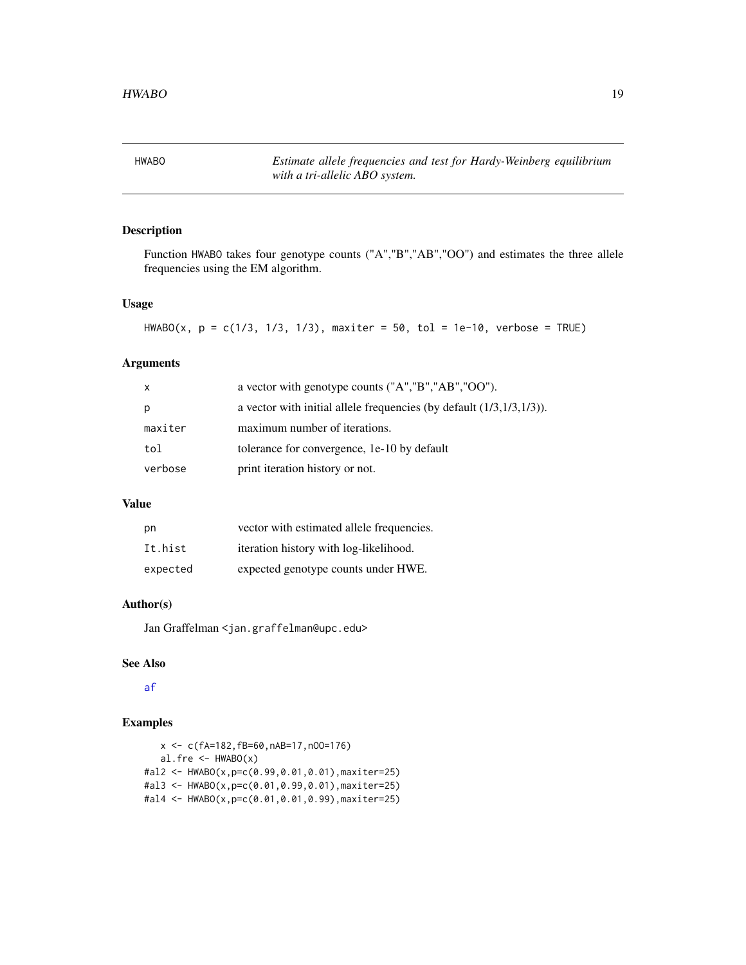<span id="page-18-0"></span>HWABO *Estimate allele frequencies and test for Hardy-Weinberg equilibrium with a tri-allelic ABO system.*

### Description

Function HWABO takes four genotype counts ("A","B","AB","OO") and estimates the three allele frequencies using the EM algorithm.

### Usage

HWABO(x,  $p = c(1/3, 1/3, 1/3)$ , maxiter = 50, tol = 1e-10, verbose = TRUE)

#### Arguments

| $\mathsf{x}$ | a vector with genotype counts ("A","B","AB","OO").                      |
|--------------|-------------------------------------------------------------------------|
| p            | a vector with initial allele frequencies (by default $(1/3,1/3,1/3)$ ). |
| maxiter      | maximum number of iterations.                                           |
| tol          | tolerance for convergence, 1e-10 by default                             |
| verbose      | print iteration history or not.                                         |

### Value

| pn       | vector with estimated allele frequencies. |
|----------|-------------------------------------------|
| It.hist  | iteration history with log-likelihood.    |
| expected | expected genotype counts under HWE.       |

#### Author(s)

Jan Graffelman <jan.graffelman@upc.edu>

#### See Also

[af](#page-4-1)

```
x <- c(fA=182,fB=60,nAB=17,nOO=176)
  al.fre \leq HWABO(x)#al2 <- HWABO(x,p=c(0.99,0.01,0.01),maxiter=25)
#al3 <- HWABO(x,p=c(0.01,0.99,0.01),maxiter=25)
#al4 <- HWABO(x,p=c(0.01,0.01,0.99),maxiter=25)
```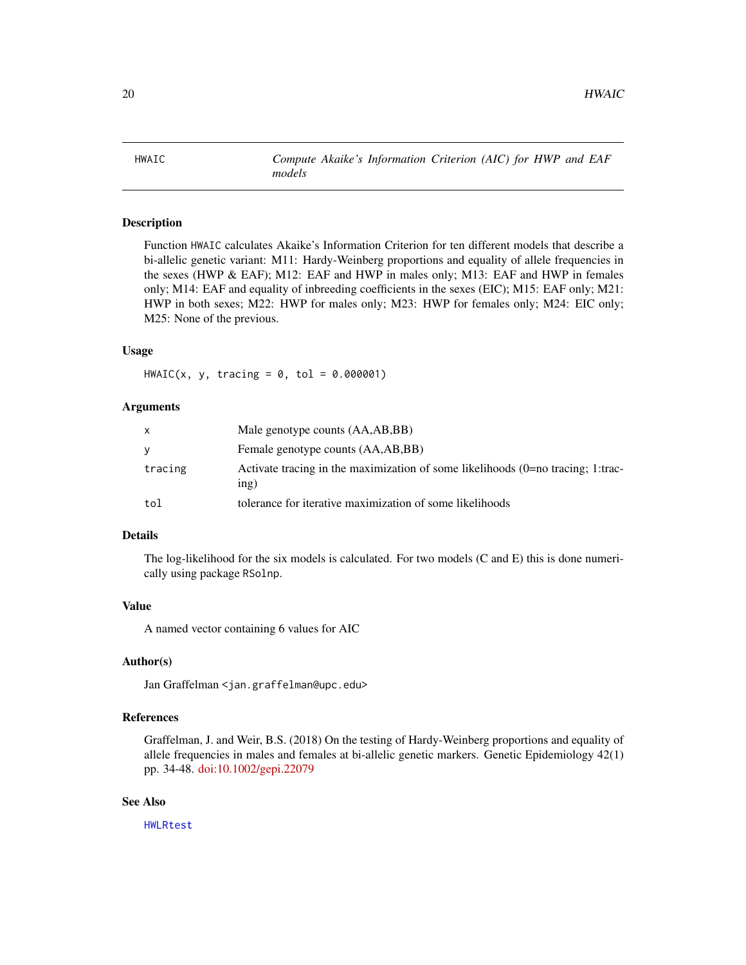<span id="page-19-0"></span>

Function HWAIC calculates Akaike's Information Criterion for ten different models that describe a bi-allelic genetic variant: M11: Hardy-Weinberg proportions and equality of allele frequencies in the sexes (HWP & EAF); M12: EAF and HWP in males only; M13: EAF and HWP in females only; M14: EAF and equality of inbreeding coefficients in the sexes (EIC); M15: EAF only; M21: HWP in both sexes; M22: HWP for males only; M23: HWP for females only; M24: EIC only; M25: None of the previous.

#### Usage

 $HWAIC(x, y, tracing = 0, tol = 0.000001)$ 

#### **Arguments**

| X       | Male genotype counts (AA,AB,BB)                                                         |
|---------|-----------------------------------------------------------------------------------------|
| y       | Female genotype counts (AA,AB,BB)                                                       |
| tracing | Activate tracing in the maximization of some likelihoods (0=no tracing; 1:trac-<br>inp) |
| tol     | tolerance for iterative maximization of some likelihoods                                |

#### Details

The log-likelihood for the six models is calculated. For two models (C and E) this is done numerically using package RSolnp.

#### Value

A named vector containing 6 values for AIC

### Author(s)

Jan Graffelman <jan.graffelman@upc.edu>

### References

Graffelman, J. and Weir, B.S. (2018) On the testing of Hardy-Weinberg proportions and equality of allele frequencies in males and females at bi-allelic genetic markers. Genetic Epidemiology 42(1) pp. 34-48. [doi:10.1002/gepi.22079](https://doi.org/10.1002/gepi.22079)

#### See Also

[HWLRtest](#page-46-1)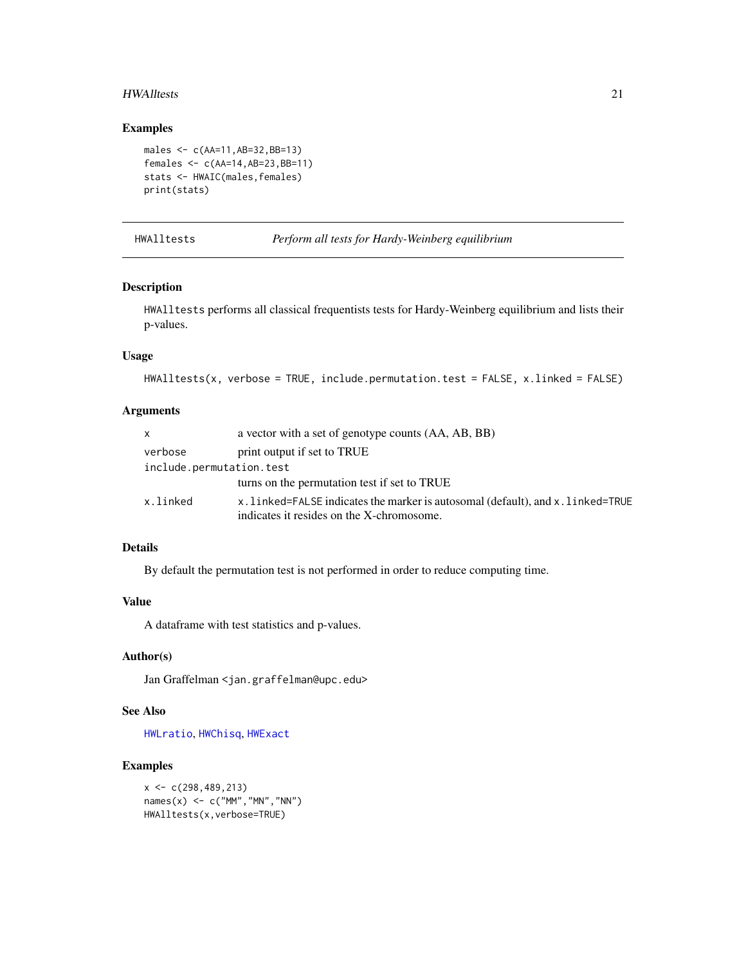#### <span id="page-20-0"></span>HWAlltests 21

### Examples

```
males <- c(AA=11,AB=32,BB=13)
females <- c(AA=14,AB=23,BB=11)
stats <- HWAIC(males,females)
print(stats)
```
HWAlltests *Perform all tests for Hardy-Weinberg equilibrium*

### Description

HWAlltests performs all classical frequentists tests for Hardy-Weinberg equilibrium and lists their p-values.

#### Usage

HWAlltests(x, verbose = TRUE, include.permutation.test = FALSE, x.linked = FALSE)

#### Arguments

| <b>X</b>                 | a vector with a set of genotype counts (AA, AB, BB)                           |
|--------------------------|-------------------------------------------------------------------------------|
| verbose                  | print output if set to TRUE                                                   |
| include.permutation.test |                                                                               |
|                          | turns on the permutation test if set to TRUE                                  |
| x.linked                 | x.linked=FALSE indicates the marker is autosomal (default), and x.linked=TRUE |
|                          | indicates it resides on the X-chromosome.                                     |

#### Details

By default the permutation test is not performed in order to reduce computing time.

### Value

A dataframe with test statistics and p-values.

### Author(s)

Jan Graffelman <jan.graffelman@upc.edu>

### See Also

[HWLratio](#page-45-1), [HWChisq](#page-23-1), [HWExact](#page-33-1)

### Examples

 $x \leq -c(298, 489, 213)$  $names(x) \leq c("MM", "MN", "NN")$ HWAlltests(x,verbose=TRUE)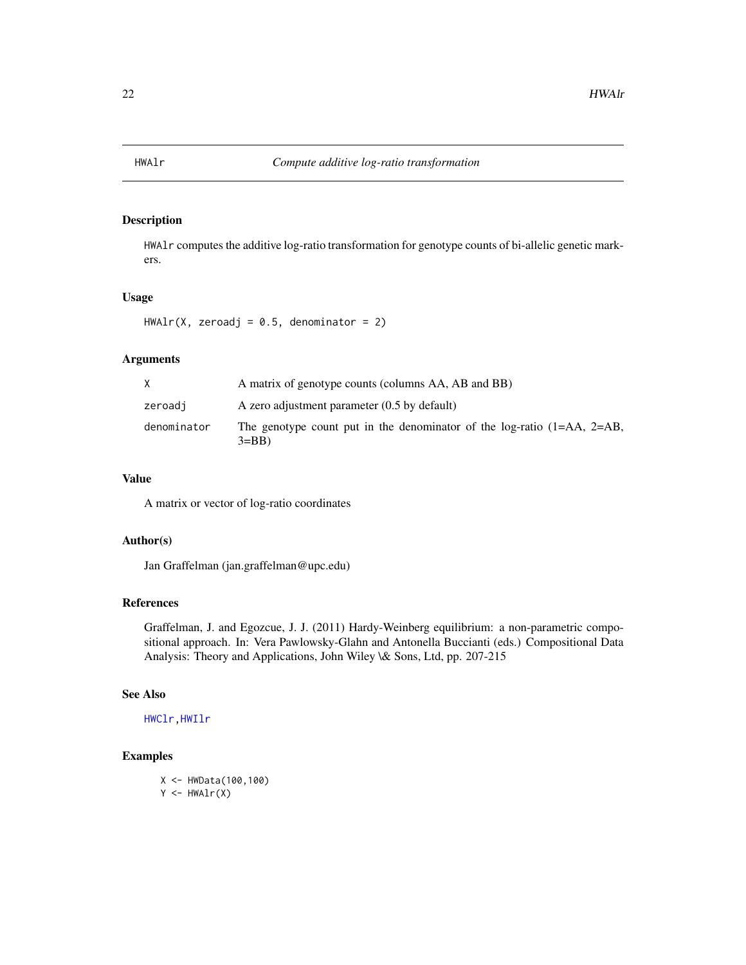<span id="page-21-1"></span><span id="page-21-0"></span>

HWAlr computes the additive log-ratio transformation for genotype counts of bi-allelic genetic markers.

### Usage

```
HWAlr(X, zeroadj = 0.5, denominator = 2)
```
#### Arguments

|             | A matrix of genotype counts (columns AA, AB and BB)                                   |
|-------------|---------------------------------------------------------------------------------------|
| zeroadj     | A zero adjustment parameter $(0.5$ by default)                                        |
| denominator | The genotype count put in the denominator of the log-ratio $(1=AA, 2=AB,$<br>$3 = BB$ |

### Value

A matrix or vector of log-ratio coordinates

#### Author(s)

Jan Graffelman (jan.graffelman@upc.edu)

### References

Graffelman, J. and Egozcue, J. J. (2011) Hardy-Weinberg equilibrium: a non-parametric compositional approach. In: Vera Pawlowsky-Glahn and Antonella Buccianti (eds.) Compositional Data Analysis: Theory and Applications, John Wiley \& Sons, Ltd, pp. 207-215

#### See Also

[HWClr](#page-28-1)[,HWIlr](#page-41-1)

#### Examples

X <- HWData(100,100)  $Y \leftarrow HWAIr(X)$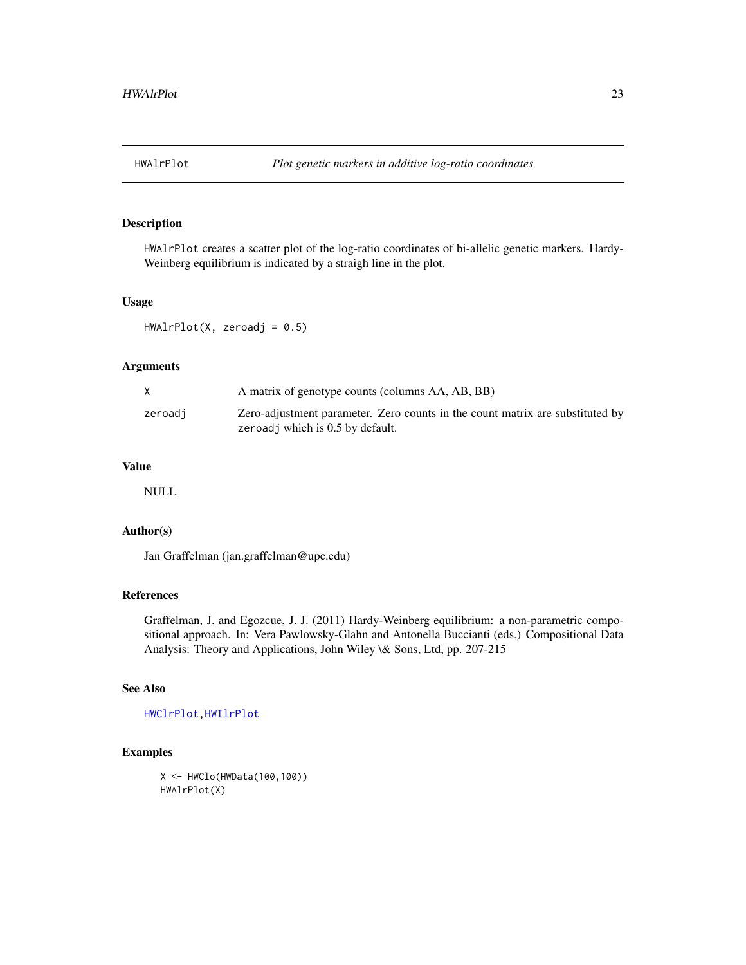<span id="page-22-1"></span><span id="page-22-0"></span>

HWAlrPlot creates a scatter plot of the log-ratio coordinates of bi-allelic genetic markers. Hardy-Weinberg equilibrium is indicated by a straigh line in the plot.

### Usage

 $HWAlrPlot(X, zeroadj = 0.5)$ 

#### Arguments

|         | A matrix of genotype counts (columns AA, AB, BB)                                                                  |
|---------|-------------------------------------------------------------------------------------------------------------------|
| zeroadi | Zero-adjustment parameter. Zero counts in the count matrix are substituted by<br>zeroadj which is 0.5 by default. |

#### Value

NULL

### Author(s)

Jan Graffelman (jan.graffelman@upc.edu)

### References

Graffelman, J. and Egozcue, J. J. (2011) Hardy-Weinberg equilibrium: a non-parametric compositional approach. In: Vera Pawlowsky-Glahn and Antonella Buccianti (eds.) Compositional Data Analysis: Theory and Applications, John Wiley \& Sons, Ltd, pp. 207-215

#### See Also

[HWClrPlot](#page-29-1)[,HWIlrPlot](#page-42-1)

### Examples

X <- HWClo(HWData(100,100)) HWAlrPlot(X)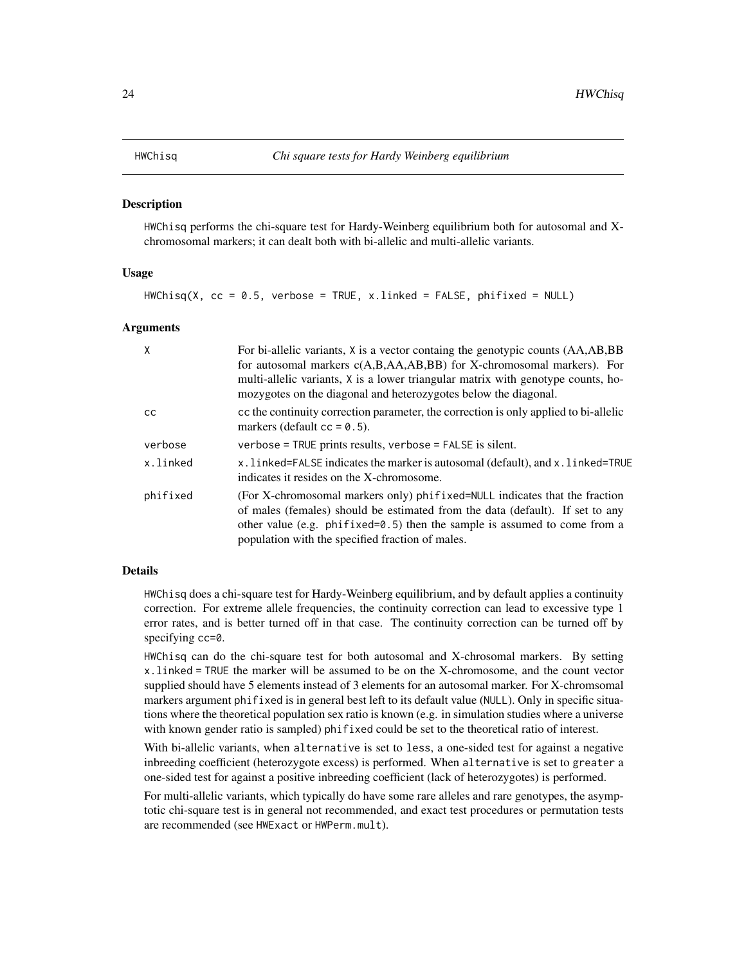<span id="page-23-1"></span><span id="page-23-0"></span>HWChisq performs the chi-square test for Hardy-Weinberg equilibrium both for autosomal and Xchromosomal markers; it can dealt both with bi-allelic and multi-allelic variants.

#### Usage

 $HWChisq(X, cc = 0.5, verbose = TRUE, x.linked = FALSE, phifixed = NULL)$ 

#### Arguments

| X             | For bi-allelic variants, X is a vector containg the genotypic counts (AA,AB,BB<br>for autosomal markers c(A,B,AA,AB,BB) for X-chromosomal markers). For<br>multi-allelic variants, X is a lower triangular matrix with genotype counts, ho-<br>mozygotes on the diagonal and heterozygotes below the diagonal. |
|---------------|----------------------------------------------------------------------------------------------------------------------------------------------------------------------------------------------------------------------------------------------------------------------------------------------------------------|
| <sub>CC</sub> | cc the continuity correction parameter, the correction is only applied to bi-allelic<br>markers (default $cc = 0.5$ ).                                                                                                                                                                                         |
| verbose       | $verbose = TRUE$ prints results, $verbose = FALSE$ is silent.                                                                                                                                                                                                                                                  |
| x.linked      | x. linked=FALSE indicates the marker is autosomal (default), and x. linked=TRUE<br>indicates it resides on the X-chromosome.                                                                                                                                                                                   |
| phifixed      | (For X-chromosomal markers only) phifixed=NULL indicates that the fraction<br>of males (females) should be estimated from the data (default). If set to any<br>other value (e.g. $\pi$ ) phifixed=0.5) then the sample is assumed to come from a<br>population with the specified fraction of males.           |

### Details

HWChisq does a chi-square test for Hardy-Weinberg equilibrium, and by default applies a continuity correction. For extreme allele frequencies, the continuity correction can lead to excessive type 1 error rates, and is better turned off in that case. The continuity correction can be turned off by specifying cc=0.

HWChisq can do the chi-square test for both autosomal and X-chrosomal markers. By setting x.linked = TRUE the marker will be assumed to be on the X-chromosome, and the count vector supplied should have 5 elements instead of 3 elements for an autosomal marker. For X-chromsomal markers argument phifixed is in general best left to its default value (NULL). Only in specific situations where the theoretical population sex ratio is known (e.g. in simulation studies where a universe with known gender ratio is sampled) phifixed could be set to the theoretical ratio of interest.

With bi-allelic variants, when alternative is set to less, a one-sided test for against a negative inbreeding coefficient (heterozygote excess) is performed. When alternative is set to greater a one-sided test for against a positive inbreeding coefficient (lack of heterozygotes) is performed.

For multi-allelic variants, which typically do have some rare alleles and rare genotypes, the asymptotic chi-square test is in general not recommended, and exact test procedures or permutation tests are recommended (see HWExact or HWPerm.mult).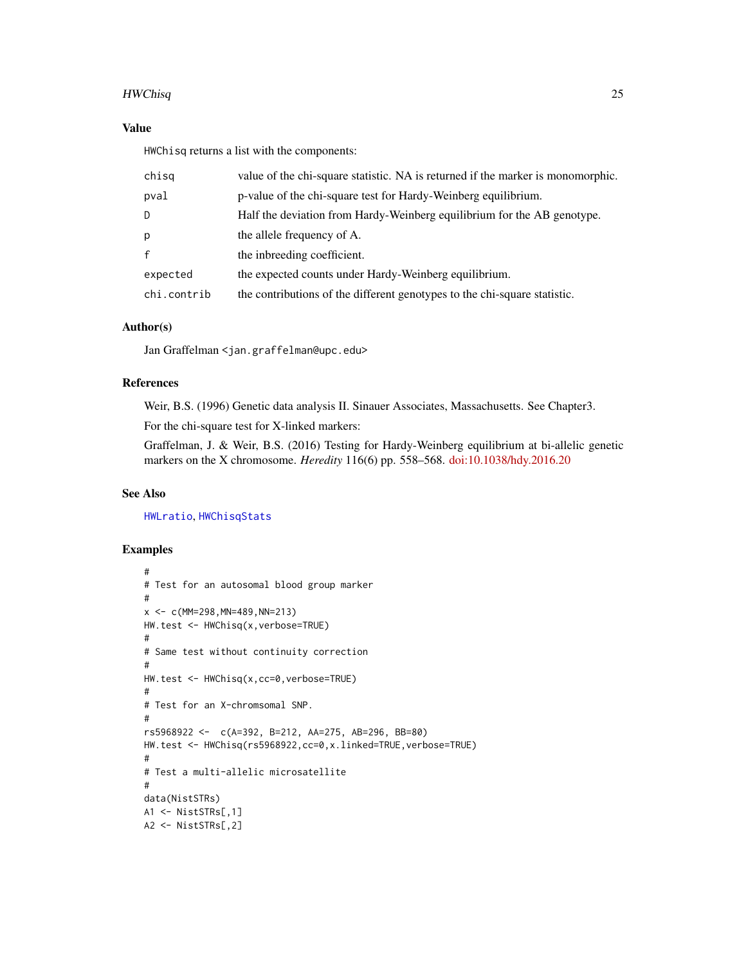#### HWChisq 25

### Value

HWChisq returns a list with the components:

| chisq       | value of the chi-square statistic. NA is returned if the marker is monomorphic. |
|-------------|---------------------------------------------------------------------------------|
| pval        | p-value of the chi-square test for Hardy-Weinberg equilibrium.                  |
| D           | Half the deviation from Hardy-Weinberg equilibrium for the AB genotype.         |
| р           | the allele frequency of A.                                                      |
| f           | the inbreeding coefficient.                                                     |
| expected    | the expected counts under Hardy-Weinberg equilibrium.                           |
| chi.contrib | the contributions of the different genotypes to the chi-square statistic.       |

### Author(s)

Jan Graffelman <jan.graffelman@upc.edu>

### References

Weir, B.S. (1996) Genetic data analysis II. Sinauer Associates, Massachusetts. See Chapter3.

For the chi-square test for X-linked markers:

Graffelman, J. & Weir, B.S. (2016) Testing for Hardy-Weinberg equilibrium at bi-allelic genetic markers on the X chromosome. *Heredity* 116(6) pp. 558–568. [doi:10.1038/hdy.2016.20](https://doi.org/10.1038/hdy.2016.20)

#### See Also

[HWLratio](#page-45-1), [HWChisqStats](#page-26-1)

```
#
# Test for an autosomal blood group marker
#
x \le -c(MM=298, MN=489, NN=213)HW.test <- HWChisq(x,verbose=TRUE)
#
# Same test without continuity correction
#
HW.test <- HWChisq(x,cc=0,verbose=TRUE)
#
# Test for an X-chromsomal SNP.
#
rs5968922 <- c(A=392, B=212, AA=275, AB=296, BB=80)
HW.test <- HWChisq(rs5968922,cc=0,x.linked=TRUE,verbose=TRUE)
#
# Test a multi-allelic microsatellite
#
data(NistSTRs)
A1 <- NistSTRs[,1]
A2 <- NistSTRs[,2]
```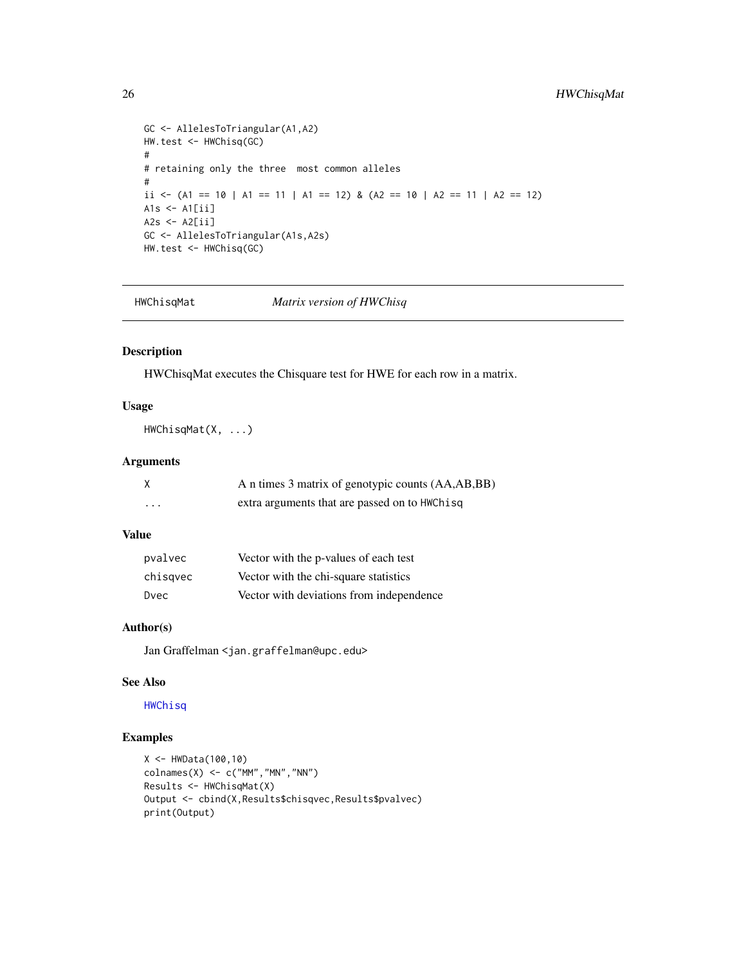```
GC <- AllelesToTriangular(A1,A2)
HW.test <- HWChisq(GC)
#
# retaining only the three most common alleles
#
ii <- (A1 == 10 | A1 == 11 | A1 == 12) & (A2 == 10 | A2 == 11 | A2 == 12)
A1s \leftarrow A1[ii]
A2s < - A2[i]GC <- AllelesToTriangular(A1s,A2s)
HW.test <- HWChisq(GC)
```
HWChisqMat *Matrix version of HWChisq*

### Description

HWChisqMat executes the Chisquare test for HWE for each row in a matrix.

### Usage

HWChisqMat(X, ...)

### Arguments

|          | A n times 3 matrix of genotypic counts (AA,AB,BB) |
|----------|---------------------------------------------------|
| $\cdots$ | extra arguments that are passed on to HWChisq     |

### Value

| pvalvec  | Vector with the p-values of each test    |
|----------|------------------------------------------|
| chisqvec | Vector with the chi-square statistics    |
| Dvec     | Vector with deviations from independence |

### Author(s)

Jan Graffelman <jan.graffelman@upc.edu>

### See Also

## [HWChisq](#page-23-1)

```
X < - HWData(100,10)
\text{colnames}(X) \leq c("MM", "MN", "NN")Results <- HWChisqMat(X)
Output <- cbind(X,Results$chisqvec,Results$pvalvec)
print(Output)
```
<span id="page-25-0"></span>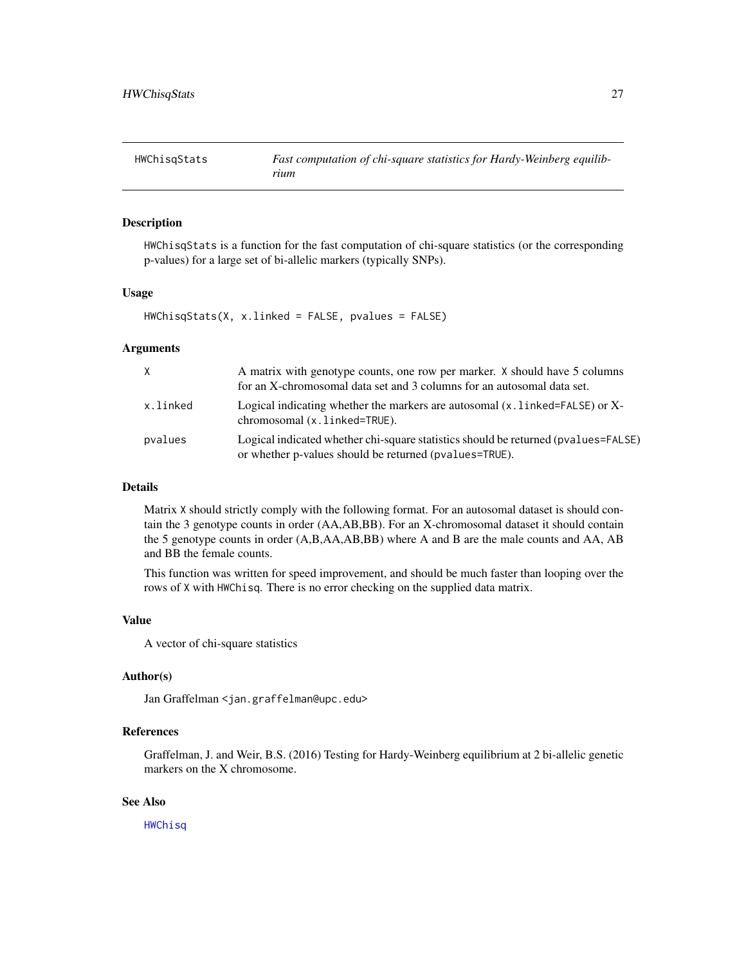<span id="page-26-1"></span><span id="page-26-0"></span>

HWChisqStats is a function for the fast computation of chi-square statistics (or the corresponding p-values) for a large set of bi-allelic markers (typically SNPs).

#### Usage

HWChisqStats(X, x.linked = FALSE, pvalues = FALSE)

### Arguments

| X        | A matrix with genotype counts, one row per marker. X should have 5 columns<br>for an X-chromosomal data set and 3 columns for an autosomal data set. |
|----------|------------------------------------------------------------------------------------------------------------------------------------------------------|
| x.linked | Logical indicating whether the markers are autosomal $(x, \text{linked} = \text{FALSE})$ or X-<br>chromosomal (x. linked=TRUE).                      |
| pvalues  | Logical indicated whether chi-square statistics should be returned (pvalues=FALSE)<br>or whether p-values should be returned (pvalues=TRUE).         |

### Details

Matrix X should strictly comply with the following format. For an autosomal dataset is should contain the 3 genotype counts in order (AA,AB,BB). For an X-chromosomal dataset it should contain the 5 genotype counts in order (A,B,AA,AB,BB) where A and B are the male counts and AA, AB and BB the female counts.

This function was written for speed improvement, and should be much faster than looping over the rows of X with HWChisq. There is no error checking on the supplied data matrix.

#### Value

A vector of chi-square statistics

### Author(s)

Jan Graffelman <jan.graffelman@upc.edu>

### References

Graffelman, J. and Weir, B.S. (2016) Testing for Hardy-Weinberg equilibrium at 2 bi-allelic genetic markers on the X chromosome.

### See Also

[HWChisq](#page-23-1)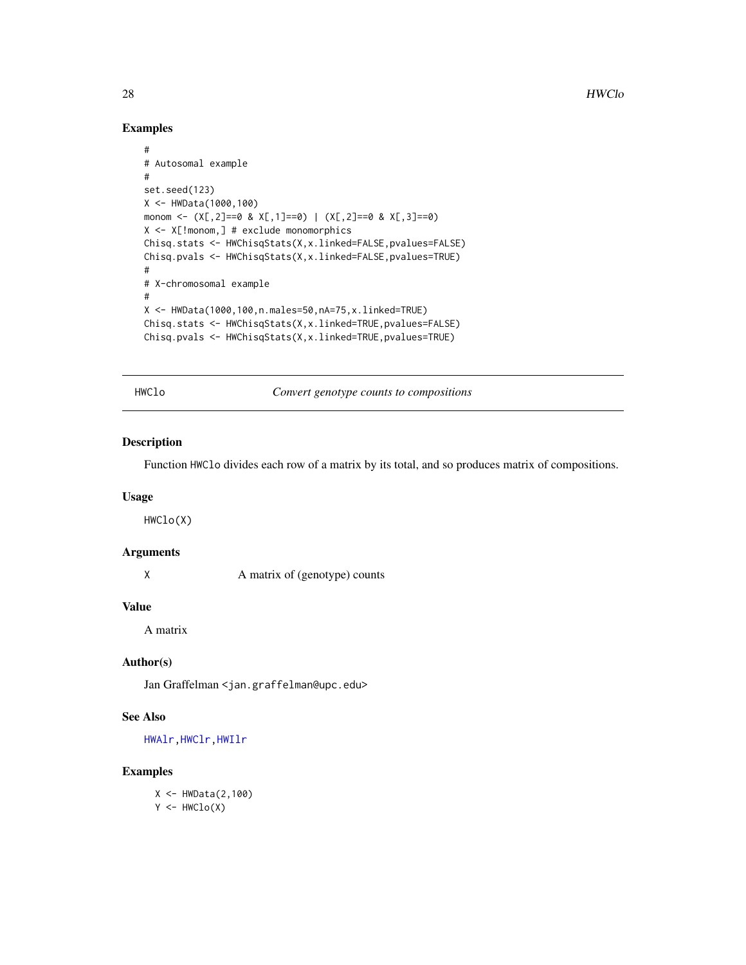### Examples

```
#
# Autosomal example
#
set.seed(123)
X <- HWData(1000,100)
monom <- (X[,2]==0 & X[,1]==0) | (X[,2]==0 & X[,3]==0)
X <- X[!monom,] # exclude monomorphics
Chisq.stats <- HWChisqStats(X,x.linked=FALSE,pvalues=FALSE)
Chisq.pvals <- HWChisqStats(X,x.linked=FALSE,pvalues=TRUE)
#
# X-chromosomal example
#
X <- HWData(1000,100,n.males=50,nA=75,x.linked=TRUE)
Chisq.stats <- HWChisqStats(X,x.linked=TRUE,pvalues=FALSE)
Chisq.pvals <- HWChisqStats(X,x.linked=TRUE,pvalues=TRUE)
```
HWClo *Convert genotype counts to compositions*

### Description

Function HWClo divides each row of a matrix by its total, and so produces matrix of compositions.

### Usage

HWClo(X)

### Arguments

X A matrix of (genotype) counts

#### Value

A matrix

#### Author(s)

Jan Graffelman <jan.graffelman@upc.edu>

### See Also

[HWAlr](#page-21-1)[,HWClr](#page-28-1)[,HWIlr](#page-41-1)

### Examples

X <- HWData(2,100)  $Y < -HWClo(X)$ 

<span id="page-27-0"></span>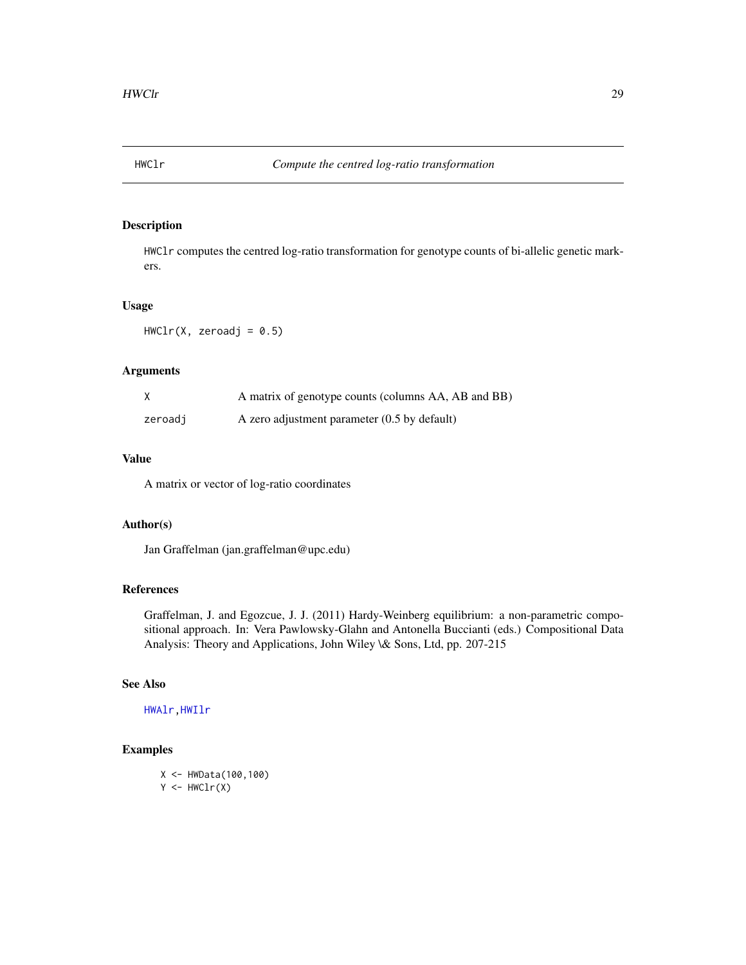<span id="page-28-1"></span><span id="page-28-0"></span>

HWClr computes the centred log-ratio transformation for genotype counts of bi-allelic genetic markers.

#### Usage

 $HWClr(X, zeroadj = 0.5)$ 

### Arguments

| X       | A matrix of genotype counts (columns AA, AB and BB) |
|---------|-----------------------------------------------------|
| zeroadj | A zero adjustment parameter $(0.5$ by default)      |

### Value

A matrix or vector of log-ratio coordinates

### Author(s)

Jan Graffelman (jan.graffelman@upc.edu)

## References

Graffelman, J. and Egozcue, J. J. (2011) Hardy-Weinberg equilibrium: a non-parametric compositional approach. In: Vera Pawlowsky-Glahn and Antonella Buccianti (eds.) Compositional Data Analysis: Theory and Applications, John Wiley \& Sons, Ltd, pp. 207-215

### See Also

[HWAlr](#page-21-1)[,HWIlr](#page-41-1)

### Examples

X <- HWData(100,100)  $Y \leftarrow HWClr(X)$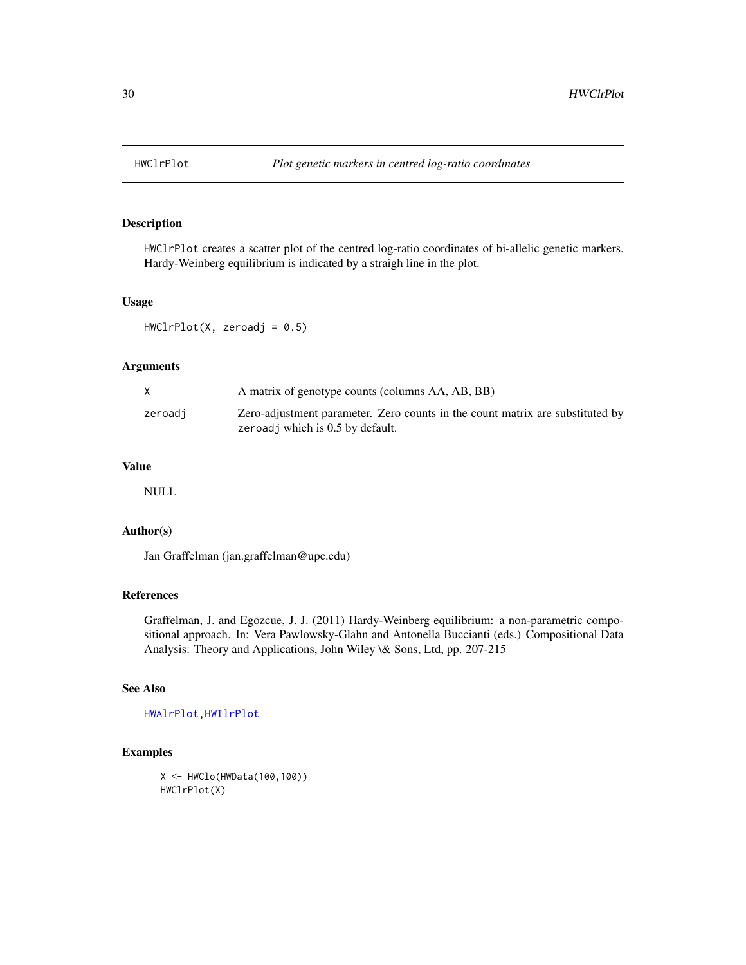<span id="page-29-1"></span><span id="page-29-0"></span>

HWClrPlot creates a scatter plot of the centred log-ratio coordinates of bi-allelic genetic markers. Hardy-Weinberg equilibrium is indicated by a straigh line in the plot.

### Usage

 $HWClrPlot(X, zeroadj = 0.5)$ 

#### Arguments

|         | A matrix of genotype counts (columns AA, AB, BB)                                                                  |
|---------|-------------------------------------------------------------------------------------------------------------------|
| zeroadi | Zero-adjustment parameter. Zero counts in the count matrix are substituted by<br>zeroadj which is 0.5 by default. |

#### Value

NULL

### Author(s)

Jan Graffelman (jan.graffelman@upc.edu)

### References

Graffelman, J. and Egozcue, J. J. (2011) Hardy-Weinberg equilibrium: a non-parametric compositional approach. In: Vera Pawlowsky-Glahn and Antonella Buccianti (eds.) Compositional Data Analysis: Theory and Applications, John Wiley \& Sons, Ltd, pp. 207-215

#### See Also

[HWAlrPlot](#page-22-1)[,HWIlrPlot](#page-42-1)

### Examples

X <- HWClo(HWData(100,100)) HWClrPlot(X)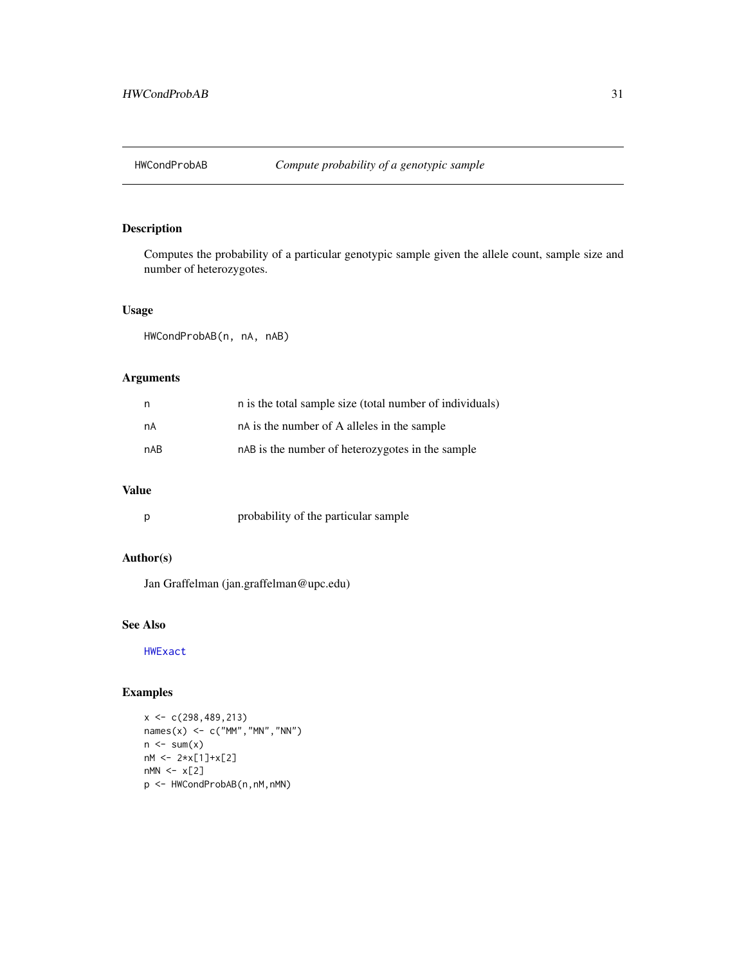<span id="page-30-0"></span>

Computes the probability of a particular genotypic sample given the allele count, sample size and number of heterozygotes.

### Usage

HWCondProbAB(n, nA, nAB)

#### Arguments

| n.  | n is the total sample size (total number of individuals) |
|-----|----------------------------------------------------------|
| nA  | nA is the number of A alleles in the sample              |
| nAB | nAB is the number of heterozygotes in the sample         |

### Value

| probability of the particular sample |
|--------------------------------------|
|                                      |

### Author(s)

Jan Graffelman (jan.graffelman@upc.edu)

### See Also

[HWExact](#page-33-1)

```
x < -c(298, 489, 213)names(x) <- c("MM","MN","NN")
n \leftarrow sum(x)nM <- 2*x[1]+x[2]
nMN \leftarrow x[2]p <- HWCondProbAB(n,nM,nMN)
```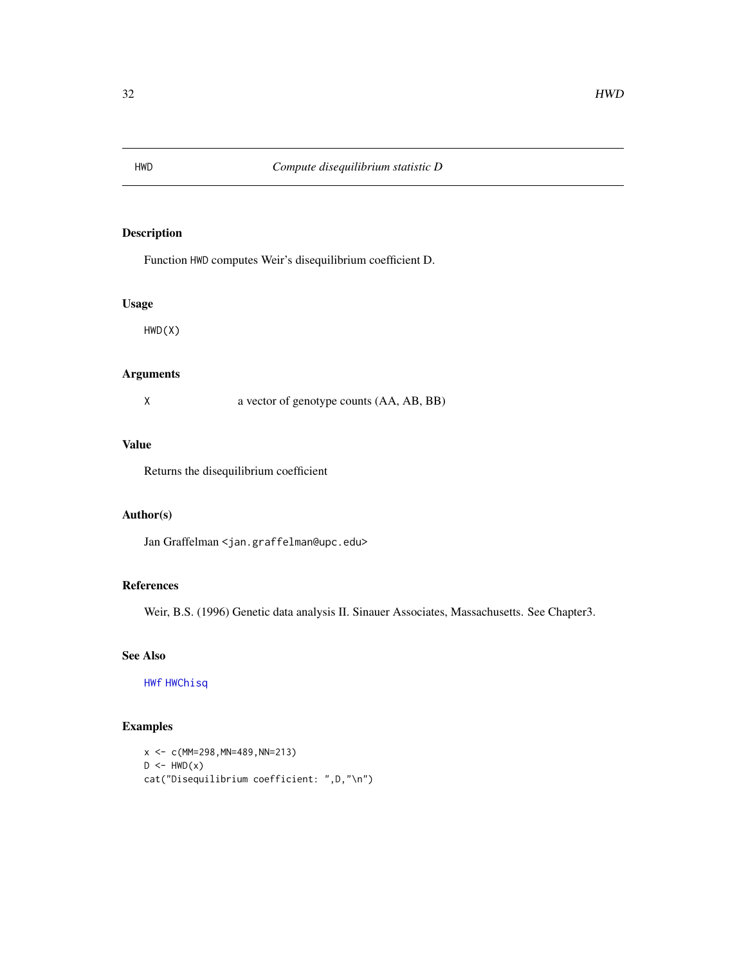<span id="page-31-0"></span>

Function HWD computes Weir's disequilibrium coefficient D.

#### Usage

HWD(X)

### Arguments

X a vector of genotype counts (AA, AB, BB)

### Value

Returns the disequilibrium coefficient

### Author(s)

Jan Graffelman <jan.graffelman@upc.edu>

#### References

Weir, B.S. (1996) Genetic data analysis II. Sinauer Associates, Massachusetts. See Chapter3.

### See Also

[HWf](#page-39-1) [HWChisq](#page-23-1)

```
x \leq -c(MM=298, MN=489, NN=213)D \leftarrow HWD(x)cat("Disequilibrium coefficient: ",D,"\n")
```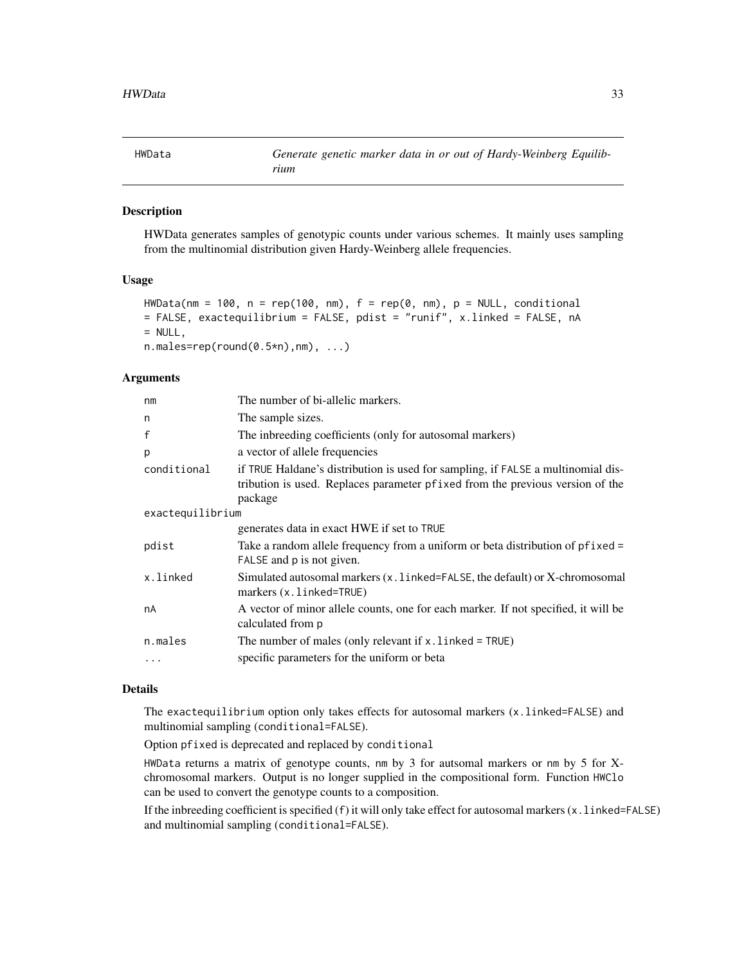<span id="page-32-0"></span>

HWData generates samples of genotypic counts under various schemes. It mainly uses sampling from the multinomial distribution given Hardy-Weinberg allele frequencies.

### Usage

```
HWData(nm = 100, n = rep(100, nm), f = rep(0, nm), p = NULL, conditional= FALSE, exactequilibrium = FALSE, pdist = "runif", x.linked = FALSE, nA
= NULL,
n.make=rep(rownd(0.5*n),nm), ...
```
#### Arguments

| nm               | The number of bi-allelic markers.                                                                                                                                            |
|------------------|------------------------------------------------------------------------------------------------------------------------------------------------------------------------------|
| n                | The sample sizes.                                                                                                                                                            |
| f                | The inbreeding coefficients (only for autosomal markers)                                                                                                                     |
| p                | a vector of allele frequencies                                                                                                                                               |
| conditional      | if TRUE Haldane's distribution is used for sampling, if FALSE a multinomial dis-<br>tribution is used. Replaces parameter pfixed from the previous version of the<br>package |
| exactequilibrium |                                                                                                                                                                              |
|                  | generates data in exact HWE if set to TRUE                                                                                                                                   |
| pdist            | Take a random allele frequency from a uniform or beta distribution of pfixed =<br>FALSE and p is not given.                                                                  |
| x.linked         | Simulated autosomal markers $(x, \text{linked} = \text{FALSE},$ the default) or X-chromosomal<br>markers (x.linked=TRUE)                                                     |
| nA               | A vector of minor allele counts, one for each marker. If not specified, it will be<br>calculated from p                                                                      |
| n.males          | The number of males (only relevant if $x$ . linked = TRUE)                                                                                                                   |
| .                | specific parameters for the uniform or beta                                                                                                                                  |
|                  |                                                                                                                                                                              |

#### Details

The exactequilibrium option only takes effects for autosomal markers (x.linked=FALSE) and multinomial sampling (conditional=FALSE).

Option pfixed is deprecated and replaced by conditional

HWData returns a matrix of genotype counts, nm by 3 for autsomal markers or nm by 5 for Xchromosomal markers. Output is no longer supplied in the compositional form. Function HWClo can be used to convert the genotype counts to a composition.

If the inbreeding coefficient is specified (f) it will only take effect for autosomal markers (x.linked=FALSE) and multinomial sampling (conditional=FALSE).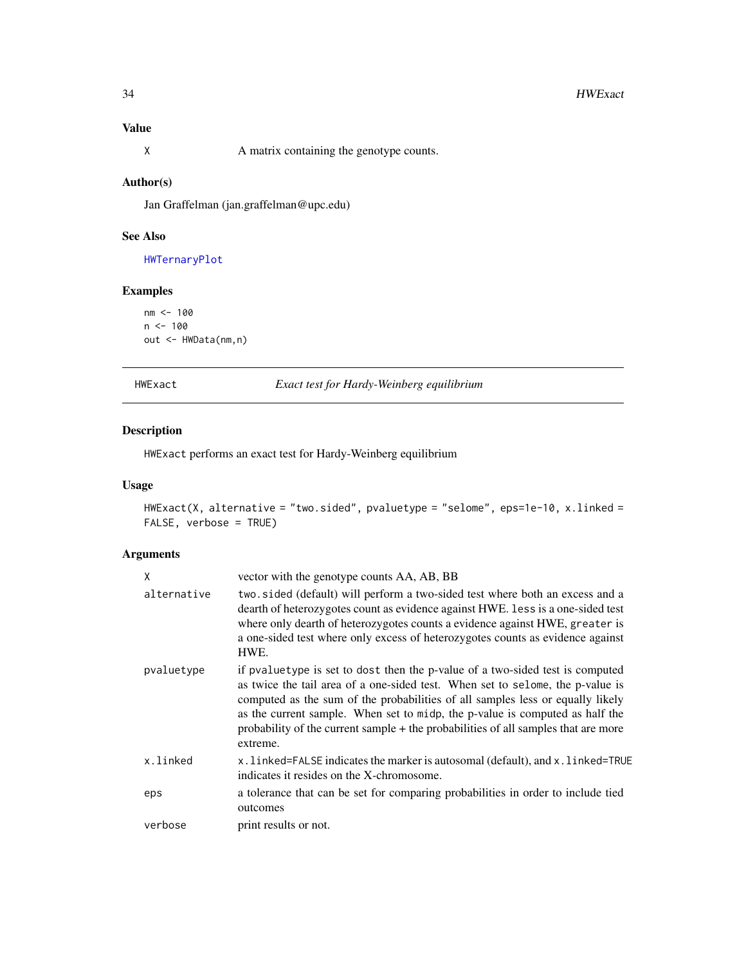### <span id="page-33-0"></span>Value

X A matrix containing the genotype counts.

### Author(s)

Jan Graffelman (jan.graffelman@upc.edu)

## See Also

[HWTernaryPlot](#page-59-1)

#### Examples

```
nm <- 100
n < - 100out <- HWData(nm,n)
```
<span id="page-33-1"></span>HWExact *Exact test for Hardy-Weinberg equilibrium*

#### Description

HWExact performs an exact test for Hardy-Weinberg equilibrium

### Usage

```
HWExact(X, alternative = "two.sided", pvaluetype = "selome", eps=1e-10, x.linked =
FALSE, verbose = TRUE)
```
### Arguments

| X           | vector with the genotype counts AA, AB, BB                                                                                                                                                                                                                                                                                                                                                                                          |
|-------------|-------------------------------------------------------------------------------------------------------------------------------------------------------------------------------------------------------------------------------------------------------------------------------------------------------------------------------------------------------------------------------------------------------------------------------------|
| alternative | two.sided (default) will perform a two-sided test where both an excess and a<br>dearth of heterozygotes count as evidence against HWE. Less is a one-sided test<br>where only dearth of heterozygotes counts a evidence against HWE, greater is<br>a one-sided test where only excess of heterozygotes counts as evidence against<br>HWE.                                                                                           |
| pvaluetype  | if pvaluetype is set to dost then the p-value of a two-sided test is computed<br>as twice the tail area of a one-sided test. When set to selome, the p-value is<br>computed as the sum of the probabilities of all samples less or equally likely<br>as the current sample. When set to midp, the p-value is computed as half the<br>probability of the current sample + the probabilities of all samples that are more<br>extreme. |
| x.linked    | x. linked=FALSE indicates the marker is autosomal (default), and x. linked=TRUE<br>indicates it resides on the X-chromosome.                                                                                                                                                                                                                                                                                                        |
| eps         | a tolerance that can be set for comparing probabilities in order to include tied<br>outcomes                                                                                                                                                                                                                                                                                                                                        |
| verbose     | print results or not.                                                                                                                                                                                                                                                                                                                                                                                                               |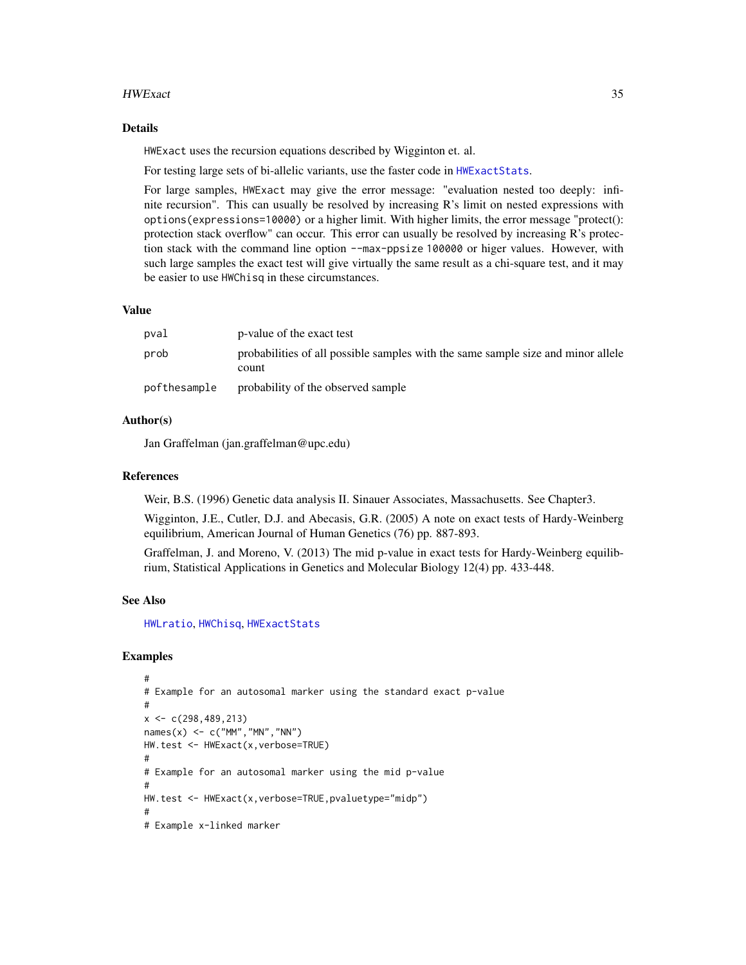#### HWExact 35

#### Details

HWExact uses the recursion equations described by Wigginton et. al.

For testing large sets of bi-allelic variants, use the faster code in [HWExactStats](#page-37-1).

For large samples, HWExact may give the error message: "evaluation nested too deeply: infinite recursion". This can usually be resolved by increasing R's limit on nested expressions with options(expressions=10000) or a higher limit. With higher limits, the error message "protect(): protection stack overflow" can occur. This error can usually be resolved by increasing R's protection stack with the command line option --max-ppsize 100000 or higer values. However, with such large samples the exact test will give virtually the same result as a chi-square test, and it may be easier to use HWChisq in these circumstances.

### Value

| pval         | p-value of the exact test                                                                 |
|--------------|-------------------------------------------------------------------------------------------|
| prob         | probabilities of all possible samples with the same sample size and minor allele<br>count |
| pofthesample | probability of the observed sample                                                        |

#### Author(s)

Jan Graffelman (jan.graffelman@upc.edu)

#### References

Weir, B.S. (1996) Genetic data analysis II. Sinauer Associates, Massachusetts. See Chapter3.

Wigginton, J.E., Cutler, D.J. and Abecasis, G.R. (2005) A note on exact tests of Hardy-Weinberg equilibrium, American Journal of Human Genetics (76) pp. 887-893.

Graffelman, J. and Moreno, V. (2013) The mid p-value in exact tests for Hardy-Weinberg equilibrium, Statistical Applications in Genetics and Molecular Biology 12(4) pp. 433-448.

#### See Also

[HWLratio](#page-45-1), [HWChisq](#page-23-1), [HWExactStats](#page-37-1)

```
#
# Example for an autosomal marker using the standard exact p-value
#
x \leftarrow c(298, 489, 213)names(x) \leq c("MM", "MN", "NN")HW.test <- HWExact(x,verbose=TRUE)
#
# Example for an autosomal marker using the mid p-value
#
HW.test <- HWExact(x,verbose=TRUE,pvaluetype="midp")
#
# Example x-linked marker
```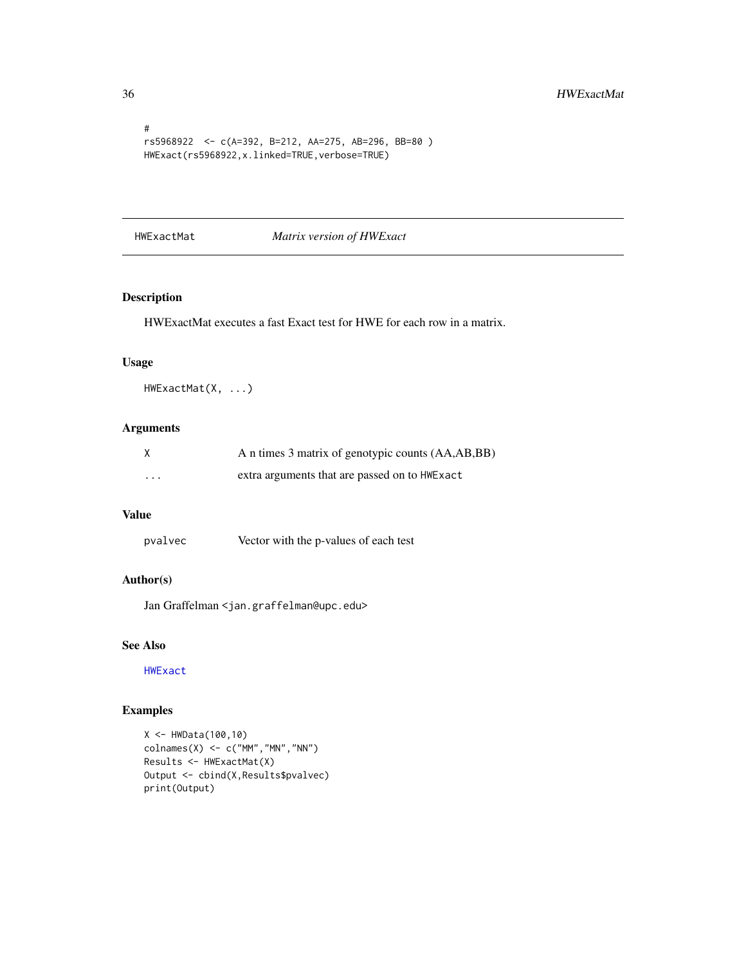```
#
rs5968922 <- c(A=392, B=212, AA=275, AB=296, BB=80 )
HWExact(rs5968922,x.linked=TRUE,verbose=TRUE)
```
#### HWExactMat *Matrix version of HWExact*

## Description

HWExactMat executes a fast Exact test for HWE for each row in a matrix.

#### Usage

HWExactMat(X, ...)

#### Arguments

| X                       | A n times 3 matrix of genotypic counts (AA,AB,BB) |
|-------------------------|---------------------------------------------------|
| $\cdot$ $\cdot$ $\cdot$ | extra arguments that are passed on to HWE x act   |

### Value

pvalvec Vector with the p-values of each test

### Author(s)

Jan Graffelman <jan.graffelman@upc.edu>

### See Also

[HWExact](#page-33-1)

```
X <- HWData(100,10)
\text{colnames}(X) \leftarrow c("MM", "MN", "NN")Results <- HWExactMat(X)
Output <- cbind(X,Results$pvalvec)
print(Output)
```
<span id="page-35-0"></span>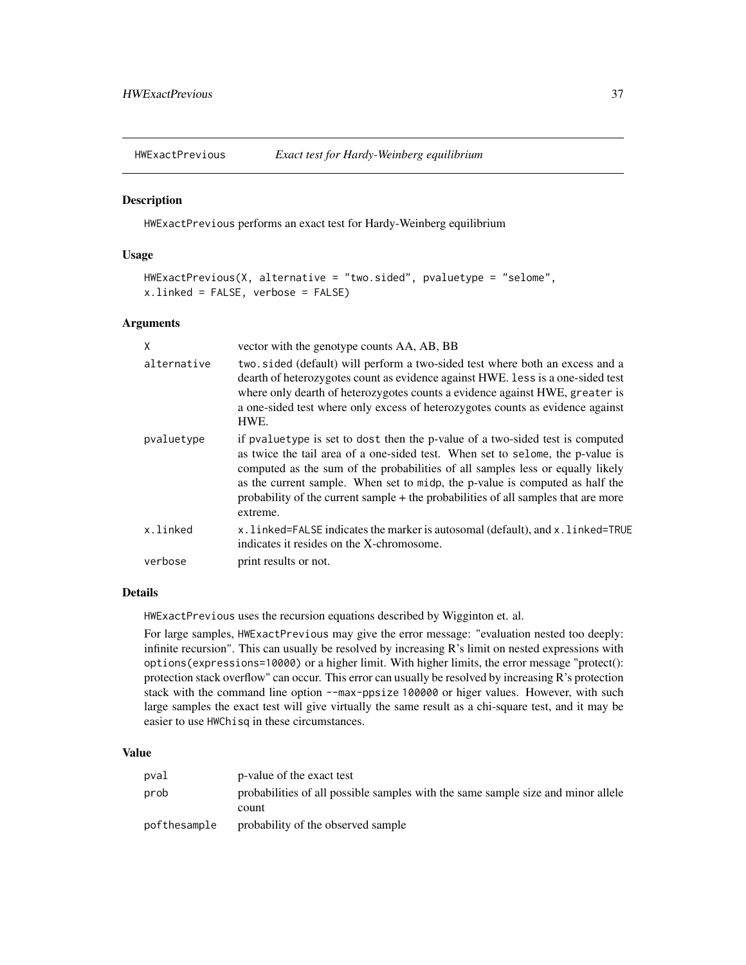## Description

HWExactPrevious performs an exact test for Hardy-Weinberg equilibrium

## Usage

```
HWExactPrevious(X, alternative = "two.sided", pvaluetype = "selome",
x.linked = FALSE, verbose = FALSE)
```
## Arguments

| X           | vector with the genotype counts AA, AB, BB                                                                                                                                                                                                                                                                                                                                                                                          |
|-------------|-------------------------------------------------------------------------------------------------------------------------------------------------------------------------------------------------------------------------------------------------------------------------------------------------------------------------------------------------------------------------------------------------------------------------------------|
| alternative | two sided (default) will perform a two-sided test where both an excess and a<br>dearth of heterozygotes count as evidence against HWE. Less is a one-sided test<br>where only dearth of heterozygotes counts a evidence against HWE, greater is<br>a one-sided test where only excess of heterozygotes counts as evidence against<br>HWE.                                                                                           |
| pvaluetype  | if pvaluetype is set to dost then the p-value of a two-sided test is computed<br>as twice the tail area of a one-sided test. When set to selome, the p-value is<br>computed as the sum of the probabilities of all samples less or equally likely<br>as the current sample. When set to midp, the p-value is computed as half the<br>probability of the current sample + the probabilities of all samples that are more<br>extreme. |
| x.linked    | x.linked=FALSE indicates the marker is autosomal (default), and x.linked=TRUE<br>indicates it resides on the X-chromosome.                                                                                                                                                                                                                                                                                                          |
| verbose     | print results or not.                                                                                                                                                                                                                                                                                                                                                                                                               |

## Details

HWExactPrevious uses the recursion equations described by Wigginton et. al.

For large samples, HWExactPrevious may give the error message: "evaluation nested too deeply: infinite recursion". This can usually be resolved by increasing R's limit on nested expressions with options(expressions=10000) or a higher limit. With higher limits, the error message "protect(): protection stack overflow" can occur. This error can usually be resolved by increasing R's protection stack with the command line option --max-ppsize 100000 or higer values. However, with such large samples the exact test will give virtually the same result as a chi-square test, and it may be easier to use HWChisq in these circumstances.

## Value

| pval         | p-value of the exact test                                                                 |
|--------------|-------------------------------------------------------------------------------------------|
| prob         | probabilities of all possible samples with the same sample size and minor allele<br>count |
| pofthesample | probability of the observed sample                                                        |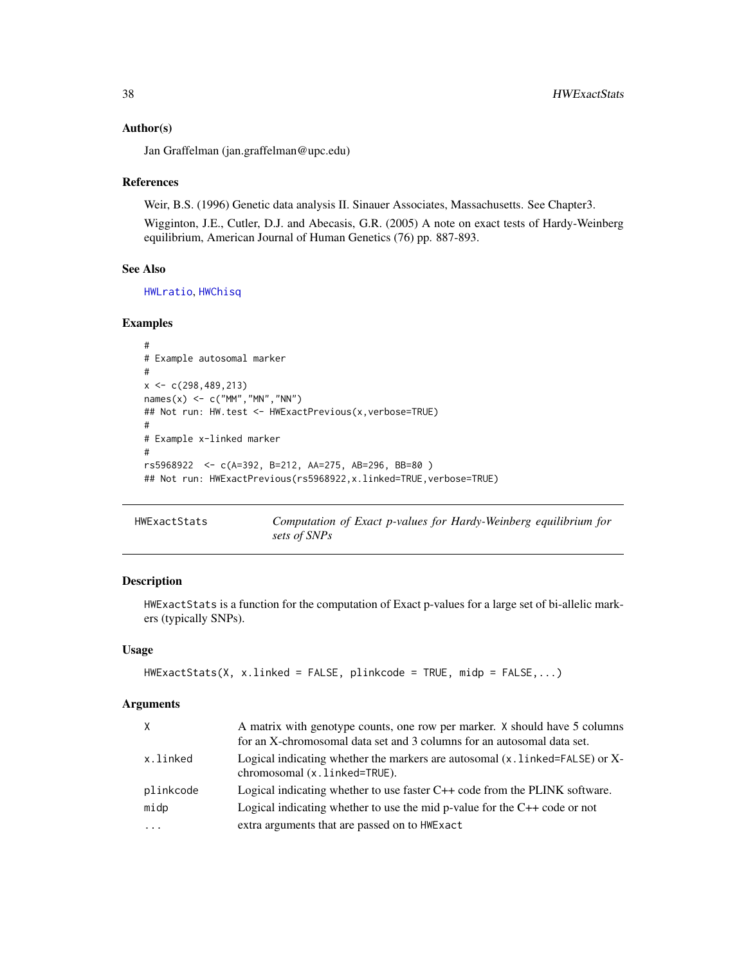#### Author(s)

Jan Graffelman (jan.graffelman@upc.edu)

#### References

Weir, B.S. (1996) Genetic data analysis II. Sinauer Associates, Massachusetts. See Chapter3. Wigginton, J.E., Cutler, D.J. and Abecasis, G.R. (2005) A note on exact tests of Hardy-Weinberg equilibrium, American Journal of Human Genetics (76) pp. 887-893.

## See Also

[HWLratio](#page-45-0), [HWChisq](#page-23-0)

## Examples

```
#
# Example autosomal marker
#
x \leftarrow c(298, 489, 213)names(x) \leq c("MM", "MN", "NN")## Not run: HW.test <- HWExactPrevious(x,verbose=TRUE)
#
# Example x-linked marker
#
rs5968922 <- c(A=392, B=212, AA=275, AB=296, BB=80 )
## Not run: HWExactPrevious(rs5968922,x.linked=TRUE,verbose=TRUE)
```
<span id="page-37-0"></span>HWExactStats *Computation of Exact p-values for Hardy-Weinberg equilibrium for sets of SNPs*

#### Description

HWExactStats is a function for the computation of Exact p-values for a large set of bi-allelic markers (typically SNPs).

## Usage

```
HWExactStats(X, x.linked = FALSE, plinkcode = TRUE, midp = FALSE,...)
```
## Arguments

| X         | A matrix with genotype counts, one row per marker. X should have 5 columns                                       |
|-----------|------------------------------------------------------------------------------------------------------------------|
|           | for an X-chromosomal data set and 3 columns for an autosomal data set.                                           |
| x.linked  | Logical indicating whether the markers are autosomal $(x, 1)$ inked=FALSE) or X-<br>chromosomal (x.linked=TRUE). |
| plinkcode | Logical indicating whether to use faster $C++$ code from the PLINK software.                                     |
| midp      | Logical indicating whether to use the mid p-value for the $C++$ code or not                                      |
| $\cdot$   | extra arguments that are passed on to HWExact                                                                    |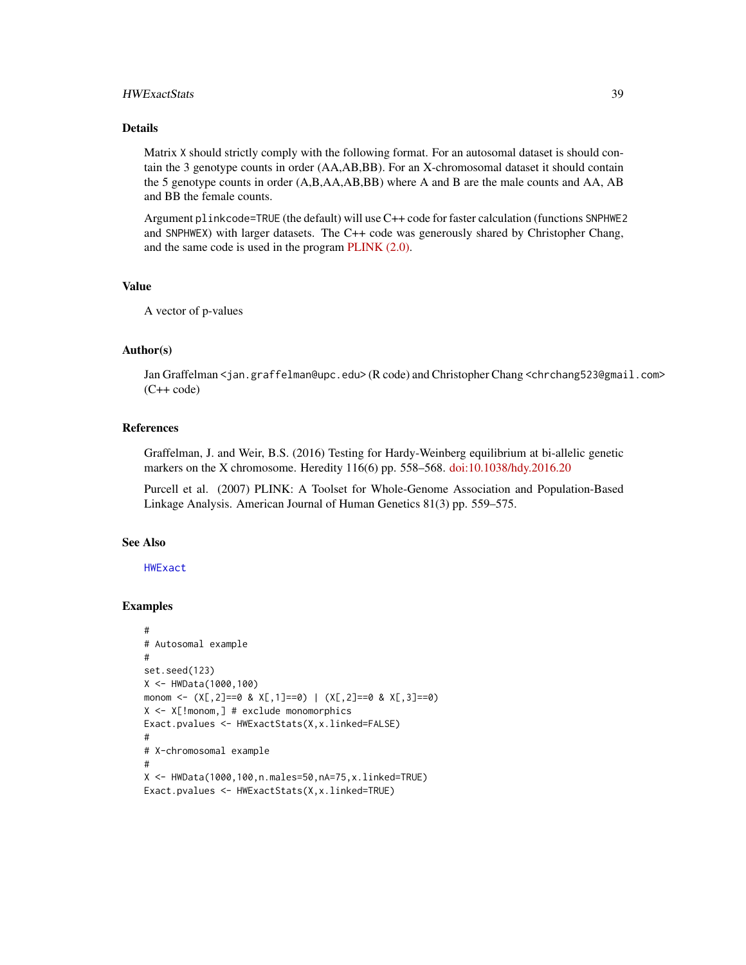## HWExactStats 39

## Details

Matrix X should strictly comply with the following format. For an autosomal dataset is should contain the 3 genotype counts in order (AA,AB,BB). For an X-chromosomal dataset it should contain the 5 genotype counts in order (A,B,AA,AB,BB) where A and B are the male counts and AA, AB and BB the female counts.

Argument plinkcode=TRUE (the default) will use C++ code for faster calculation (functions SNPHWE2 and SNPHWEX) with larger datasets. The C++ code was generously shared by Christopher Chang, and the same code is used in the program [PLINK \(2.0\).](http://www.cog-genomics.org/plink/2.0)

#### Value

A vector of p-values

## Author(s)

Jan Graffelman <jan.graffelman@upc.edu> (R code) and Christopher Chang <chrchang523@gmail.com>  $(C++ code)$ 

## References

Graffelman, J. and Weir, B.S. (2016) Testing for Hardy-Weinberg equilibrium at bi-allelic genetic markers on the X chromosome. Heredity 116(6) pp. 558–568. [doi:10.1038/hdy.2016.20](https://doi.org/10.1038/hdy.2016.20)

Purcell et al. (2007) PLINK: A Toolset for Whole-Genome Association and Population-Based Linkage Analysis. American Journal of Human Genetics 81(3) pp. 559–575.

#### See Also

[HWExact](#page-33-0)

```
#
# Autosomal example
#
set.seed(123)
X <- HWData(1000,100)
monom <- (X[, 2]=0 & X[, 1]=0) | (X[, 2]=0 & X[, 3]=0)
X <- X[!monom,] # exclude monomorphics
Exact.pvalues <- HWExactStats(X,x.linked=FALSE)
#
# X-chromosomal example
#
X <- HWData(1000,100,n.males=50,nA=75,x.linked=TRUE)
Exact.pvalues <- HWExactStats(X,x.linked=TRUE)
```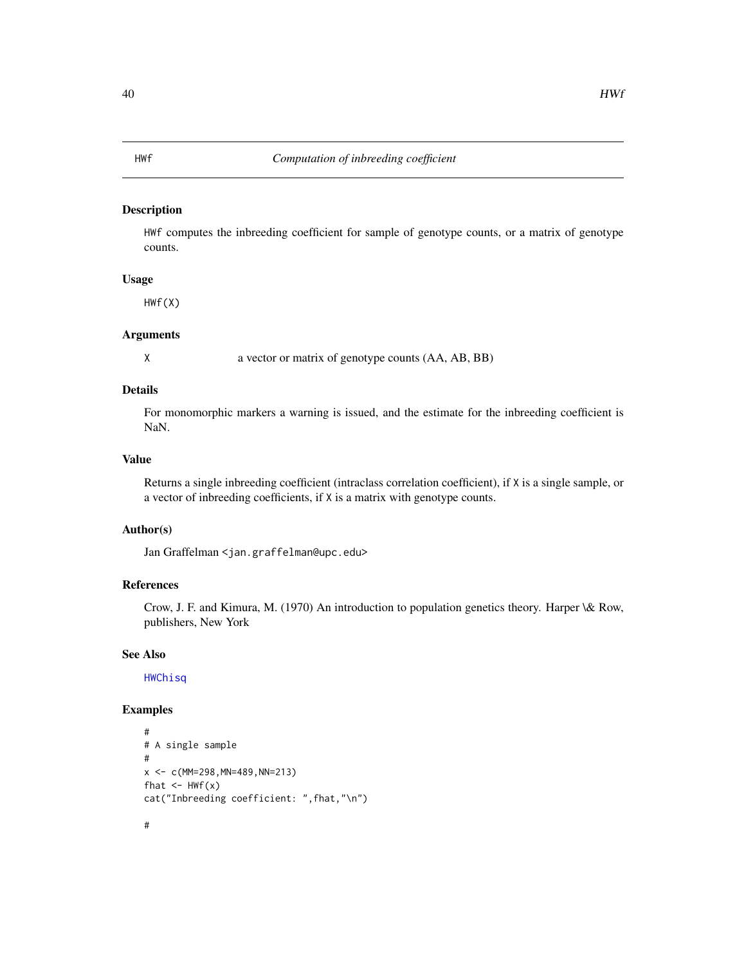#### Description

HWf computes the inbreeding coefficient for sample of genotype counts, or a matrix of genotype counts.

## Usage

HWf(X)

## Arguments

X a vector or matrix of genotype counts (AA, AB, BB)

## Details

For monomorphic markers a warning is issued, and the estimate for the inbreeding coefficient is NaN.

#### Value

Returns a single inbreeding coefficient (intraclass correlation coefficient), if X is a single sample, or a vector of inbreeding coefficients, if X is a matrix with genotype counts.

#### Author(s)

Jan Graffelman <jan.graffelman@upc.edu>

#### References

Crow, J. F. and Kimura, M. (1970) An introduction to population genetics theory. Harper \& Row, publishers, New York

## See Also

[HWChisq](#page-23-0)

## Examples

#

```
#
# A single sample
#
x <- c(MM=298,MN=489,NN=213)
fhat \leftarrow HWf(x)
cat("Inbreeding coefficient: ",fhat,"\n")
```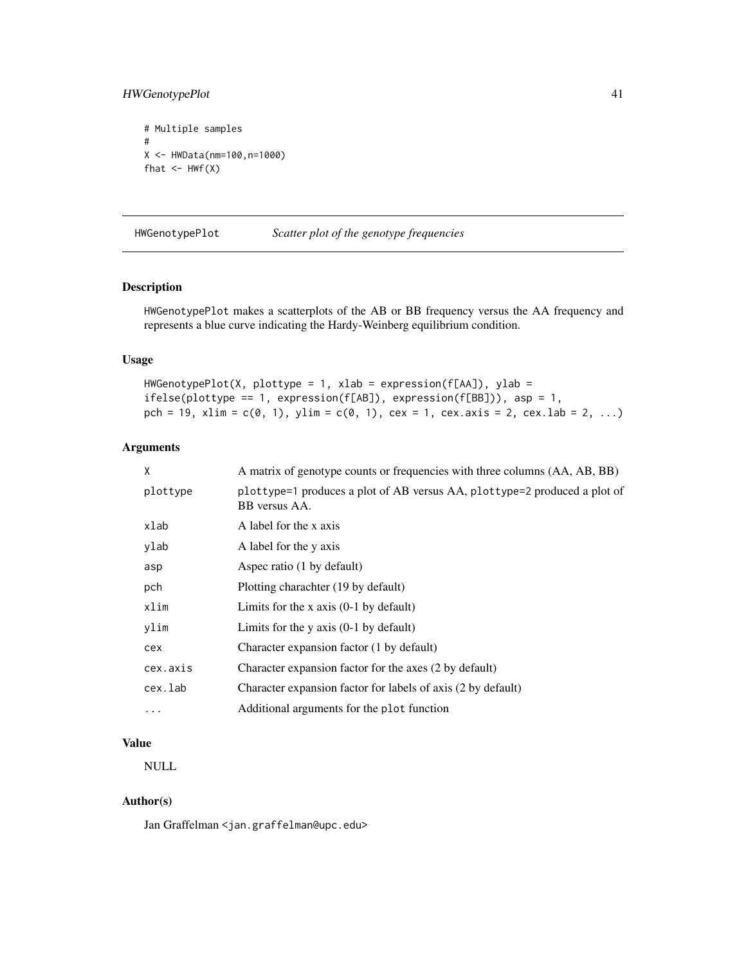## HWGenotypePlot 41

```
# Multiple samples
#
X <- HWData(nm=100,n=1000)
fhat \leq HWf(X)
```
HWGenotypePlot *Scatter plot of the genotype frequencies*

## Description

HWGenotypePlot makes a scatterplots of the AB or BB frequency versus the AA frequency and represents a blue curve indicating the Hardy-Weinberg equilibrium condition.

#### Usage

```
HWGenotypePlot(X, plottype = 1, xlab = expression(f[AA]), ylab =
ifelse(plottype == 1, expression(f[AB]), expression(f[BB])), asp = 1,
pch = 19, xlim = c(0, 1), ylim = c(0, 1), cex = 1, cex.axis = 2, cex.lab = 2, ...)
```
#### Arguments

| X        | A matrix of genotype counts or frequencies with three columns (AA, AB, BB)                 |
|----------|--------------------------------------------------------------------------------------------|
| plottype | plottype=1 produces a plot of AB versus AA, plottype=2 produced a plot of<br>BB versus AA. |
| xlab     | A label for the x axis                                                                     |
| ylab     | A label for the y axis                                                                     |
| asp      | Aspec ratio (1 by default)                                                                 |
| pch      | Plotting charachter (19 by default)                                                        |
| xlim     | Limits for the x axis $(0-1)$ by default)                                                  |
| ylim     | Limits for the $y$ axis $(0-1)$ by default)                                                |
| cex      | Character expansion factor (1 by default)                                                  |
| cex.axis | Character expansion factor for the axes (2 by default)                                     |
| cex.lab  | Character expansion factor for labels of axis (2 by default)                               |
| .        | Additional arguments for the plot function                                                 |
|          |                                                                                            |

## Value

NULL

## Author(s)

Jan Graffelman <jan.graffelman@upc.edu>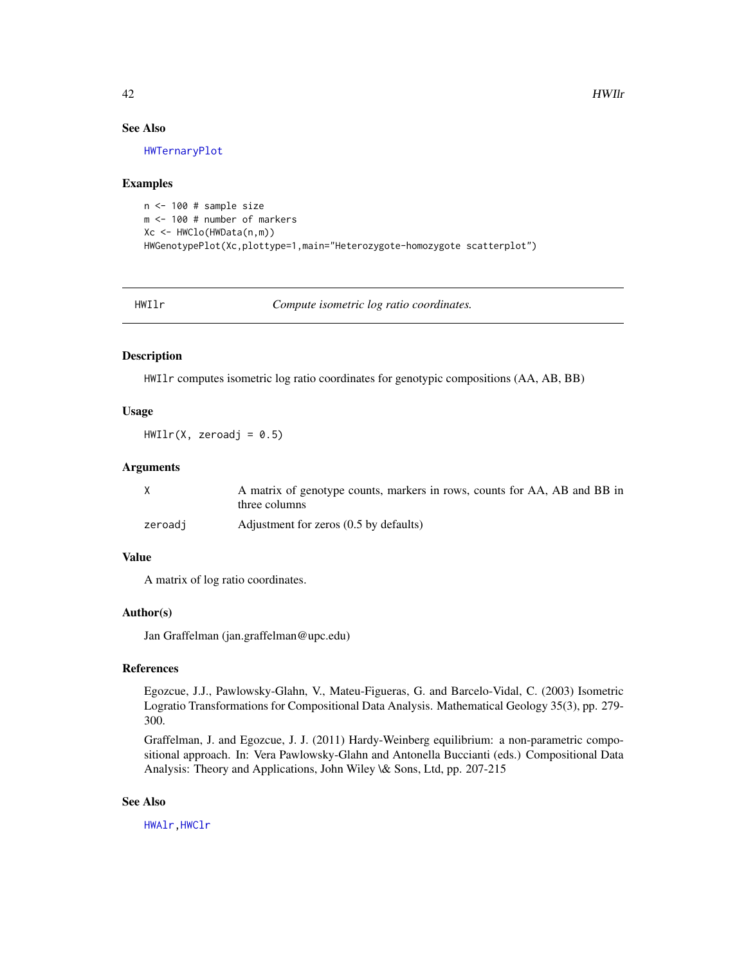## See Also

[HWTernaryPlot](#page-59-0)

#### Examples

```
n <- 100 # sample size
m <- 100 # number of markers
Xc <- HWClo(HWData(n,m))
HWGenotypePlot(Xc,plottype=1,main="Heterozygote-homozygote scatterplot")
```
HWIlr *Compute isometric log ratio coordinates.*

#### Description

HWIlr computes isometric log ratio coordinates for genotypic compositions (AA, AB, BB)

## Usage

 $HWIlr(X, zeroadj = 0.5)$ 

#### Arguments

|         | A matrix of genotype counts, markers in rows, counts for AA, AB and BB in<br>three columns |
|---------|--------------------------------------------------------------------------------------------|
| zeroadi | Adjustment for zeros (0.5 by defaults)                                                     |

## Value

A matrix of log ratio coordinates.

### Author(s)

Jan Graffelman (jan.graffelman@upc.edu)

#### References

Egozcue, J.J., Pawlowsky-Glahn, V., Mateu-Figueras, G. and Barcelo-Vidal, C. (2003) Isometric Logratio Transformations for Compositional Data Analysis. Mathematical Geology 35(3), pp. 279- 300.

Graffelman, J. and Egozcue, J. J. (2011) Hardy-Weinberg equilibrium: a non-parametric compositional approach. In: Vera Pawlowsky-Glahn and Antonella Buccianti (eds.) Compositional Data Analysis: Theory and Applications, John Wiley \& Sons, Ltd, pp. 207-215

## See Also

[HWAlr](#page-21-0)[,HWClr](#page-28-0)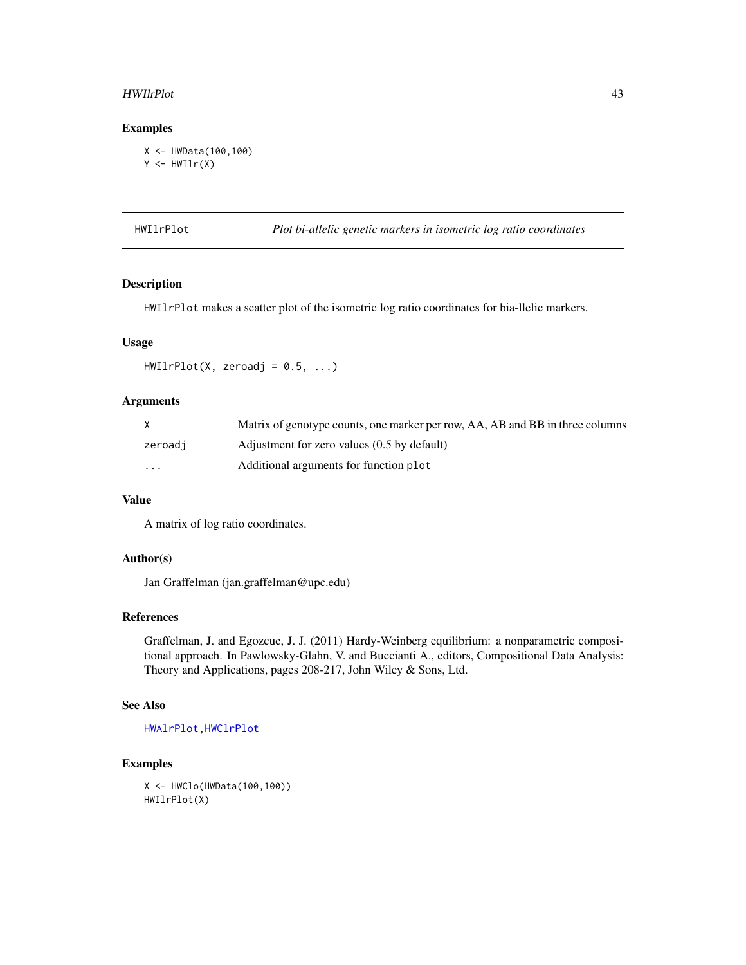#### HWIlrPlot 43

## Examples

```
X <- HWData(100,100)
Y \leftarrow HWIlr(X)
```
HWIlrPlot *Plot bi-allelic genetic markers in isometric log ratio coordinates*

## Description

HWIlrPlot makes a scatter plot of the isometric log ratio coordinates for bia-llelic markers.

## Usage

 $HWI1rPlot(X, zeroadj = 0.5, ...)$ 

## Arguments

|                         | Matrix of genotype counts, one marker per row, AA, AB and BB in three columns |
|-------------------------|-------------------------------------------------------------------------------|
| zeroadj                 | Adjustment for zero values (0.5 by default)                                   |
| $\cdot$ $\cdot$ $\cdot$ | Additional arguments for function plot                                        |

## Value

A matrix of log ratio coordinates.

#### Author(s)

Jan Graffelman (jan.graffelman@upc.edu)

## References

Graffelman, J. and Egozcue, J. J. (2011) Hardy-Weinberg equilibrium: a nonparametric compositional approach. In Pawlowsky-Glahn, V. and Buccianti A., editors, Compositional Data Analysis: Theory and Applications, pages 208-217, John Wiley & Sons, Ltd.

## See Also

[HWAlrPlot](#page-22-0)[,HWClrPlot](#page-29-0)

```
X <- HWClo(HWData(100,100))
HWIlrPlot(X)
```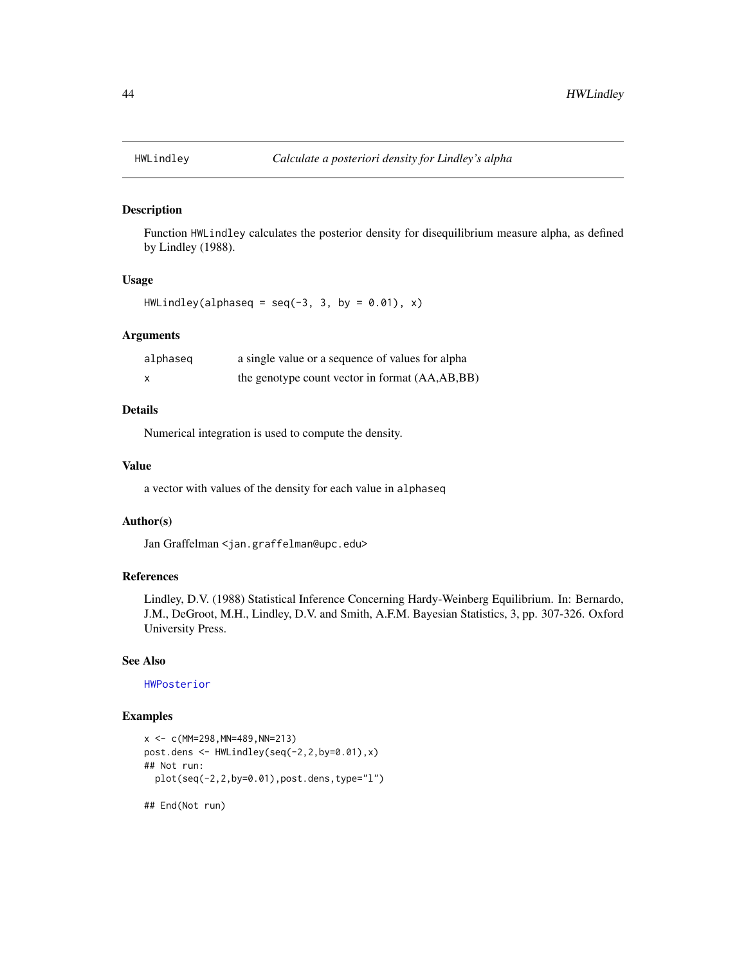## Description

Function HWLindley calculates the posterior density for disequilibrium measure alpha, as defined by Lindley (1988).

## Usage

```
HWLindley(alphaseq = seq(-3, 3, by = 0.01), x)
```
## Arguments

| alphaseg                  | a single value or a sequence of values for alpha |
|---------------------------|--------------------------------------------------|
| $\boldsymbol{\mathsf{x}}$ | the genotype count vector in format (AA,AB,BB)   |

# Details

Numerical integration is used to compute the density.

#### Value

a vector with values of the density for each value in alphaseq

#### Author(s)

Jan Graffelman <jan.graffelman@upc.edu>

## References

Lindley, D.V. (1988) Statistical Inference Concerning Hardy-Weinberg Equilibrium. In: Bernardo, J.M., DeGroot, M.H., Lindley, D.V. and Smith, A.F.M. Bayesian Statistics, 3, pp. 307-326. Oxford University Press.

## See Also

[HWPosterior](#page-54-0)

## Examples

```
x <- c(MM=298,MN=489,NN=213)
post.dens <- HWLindley(seq(-2,2,by=0.01),x)
## Not run:
 plot(seq(-2,2,by=0.01),post.dens,type="l")
```
## End(Not run)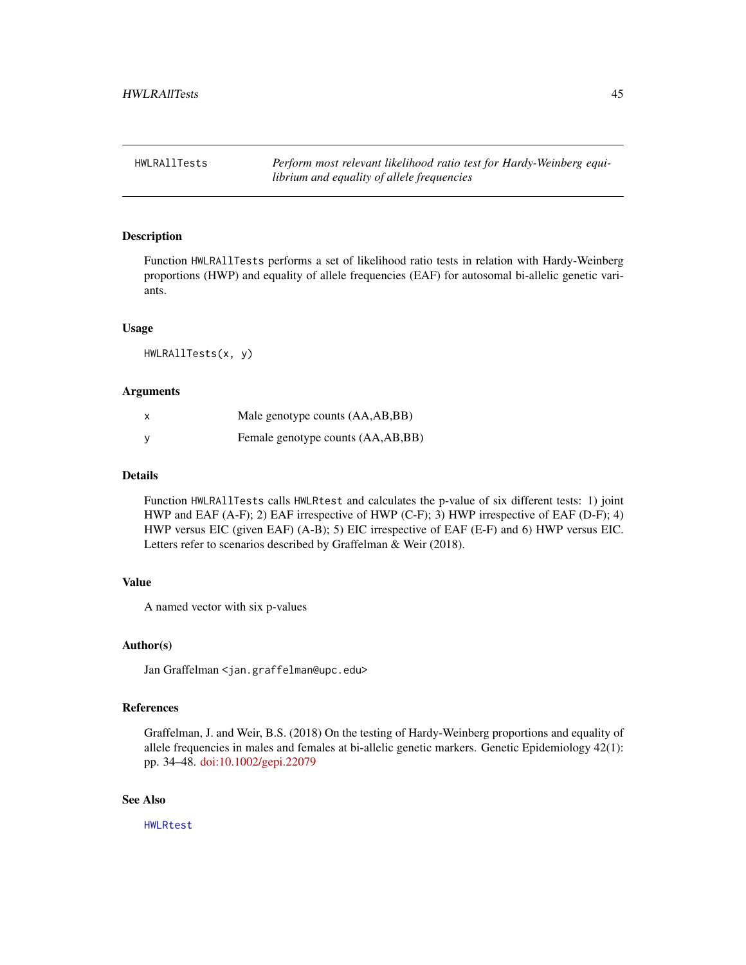HWLRAllTests *Perform most relevant likelihood ratio test for Hardy-Weinberg equilibrium and equality of allele frequencies*

## Description

Function HWLRAllTests performs a set of likelihood ratio tests in relation with Hardy-Weinberg proportions (HWP) and equality of allele frequencies (EAF) for autosomal bi-allelic genetic variants.

## Usage

HWLRAllTests(x, y)

#### Arguments

| x        | Male genotype counts (AA,AB,BB)   |
|----------|-----------------------------------|
| <b>V</b> | Female genotype counts (AA,AB,BB) |

## Details

Function HWLRAllTests calls HWLRtest and calculates the p-value of six different tests: 1) joint HWP and EAF (A-F); 2) EAF irrespective of HWP (C-F); 3) HWP irrespective of EAF (D-F); 4) HWP versus EIC (given EAF) (A-B); 5) EIC irrespective of EAF (E-F) and 6) HWP versus EIC. Letters refer to scenarios described by Graffelman & Weir (2018).

## Value

A named vector with six p-values

#### Author(s)

Jan Graffelman <jan.graffelman@upc.edu>

#### References

Graffelman, J. and Weir, B.S. (2018) On the testing of Hardy-Weinberg proportions and equality of allele frequencies in males and females at bi-allelic genetic markers. Genetic Epidemiology 42(1): pp. 34–48. [doi:10.1002/gepi.22079](https://doi.org/10.1002/gepi.22079)

## See Also

[HWLRtest](#page-46-0)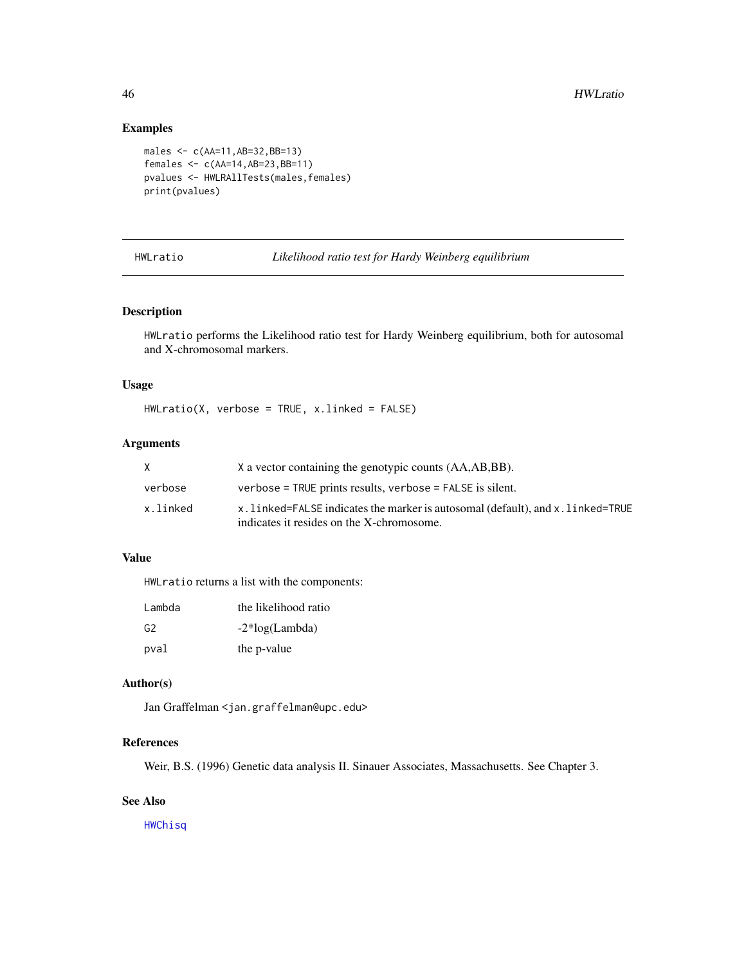## Examples

```
males <- c(AA=11,AB=32,BB=13)
females <- c(AA=14,AB=23,BB=11)
pvalues <- HWLRAllTests(males,females)
print(pvalues)
```
<span id="page-45-0"></span>HWLratio *Likelihood ratio test for Hardy Weinberg equilibrium*

#### Description

HWLratio performs the Likelihood ratio test for Hardy Weinberg equilibrium, both for autosomal and X-chromosomal markers.

## Usage

HWLratio(X, verbose = TRUE, x.linked = FALSE)

## Arguments

| X        | X a vector containing the genotypic counts (AA,AB,BB).                                                                       |
|----------|------------------------------------------------------------------------------------------------------------------------------|
| verbose  | $verbose = TRUE$ prints results, verbose = FALSE is silent.                                                                  |
| x.linked | x, linked=FALSE indicates the marker is autosomal (default), and x, linked=TRUE<br>indicates it resides on the X-chromosome. |

## Value

HWLratio returns a list with the components:

| Lambda         | the likelihood ratio |
|----------------|----------------------|
| G <sub>2</sub> | $-2*log(Lambda)$     |
| pval           | the p-value          |

## Author(s)

Jan Graffelman <jan.graffelman@upc.edu>

## References

Weir, B.S. (1996) Genetic data analysis II. Sinauer Associates, Massachusetts. See Chapter 3.

## See Also

**[HWChisq](#page-23-0)**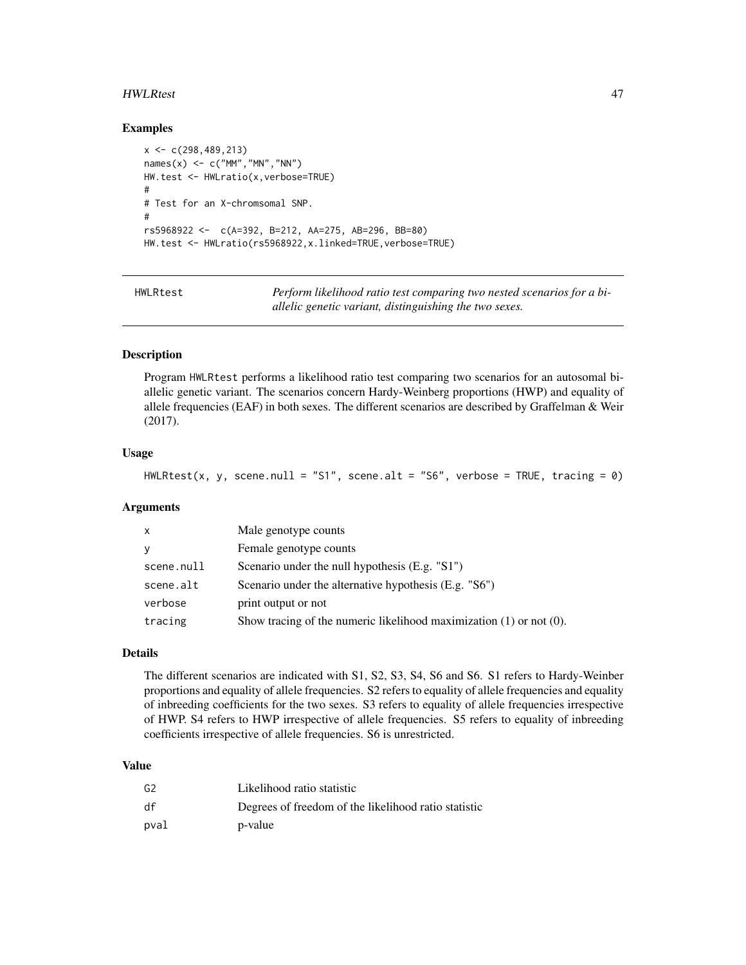#### HWLRtest 47

#### Examples

```
x \leftarrow c(298, 489, 213)names(x) <- c("MM","MN","NN")
HW.test <- HWLratio(x,verbose=TRUE)
#
# Test for an X-chromsomal SNP.
#
rs5968922 <- c(A=392, B=212, AA=275, AB=296, BB=80)
HW.test <- HWLratio(rs5968922,x.linked=TRUE,verbose=TRUE)
```
<span id="page-46-0"></span>

HWLRtest *Perform likelihood ratio test comparing two nested scenarios for a biallelic genetic variant, distinguishing the two sexes.*

## **Description**

Program HWLRtest performs a likelihood ratio test comparing two scenarios for an autosomal biallelic genetic variant. The scenarios concern Hardy-Weinberg proportions (HWP) and equality of allele frequencies (EAF) in both sexes. The different scenarios are described by Graffelman & Weir (2017).

#### Usage

```
HWLRtest(x, y, scene.null = "S1", scene.alt = "S6", verbose = TRUE, tracing = \emptyset)
```
#### Arguments

| $\mathsf{x}$ | Male genotype counts                                                     |
|--------------|--------------------------------------------------------------------------|
| У            | Female genotype counts                                                   |
| scene.null   | Scenario under the null hypothesis $(E.g. "S1")$                         |
| scene.alt    | Scenario under the alternative hypothesis (E.g. "S6")                    |
| verbose      | print output or not                                                      |
| tracing      | Show tracing of the numeric likelihood maximization $(1)$ or not $(0)$ . |

#### Details

The different scenarios are indicated with S1, S2, S3, S4, S6 and S6. S1 refers to Hardy-Weinber proportions and equality of allele frequencies. S2 refers to equality of allele frequencies and equality of inbreeding coefficients for the two sexes. S3 refers to equality of allele frequencies irrespective of HWP. S4 refers to HWP irrespective of allele frequencies. S5 refers to equality of inbreeding coefficients irrespective of allele frequencies. S6 is unrestricted.

#### Value

| G2   | Likelihood ratio statistic                           |
|------|------------------------------------------------------|
| df   | Degrees of freedom of the likelihood ratio statistic |
| pval | p-value                                              |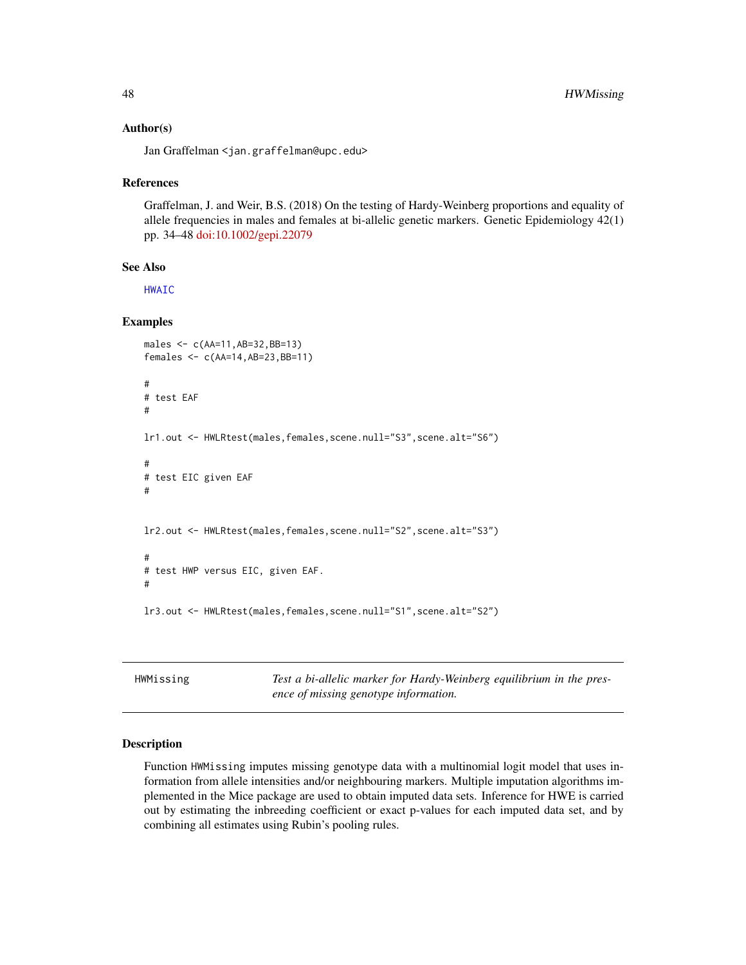#### Author(s)

Jan Graffelman <jan.graffelman@upc.edu>

#### References

Graffelman, J. and Weir, B.S. (2018) On the testing of Hardy-Weinberg proportions and equality of allele frequencies in males and females at bi-allelic genetic markers. Genetic Epidemiology 42(1) pp. 34–48 [doi:10.1002/gepi.22079](https://doi.org/10.1002/gepi.22079)

## See Also

[HWAIC](#page-19-0)

## Examples

```
males <- c(AA=11,AB=32,BB=13)
females <- c(AA=14,AB=23,BB=11)
#
# test EAF
#
lr1.out <- HWLRtest(males,females,scene.null="S3",scene.alt="S6")
#
# test EIC given EAF
#
lr2.out <- HWLRtest(males,females,scene.null="S2",scene.alt="S3")
#
# test HWP versus EIC, given EAF.
#
lr3.out <- HWLRtest(males,females,scene.null="S1",scene.alt="S2")
```
HWMissing *Test a bi-allelic marker for Hardy-Weinberg equilibrium in the presence of missing genotype information.*

## Description

Function HWMissing imputes missing genotype data with a multinomial logit model that uses information from allele intensities and/or neighbouring markers. Multiple imputation algorithms implemented in the Mice package are used to obtain imputed data sets. Inference for HWE is carried out by estimating the inbreeding coefficient or exact p-values for each imputed data set, and by combining all estimates using Rubin's pooling rules.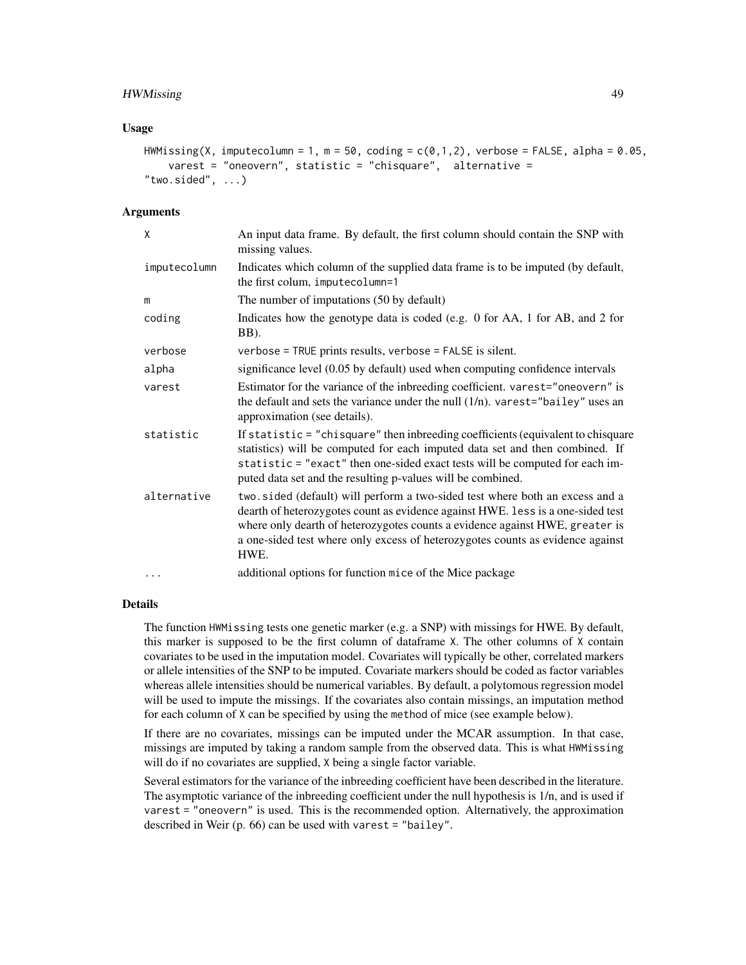## HWMissing 49

#### Usage

```
HWMissing(X, imputecolumn = 1, m = 50, coding = c(0,1,2), verbose = FALSE, alpha = 0.05,
    varest = "oneovern", statistic = "chisquare", alternative =
"two.sided", \ldots)
```
#### Arguments

| X            | An input data frame. By default, the first column should contain the SNP with<br>missing values.                                                                                                                                                                                                                                          |
|--------------|-------------------------------------------------------------------------------------------------------------------------------------------------------------------------------------------------------------------------------------------------------------------------------------------------------------------------------------------|
| imputecolumn | Indicates which column of the supplied data frame is to be imputed (by default,<br>the first colum, imputecolumn=1                                                                                                                                                                                                                        |
| m            | The number of imputations (50 by default)                                                                                                                                                                                                                                                                                                 |
| coding       | Indicates how the genotype data is coded (e.g. 0 for AA, 1 for AB, and 2 for<br>BB).                                                                                                                                                                                                                                                      |
| verbose      | verbose = TRUE prints results, verbose = FALSE is silent.                                                                                                                                                                                                                                                                                 |
| alpha        | significance level (0.05 by default) used when computing confidence intervals                                                                                                                                                                                                                                                             |
| varest       | Estimator for the variance of the inbreeding coefficient. varest="oneovern" is<br>the default and sets the variance under the null $(1/n)$ . varest="bailey" uses an<br>approximation (see details).                                                                                                                                      |
| statistic    | If statistic = "chisquare" then inbreeding coefficients (equivalent to chisquare<br>statistics) will be computed for each imputed data set and then combined. If<br>statistic = "exact" then one-sided exact tests will be computed for each im-<br>puted data set and the resulting p-values will be combined.                           |
| alternative  | two.sided (default) will perform a two-sided test where both an excess and a<br>dearth of heterozygotes count as evidence against HWE. less is a one-sided test<br>where only dearth of heterozygotes counts a evidence against HWE, greater is<br>a one-sided test where only excess of heterozygotes counts as evidence against<br>HWE. |
| $\cdots$     | additional options for function mice of the Mice package                                                                                                                                                                                                                                                                                  |

#### Details

The function HWMissing tests one genetic marker (e.g. a SNP) with missings for HWE. By default, this marker is supposed to be the first column of dataframe X. The other columns of X contain covariates to be used in the imputation model. Covariates will typically be other, correlated markers or allele intensities of the SNP to be imputed. Covariate markers should be coded as factor variables whereas allele intensities should be numerical variables. By default, a polytomous regression model will be used to impute the missings. If the covariates also contain missings, an imputation method for each column of X can be specified by using the method of mice (see example below).

If there are no covariates, missings can be imputed under the MCAR assumption. In that case, missings are imputed by taking a random sample from the observed data. This is what HWMissing will do if no covariates are supplied, X being a single factor variable.

Several estimators for the variance of the inbreeding coefficient have been described in the literature. The asymptotic variance of the inbreeding coefficient under the null hypothesis is 1/n, and is used if varest = "oneovern" is used. This is the recommended option. Alternatively, the approximation described in Weir (p. 66) can be used with varest = "bailey".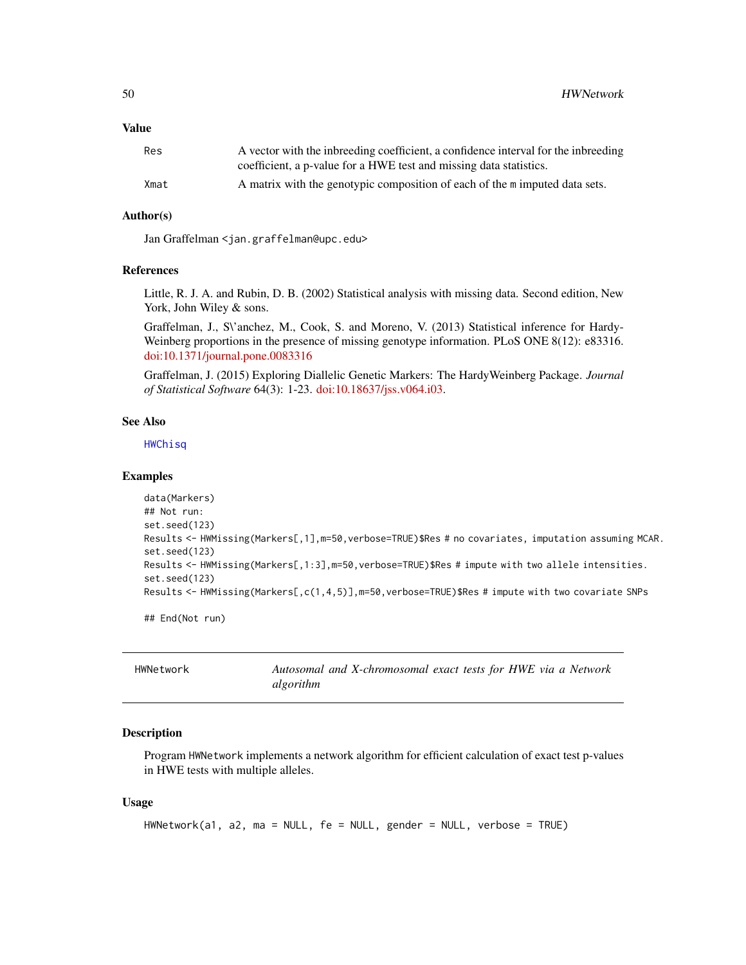#### Value

| Res  | A vector with the inbreeding coefficient, a confidence interval for the inbreeding |
|------|------------------------------------------------------------------------------------|
|      | coefficient, a p-value for a HWE test and missing data statistics.                 |
| Xmat | A matrix with the genotypic composition of each of the m imputed data sets.        |

# Author(s)

Jan Graffelman <jan.graffelman@upc.edu>

#### References

Little, R. J. A. and Rubin, D. B. (2002) Statistical analysis with missing data. Second edition, New York, John Wiley & sons.

Graffelman, J., S\'anchez, M., Cook, S. and Moreno, V. (2013) Statistical inference for Hardy-Weinberg proportions in the presence of missing genotype information. PLoS ONE 8(12): e83316. [doi:10.1371/journal.pone.0083316](https://doi.org/10.1371/journal.pone.0083316)

Graffelman, J. (2015) Exploring Diallelic Genetic Markers: The HardyWeinberg Package. *Journal of Statistical Software* 64(3): 1-23. [doi:10.18637/jss.v064.i03.](https://doi.org/10.18637/jss.v064.i03)

## See Also

**[HWChisq](#page-23-0)** 

#### Examples

```
data(Markers)
## Not run:
set.seed(123)
Results <- HWMissing(Markers[,1],m=50,verbose=TRUE)$Res # no covariates, imputation assuming MCAR.
set.seed(123)
Results <- HWMissing(Markers[,1:3], m=50, verbose=TRUE)$Res # impute with two allele intensities.
set.seed(123)
Results <- HWMissing(Markers[.c(1,4,5)],m=50,verbose=TRUE)$Res # impute with two covariate SNPs
## End(Not run)
```

| HWNetwork | Autosomal and X-chromosomal exact tests for HWE via a Network |
|-----------|---------------------------------------------------------------|
|           | algorithm                                                     |

#### **Description**

Program HWNetwork implements a network algorithm for efficient calculation of exact test p-values in HWE tests with multiple alleles.

#### Usage

```
HWNetwork(a1, a2, ma = NULL, fe = NULL, gender = NULL, verbose = TRUE)
```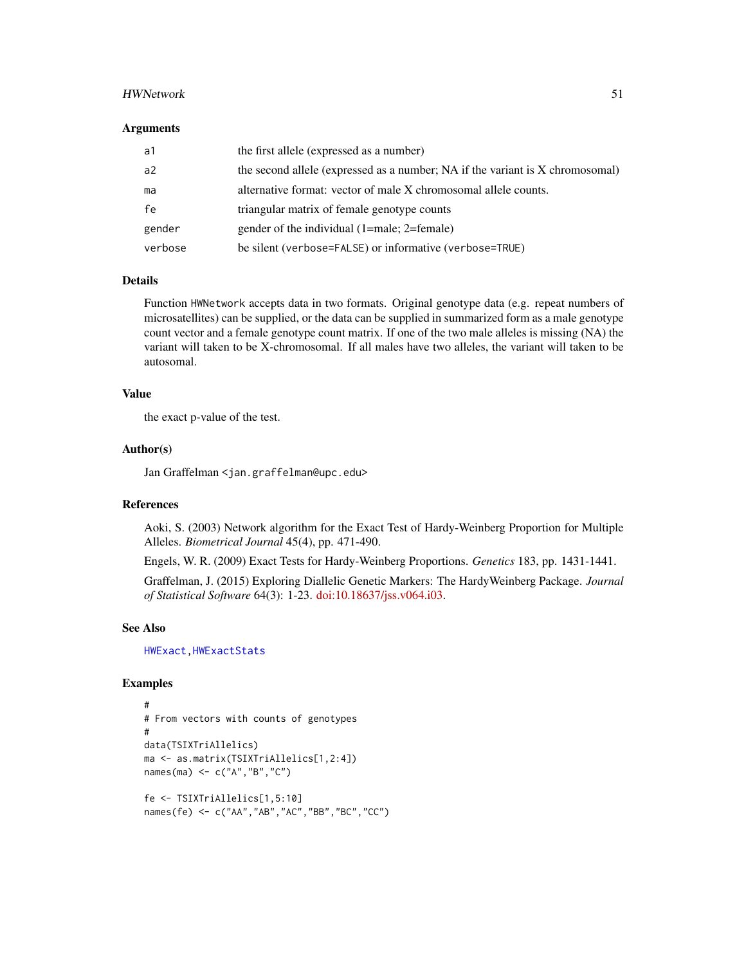#### HWNetwork 51

#### **Arguments**

| a1      | the first allele (expressed as a number)                                      |
|---------|-------------------------------------------------------------------------------|
| a2      | the second allele (expressed as a number; NA if the variant is X chromosomal) |
| ma      | alternative format: vector of male X chromosomal allele counts.               |
| fe      | triangular matrix of female genotype counts                                   |
| gender  | gender of the individual (1=male; 2=female)                                   |
| verbose | be silent (verbose=FALSE) or informative (verbose=TRUE)                       |

## Details

Function HWNetwork accepts data in two formats. Original genotype data (e.g. repeat numbers of microsatellites) can be supplied, or the data can be supplied in summarized form as a male genotype count vector and a female genotype count matrix. If one of the two male alleles is missing (NA) the variant will taken to be X-chromosomal. If all males have two alleles, the variant will taken to be autosomal.

## Value

the exact p-value of the test.

#### Author(s)

Jan Graffelman <jan.graffelman@upc.edu>

#### References

Aoki, S. (2003) Network algorithm for the Exact Test of Hardy-Weinberg Proportion for Multiple Alleles. *Biometrical Journal* 45(4), pp. 471-490.

Engels, W. R. (2009) Exact Tests for Hardy-Weinberg Proportions. *Genetics* 183, pp. 1431-1441.

Graffelman, J. (2015) Exploring Diallelic Genetic Markers: The HardyWeinberg Package. *Journal of Statistical Software* 64(3): 1-23. [doi:10.18637/jss.v064.i03.](https://doi.org/10.18637/jss.v064.i03)

#### See Also

[HWExact](#page-33-0)[,HWExactStats](#page-37-0)

```
#
# From vectors with counts of genotypes
#
data(TSIXTriAllelics)
ma <- as.matrix(TSIXTriAllelics[1,2:4])
names(ma) <- c("A","B","C")
fe <- TSIXTriAllelics[1,5:10]
names(fe) <- c("AA","AB","AC","BB","BC","CC")
```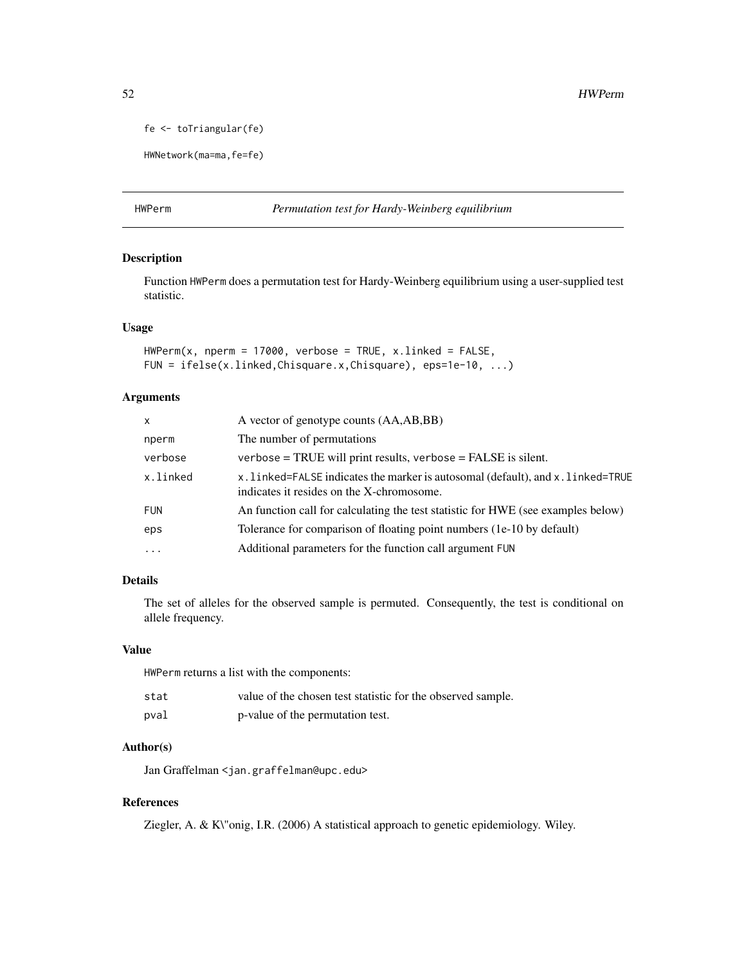fe <- toTriangular(fe)

HWNetwork(ma=ma,fe=fe)

## <span id="page-51-0"></span>HWPerm *Permutation test for Hardy-Weinberg equilibrium*

## Description

Function HWPerm does a permutation test for Hardy-Weinberg equilibrium using a user-supplied test statistic.

## Usage

```
HWPerm(x, nperm = 17000, verbose = TRUE, x.linked = FALSE,FUN = ifelse(x.linked,Chisquare.x,Chisquare), eps=1e-10, ...)
```
## Arguments

| x          | A vector of genotype counts (AA,AB,BB)                                                                                     |
|------------|----------------------------------------------------------------------------------------------------------------------------|
| nperm      | The number of permutations.                                                                                                |
| verbose    | $verbose = TRUE$ will print results, verbose = FALSE is silent.                                                            |
| x.linked   | x.linked=FALSE indicates the marker is autosomal (default), and x.linked=TRUE<br>indicates it resides on the X-chromosome. |
| <b>FUN</b> | An function call for calculating the test statistic for HWE (see examples below)                                           |
| eps        | Tolerance for comparison of floating point numbers (1e-10 by default)                                                      |
| $\cdots$   | Additional parameters for the function call argument FUN                                                                   |

## Details

The set of alleles for the observed sample is permuted. Consequently, the test is conditional on allele frequency.

#### Value

HWPerm returns a list with the components:

| stat | value of the chosen test statistic for the observed sample. |
|------|-------------------------------------------------------------|
| pval | p-value of the permutation test.                            |

## Author(s)

Jan Graffelman <jan.graffelman@upc.edu>

## References

Ziegler, A. & K\"onig, I.R. (2006) A statistical approach to genetic epidemiology. Wiley.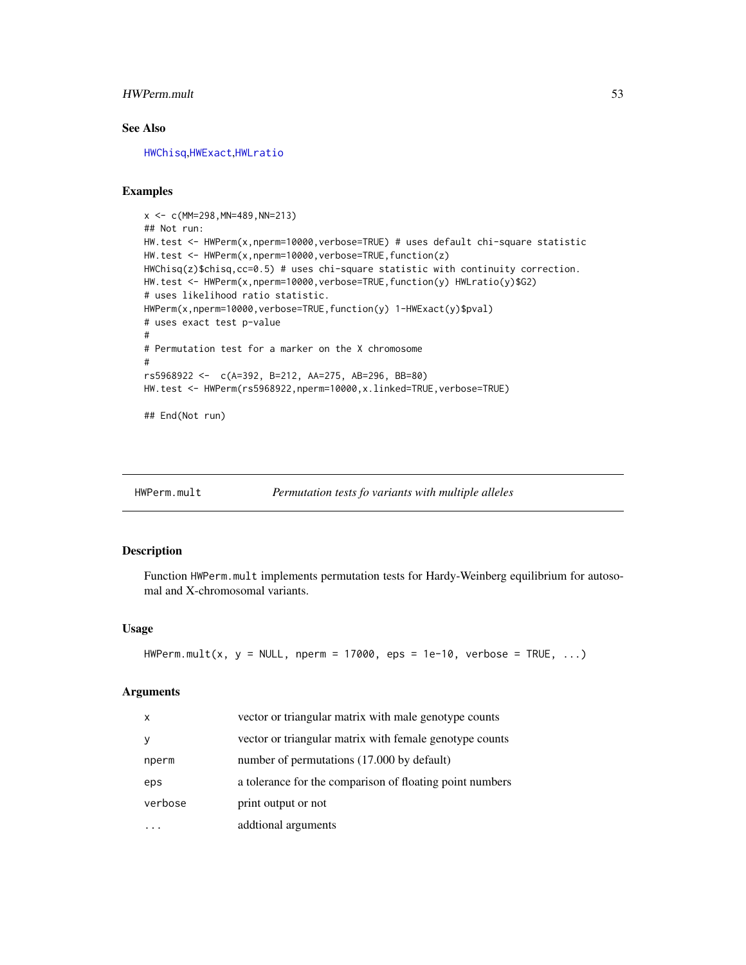## HWPerm.mult 53

## See Also

[HWChisq](#page-23-0),[HWExact](#page-33-0),[HWLratio](#page-45-0)

#### Examples

```
x <- c(MM=298,MN=489,NN=213)
## Not run:
HW.test <- HWPerm(x,nperm=10000,verbose=TRUE) # uses default chi-square statistic
HW.test <- HWPerm(x,nperm=10000,verbose=TRUE,function(z)
HWChisq(z)$chisq,cc=0.5) # uses chi-square statistic with continuity correction.
HW.test <- HWPerm(x,nperm=10000,verbose=TRUE,function(y) HWLratio(y)$G2)
# uses likelihood ratio statistic.
HWPerm(x,nperm=10000,verbose=TRUE,function(y) 1-HWExact(y)$pval)
# uses exact test p-value
#
# Permutation test for a marker on the X chromosome
#
rs5968922 <- c(A=392, B=212, AA=275, AB=296, BB=80)
HW.test <- HWPerm(rs5968922,nperm=10000,x.linked=TRUE,verbose=TRUE)
```

```
## End(Not run)
```
<span id="page-52-0"></span>

| HWPerm.mult | Permutation tests fo variants with multiple alleles |  |  |  |  |  |
|-------------|-----------------------------------------------------|--|--|--|--|--|
|-------------|-----------------------------------------------------|--|--|--|--|--|

#### Description

Function HWPerm.mult implements permutation tests for Hardy-Weinberg equilibrium for autosomal and X-chromosomal variants.

## Usage

```
HWPerm.mult(x, y = NULL, nperm = 17000, eps = 1e-10, verbose = TRUE, ...)
```
#### Arguments

| $\mathsf{x}$ | vector or triangular matrix with male genotype counts    |
|--------------|----------------------------------------------------------|
| У            | vector or triangular matrix with female genotype counts  |
| nperm        | number of permutations (17.000 by default)               |
| eps          | a tolerance for the comparison of floating point numbers |
| verbose      | print output or not                                      |
|              | addtional arguments                                      |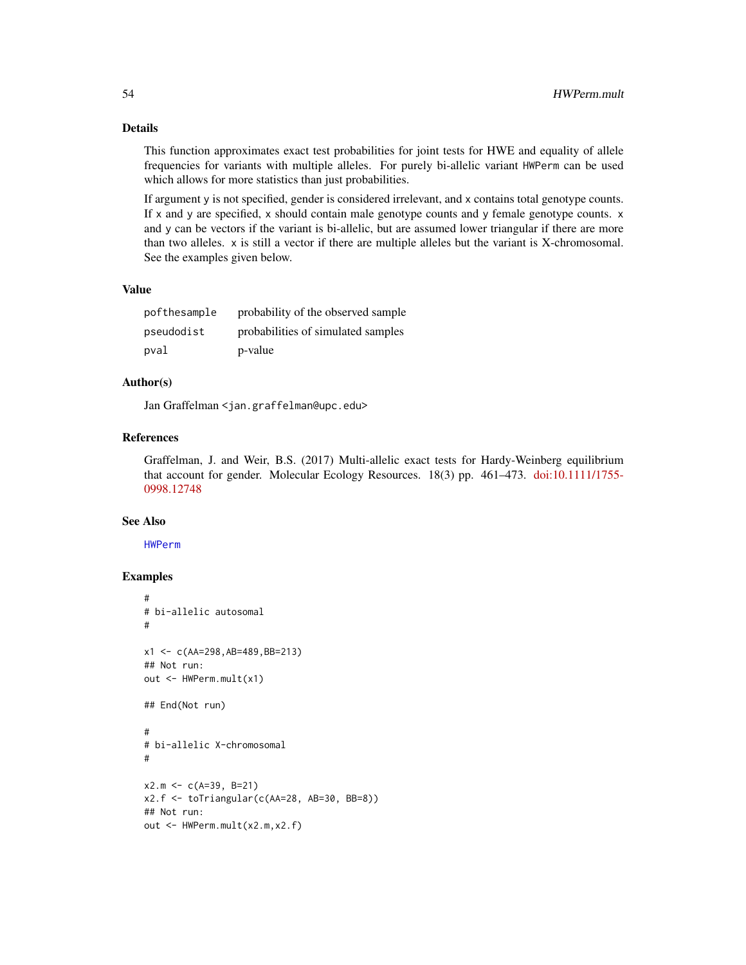## Details

This function approximates exact test probabilities for joint tests for HWE and equality of allele frequencies for variants with multiple alleles. For purely bi-allelic variant HWPerm can be used which allows for more statistics than just probabilities.

If argument y is not specified, gender is considered irrelevant, and x contains total genotype counts. If x and y are specified, x should contain male genotype counts and y female genotype counts. x and y can be vectors if the variant is bi-allelic, but are assumed lower triangular if there are more than two alleles. x is still a vector if there are multiple alleles but the variant is X-chromosomal. See the examples given below.

#### Value

| pofthesample | probability of the observed sample |
|--------------|------------------------------------|
| pseudodist   | probabilities of simulated samples |
| pval         | p-value                            |

## Author(s)

Jan Graffelman <jan.graffelman@upc.edu>

#### References

Graffelman, J. and Weir, B.S. (2017) Multi-allelic exact tests for Hardy-Weinberg equilibrium that account for gender. Molecular Ecology Resources. 18(3) pp. 461–473. [doi:10.1111/1755-](https://doi.org/10.1111/1755-0998.12748) [0998.12748](https://doi.org/10.1111/1755-0998.12748)

## See Also

[HWPerm](#page-51-0)

```
#
# bi-allelic autosomal
#
x1 <- c(AA=298,AB=489,BB=213)
## Not run:
out <- HWPerm.mult(x1)
## End(Not run)
#
# bi-allelic X-chromosomal
#
x2.m \leq c(A=39, B=21)x2.f <- toTriangular(c(AA=28, AB=30, BB=8))
## Not run:
out <- HWPerm.mult(x2.m,x2.f)
```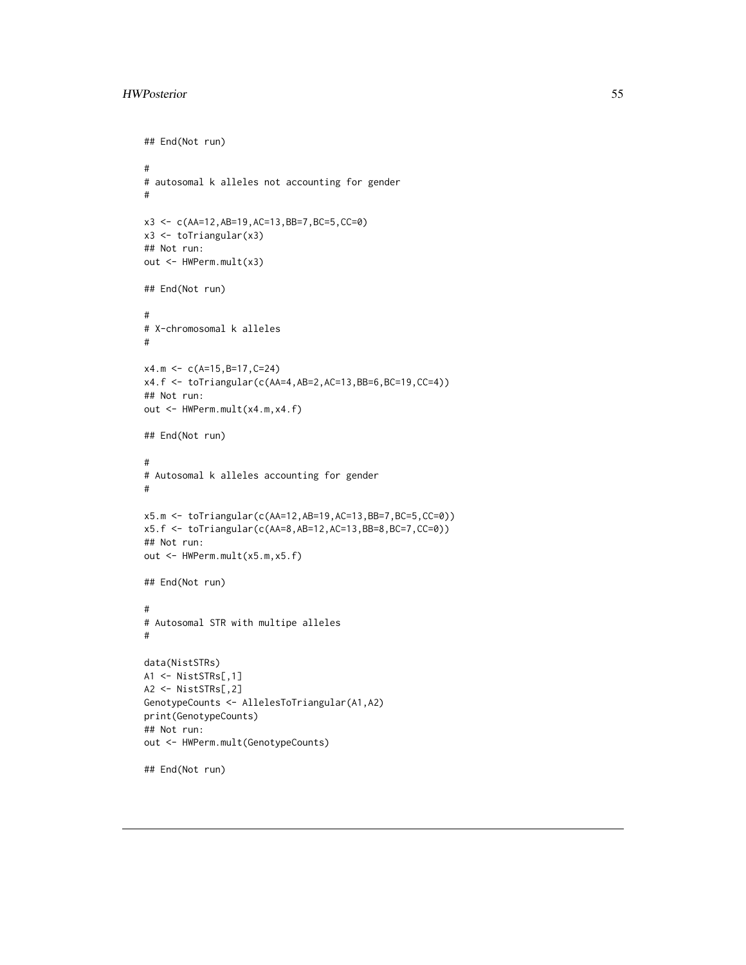```
## End(Not run)
#
# autosomal k alleles not accounting for gender
#
x3 <- c(AA=12,AB=19,AC=13,BB=7,BC=5,CC=0)
x3 <- toTriangular(x3)
## Not run:
out <- HWPerm.mult(x3)
## End(Not run)
#
# X-chromosomal k alleles
#
x4.m <- c(A=15,B=17,C=24)
x4.f <- toTriangular(c(AA=4,AB=2,AC=13,BB=6,BC=19,CC=4))
## Not run:
out <- HWPerm.mult(x4.m,x4.f)
## End(Not run)
#
# Autosomal k alleles accounting for gender
#
x5.m <- toTriangular(c(AA=12,AB=19,AC=13,BB=7,BC=5,CC=0))
x5.f <- toTriangular(c(AA=8,AB=12,AC=13,BB=8,BC=7,CC=0))
## Not run:
out <- HWPerm.mult(x5.m,x5.f)
## End(Not run)
#
# Autosomal STR with multipe alleles
#
data(NistSTRs)
A1 <- NistSTRs[,1]
A2 <- NistSTRs[,2]
GenotypeCounts <- AllelesToTriangular(A1,A2)
print(GenotypeCounts)
## Not run:
out <- HWPerm.mult(GenotypeCounts)
## End(Not run)
```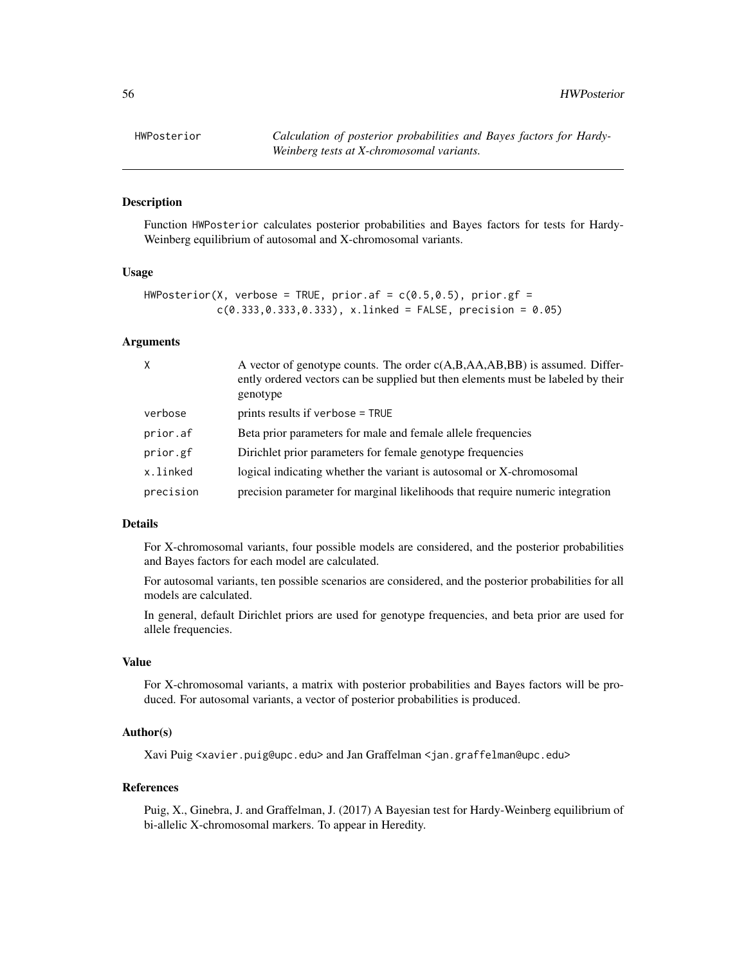HWPosterior *Calculation of posterior probabilities and Bayes factors for Hardy-Weinberg tests at X-chromosomal variants.*

## **Description**

Function HWPosterior calculates posterior probabilities and Bayes factors for tests for Hardy-Weinberg equilibrium of autosomal and X-chromosomal variants.

#### Usage

```
HWPosterior(X, verbose = TRUE, prior.af = c(0.5, 0.5), prior.gf =
            c(0.333, 0.333, 0.333), x.linked = FALSE, precision = 0.05)
```
## Arguments

| X         | A vector of genotype counts. The order $c(A,B,AA,AB,BB)$ is assumed. Differ-<br>ently ordered vectors can be supplied but then elements must be labeled by their<br>genotype |
|-----------|------------------------------------------------------------------------------------------------------------------------------------------------------------------------------|
| verbose   | prints results if verbose = TRUE                                                                                                                                             |
| prior.af  | Beta prior parameters for male and female allele frequencies                                                                                                                 |
| prior.gf  | Dirichlet prior parameters for female genotype frequencies                                                                                                                   |
| x.linked  | logical indicating whether the variant is autosomal or X-chromosomal                                                                                                         |
| precision | precision parameter for marginal likelihoods that require numeric integration                                                                                                |

## Details

For X-chromosomal variants, four possible models are considered, and the posterior probabilities and Bayes factors for each model are calculated.

For autosomal variants, ten possible scenarios are considered, and the posterior probabilities for all models are calculated.

In general, default Dirichlet priors are used for genotype frequencies, and beta prior are used for allele frequencies.

#### Value

For X-chromosomal variants, a matrix with posterior probabilities and Bayes factors will be produced. For autosomal variants, a vector of posterior probabilities is produced.

#### Author(s)

Xavi Puig <xavier.puig@upc.edu> and Jan Graffelman <jan.graffelman@upc.edu>

#### References

Puig, X., Ginebra, J. and Graffelman, J. (2017) A Bayesian test for Hardy-Weinberg equilibrium of bi-allelic X-chromosomal markers. To appear in Heredity.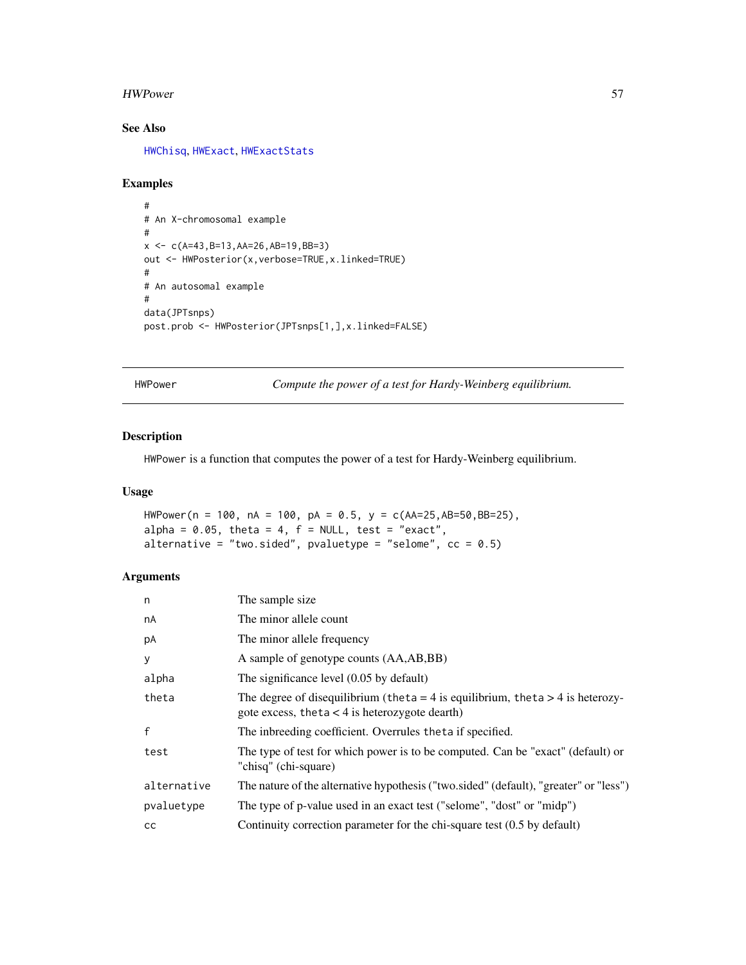#### HWPower 57

# See Also

[HWChisq](#page-23-0), [HWExact](#page-33-0), [HWExactStats](#page-37-0)

## Examples

```
#
# An X-chromosomal example
#
x \leftarrow c(A=43, B=13, AA=26, AB=19, BB=3)out <- HWPosterior(x,verbose=TRUE,x.linked=TRUE)
#
# An autosomal example
#
data(JPTsnps)
post.prob <- HWPosterior(JPTsnps[1,],x.linked=FALSE)
```
HWPower *Compute the power of a test for Hardy-Weinberg equilibrium.*

#### Description

HWPower is a function that computes the power of a test for Hardy-Weinberg equilibrium.

## Usage

```
HWPower(n = 100, nA = 100, pA = 0.5, y = c(AA=25,AB=50,BB=25),
alpha = 0.05, theta = 4, f = NULL, test = "exact",
alternative = "two.sided", pvaluetype = "selome", cc = 0.5)
```
## Arguments

| n            | The sample size.                                                                                                                   |
|--------------|------------------------------------------------------------------------------------------------------------------------------------|
| nA           | The minor allele count                                                                                                             |
| pA           | The minor allele frequency                                                                                                         |
| y            | A sample of genotype counts (AA,AB,BB)                                                                                             |
| alpha        | The significance level $(0.05$ by default)                                                                                         |
| theta        | The degree of disequilibrium (theta = 4 is equilibrium, theta > 4 is heterozy-<br>gote excess, theta $<$ 4 is heterozygote dearth) |
| $\mathsf{f}$ | The inbreeding coefficient. Overrules the ta if specified.                                                                         |
| test         | The type of test for which power is to be computed. Can be "exact" (default) or<br>"chisq" (chi-square)                            |
| alternative  | The nature of the alternative hypothesis ("two.sided" (default), "greater" or "less")                                              |
| pvaluetype   | The type of p-value used in an exact test ("selome", "dost" or "midp")                                                             |
| cc           | Continuity correction parameter for the chi-square test (0.5 by default)                                                           |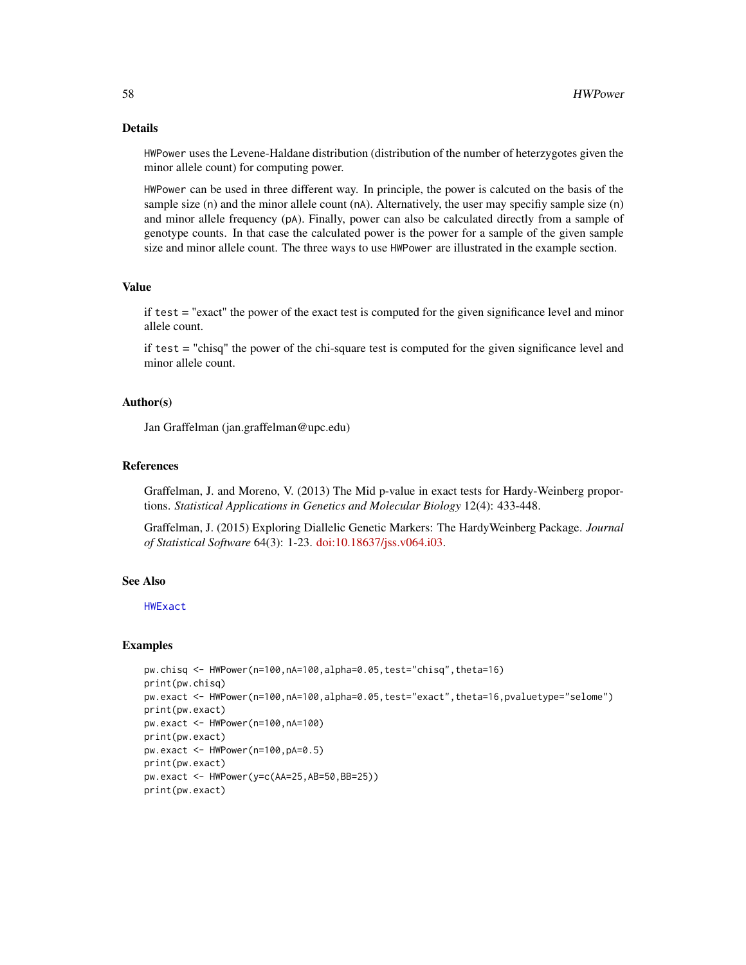## Details

HWPower uses the Levene-Haldane distribution (distribution of the number of heterzygotes given the minor allele count) for computing power.

HWPower can be used in three different way. In principle, the power is calcuted on the basis of the sample size (n) and the minor allele count (nA). Alternatively, the user may specifiy sample size (n) and minor allele frequency (pA). Finally, power can also be calculated directly from a sample of genotype counts. In that case the calculated power is the power for a sample of the given sample size and minor allele count. The three ways to use HWPower are illustrated in the example section.

#### Value

if test = "exact" the power of the exact test is computed for the given significance level and minor allele count.

if test = "chisq" the power of the chi-square test is computed for the given significance level and minor allele count.

## Author(s)

Jan Graffelman (jan.graffelman@upc.edu)

#### References

Graffelman, J. and Moreno, V. (2013) The Mid p-value in exact tests for Hardy-Weinberg proportions. *Statistical Applications in Genetics and Molecular Biology* 12(4): 433-448.

Graffelman, J. (2015) Exploring Diallelic Genetic Markers: The HardyWeinberg Package. *Journal of Statistical Software* 64(3): 1-23. [doi:10.18637/jss.v064.i03.](https://doi.org/10.18637/jss.v064.i03)

#### See Also

[HWExact](#page-33-0)

```
pw.chisq <- HWPower(n=100,nA=100,alpha=0.05,test="chisq",theta=16)
print(pw.chisq)
pw.exact <- HWPower(n=100,nA=100,alpha=0.05,test="exact",theta=16,pvaluetype="selome")
print(pw.exact)
pw.exact <- HWPower(n=100,nA=100)
print(pw.exact)
pw.exact <- HWPower(n=100,pA=0.5)
print(pw.exact)
pw.exact <- HWPower(y=c(AA=25,AB=50,BB=25))
print(pw.exact)
```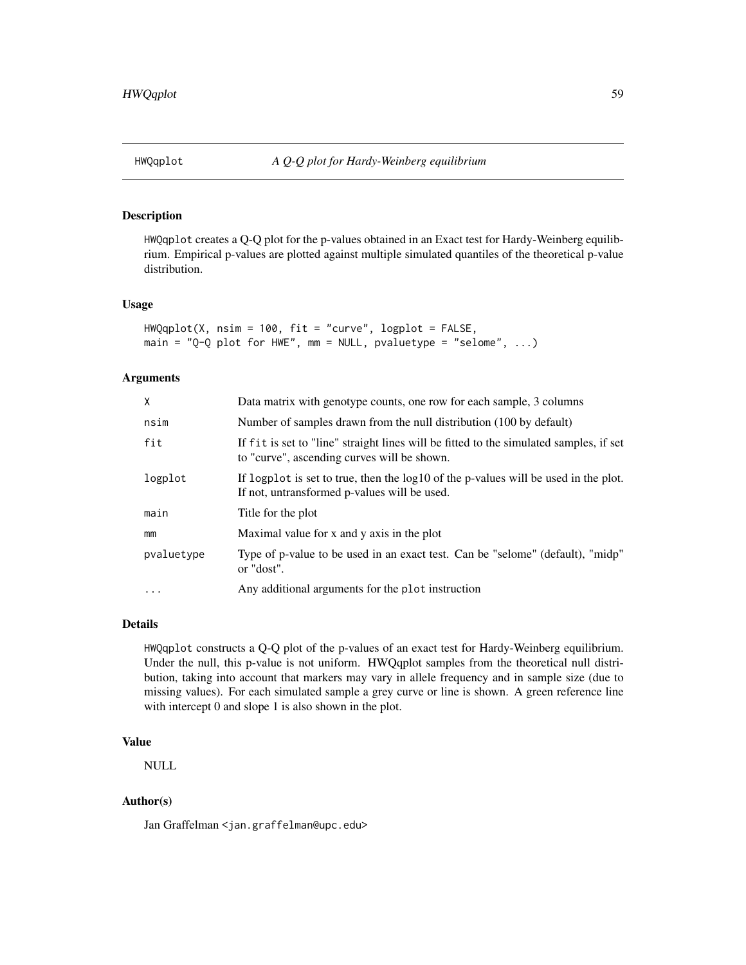## Description

HWQqplot creates a Q-Q plot for the p-values obtained in an Exact test for Hardy-Weinberg equilibrium. Empirical p-values are plotted against multiple simulated quantiles of the theoretical p-value distribution.

#### Usage

HWQqplot(X, nsim = 100, fit = "curve", logplot = FALSE, main = "Q-Q plot for HWE", mm = NULL, pvaluetype = "selome",  $\ldots$ )

#### Arguments

| X          | Data matrix with genotype counts, one row for each sample, 3 columns                                                                  |
|------------|---------------------------------------------------------------------------------------------------------------------------------------|
| nsim       | Number of samples drawn from the null distribution (100 by default)                                                                   |
| fit        | If fit is set to "line" straight lines will be fitted to the simulated samples, if set<br>to "curve", ascending curves will be shown. |
| logplot    | If logplot is set to true, then the log10 of the p-values will be used in the plot.<br>If not, untransformed p-values will be used.   |
| main       | Title for the plot                                                                                                                    |
| mm         | Maximal value for x and y axis in the plot                                                                                            |
| pvaluetype | Type of p-value to be used in an exact test. Can be "selome" (default), "midp"<br>or "dost".                                          |
| $\ddotsc$  | Any additional arguments for the plot instruction                                                                                     |

## Details

HWQqplot constructs a Q-Q plot of the p-values of an exact test for Hardy-Weinberg equilibrium. Under the null, this p-value is not uniform. HWQqplot samples from the theoretical null distribution, taking into account that markers may vary in allele frequency and in sample size (due to missing values). For each simulated sample a grey curve or line is shown. A green reference line with intercept 0 and slope 1 is also shown in the plot.

#### Value

NULL

## Author(s)

Jan Graffelman <jan.graffelman@upc.edu>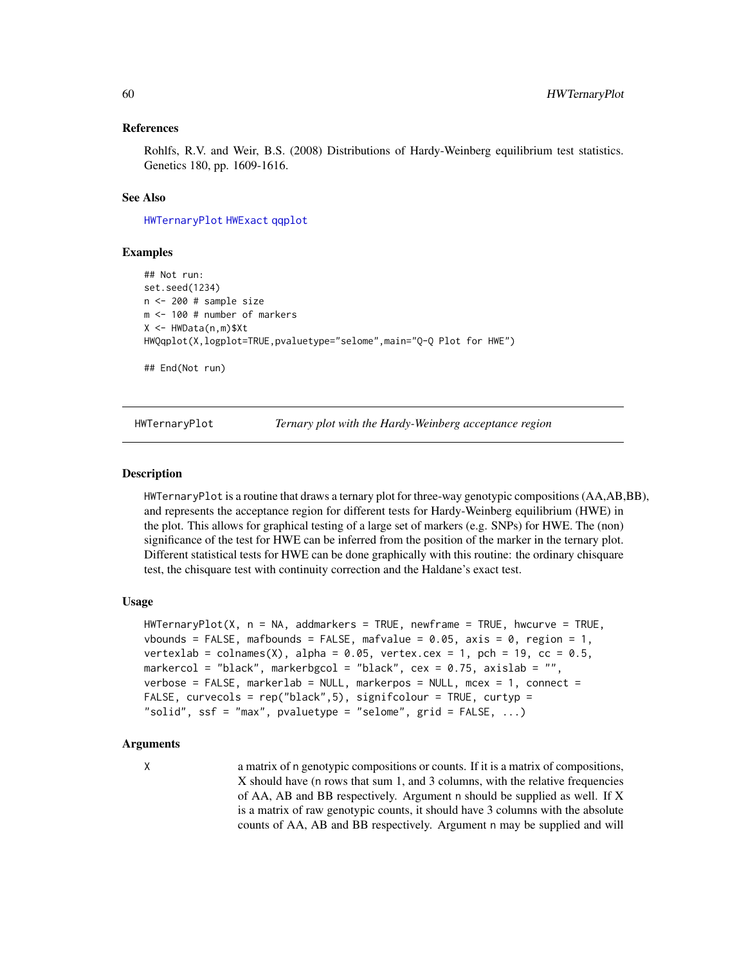#### References

Rohlfs, R.V. and Weir, B.S. (2008) Distributions of Hardy-Weinberg equilibrium test statistics. Genetics 180, pp. 1609-1616.

#### See Also

[HWTernaryPlot](#page-59-0) [HWExact](#page-33-0) [qqplot](#page-0-0)

#### Examples

```
## Not run:
set.seed(1234)
n <- 200 # sample size
m <- 100 # number of markers
X <- HWData(n,m)$Xt
HWQqplot(X,logplot=TRUE,pvaluetype="selome",main="Q-Q Plot for HWE")
```
## End(Not run)

<span id="page-59-0"></span>

HWTernaryPlot *Ternary plot with the Hardy-Weinberg acceptance region*

#### Description

HWTernaryPlot is a routine that draws a ternary plot for three-way genotypic compositions (AA,AB,BB), and represents the acceptance region for different tests for Hardy-Weinberg equilibrium (HWE) in the plot. This allows for graphical testing of a large set of markers (e.g. SNPs) for HWE. The (non) significance of the test for HWE can be inferred from the position of the marker in the ternary plot. Different statistical tests for HWE can be done graphically with this routine: the ordinary chisquare test, the chisquare test with continuity correction and the Haldane's exact test.

## Usage

```
HWTernaryPlot(X, n = NA, addmarkers = TRUE, newframe = TRUE, hwcurve = TRUE,
vbounds = FALSE, mafbounds = FALSE, mafvalue = 0.05, axis = 0, region = 1,
vertexlab = colnames(X), alpha = 0.05, vertex.cex = 1, pch = 19, cc = 0.5,
markercol = "black", markerbgcol = "black", cex = 0.75, axislab = "",
verbose = FALSE, markerlab = NULL, markerpos = NULL, mcex = 1, connect =
FALSE, curvecols = rep("black",5), signifcolour = TRUE, curtyp =
"solid", ssf = "max", pvaluetype = "selome", grid = FALKF, ...)
```
## Arguments

X a matrix of n genotypic compositions or counts. If it is a matrix of compositions, X should have (n rows that sum 1, and 3 columns, with the relative frequencies of AA, AB and BB respectively. Argument n should be supplied as well. If X is a matrix of raw genotypic counts, it should have 3 columns with the absolute counts of AA, AB and BB respectively. Argument n may be supplied and will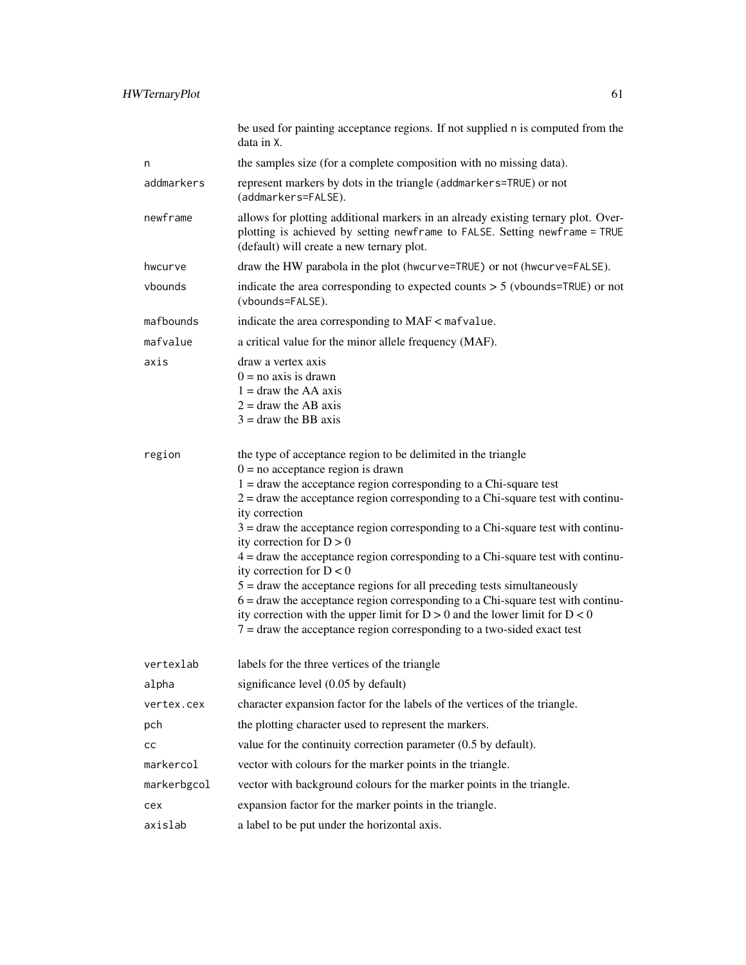|             | be used for painting acceptance regions. If not supplied n is computed from the<br>data in X.                                                                                                                                                                                                                                                                                                                                                                                                                                                                                                                                                                                                                                                                                                                                                            |  |
|-------------|----------------------------------------------------------------------------------------------------------------------------------------------------------------------------------------------------------------------------------------------------------------------------------------------------------------------------------------------------------------------------------------------------------------------------------------------------------------------------------------------------------------------------------------------------------------------------------------------------------------------------------------------------------------------------------------------------------------------------------------------------------------------------------------------------------------------------------------------------------|--|
| n           | the samples size (for a complete composition with no missing data).                                                                                                                                                                                                                                                                                                                                                                                                                                                                                                                                                                                                                                                                                                                                                                                      |  |
| addmarkers  | represent markers by dots in the triangle (addmarkers=TRUE) or not<br>(addmarkers=FALSE).                                                                                                                                                                                                                                                                                                                                                                                                                                                                                                                                                                                                                                                                                                                                                                |  |
| newframe    | allows for plotting additional markers in an already existing ternary plot. Over-<br>plotting is achieved by setting newframe to FALSE. Setting newframe = TRUE<br>(default) will create a new ternary plot.                                                                                                                                                                                                                                                                                                                                                                                                                                                                                                                                                                                                                                             |  |
| hwcurve     | draw the HW parabola in the plot (hwcurve=TRUE) or not (hwcurve=FALSE).                                                                                                                                                                                                                                                                                                                                                                                                                                                                                                                                                                                                                                                                                                                                                                                  |  |
| vbounds     | indicate the area corresponding to expected counts $> 5$ (vbounds=TRUE) or not<br>(vbounds=FALSE).                                                                                                                                                                                                                                                                                                                                                                                                                                                                                                                                                                                                                                                                                                                                                       |  |
| mafbounds   | indicate the area corresponding to MAF < mafvalue.                                                                                                                                                                                                                                                                                                                                                                                                                                                                                                                                                                                                                                                                                                                                                                                                       |  |
| mafvalue    | a critical value for the minor allele frequency (MAF).                                                                                                                                                                                                                                                                                                                                                                                                                                                                                                                                                                                                                                                                                                                                                                                                   |  |
| axis        | draw a vertex axis<br>$0 = no axis$ is drawn<br>$1 =$ draw the AA axis<br>$2 =$ draw the AB axis<br>$3 =$ draw the BB axis                                                                                                                                                                                                                                                                                                                                                                                                                                                                                                                                                                                                                                                                                                                               |  |
| region      | the type of acceptance region to be delimited in the triangle<br>$0 = no$ acceptance region is drawn<br>$1 =$ draw the acceptance region corresponding to a Chi-square test<br>$2 =$ draw the acceptance region corresponding to a Chi-square test with continu-<br>ity correction<br>$3 =$ draw the acceptance region corresponding to a Chi-square test with continu-<br>ity correction for $D > 0$<br>$4 =$ draw the acceptance region corresponding to a Chi-square test with continu-<br>ity correction for $D < 0$<br>$5 =$ draw the acceptance regions for all preceding tests simultaneously<br>$6 =$ draw the acceptance region corresponding to a Chi-square test with continu-<br>ity correction with the upper limit for $D > 0$ and the lower limit for $D < 0$<br>$7 =$ draw the acceptance region corresponding to a two-sided exact test |  |
| vertexlab   | labels for the three vertices of the triangle                                                                                                                                                                                                                                                                                                                                                                                                                                                                                                                                                                                                                                                                                                                                                                                                            |  |
| alpha       | significance level (0.05 by default)                                                                                                                                                                                                                                                                                                                                                                                                                                                                                                                                                                                                                                                                                                                                                                                                                     |  |
| vertex.cex  | character expansion factor for the labels of the vertices of the triangle.                                                                                                                                                                                                                                                                                                                                                                                                                                                                                                                                                                                                                                                                                                                                                                               |  |
| pch         | the plotting character used to represent the markers.                                                                                                                                                                                                                                                                                                                                                                                                                                                                                                                                                                                                                                                                                                                                                                                                    |  |
| cс          | value for the continuity correction parameter $(0.5$ by default).                                                                                                                                                                                                                                                                                                                                                                                                                                                                                                                                                                                                                                                                                                                                                                                        |  |
| markercol   | vector with colours for the marker points in the triangle.                                                                                                                                                                                                                                                                                                                                                                                                                                                                                                                                                                                                                                                                                                                                                                                               |  |
| markerbgcol | vector with background colours for the marker points in the triangle.                                                                                                                                                                                                                                                                                                                                                                                                                                                                                                                                                                                                                                                                                                                                                                                    |  |
| cex         | expansion factor for the marker points in the triangle.                                                                                                                                                                                                                                                                                                                                                                                                                                                                                                                                                                                                                                                                                                                                                                                                  |  |
| axislab     | a label to be put under the horizontal axis.                                                                                                                                                                                                                                                                                                                                                                                                                                                                                                                                                                                                                                                                                                                                                                                                             |  |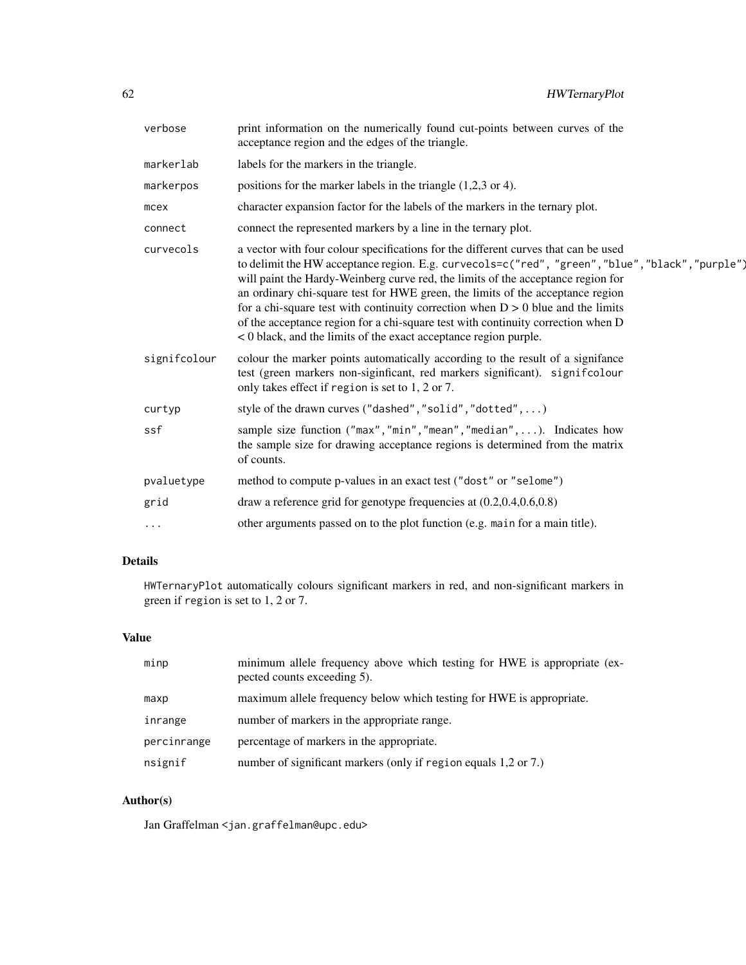| verbose      | print information on the numerically found cut-points between curves of the<br>acceptance region and the edges of the triangle.                                                                                                                                                                                                                                                                                                                                                                                                                                                                           |
|--------------|-----------------------------------------------------------------------------------------------------------------------------------------------------------------------------------------------------------------------------------------------------------------------------------------------------------------------------------------------------------------------------------------------------------------------------------------------------------------------------------------------------------------------------------------------------------------------------------------------------------|
| markerlab    | labels for the markers in the triangle.                                                                                                                                                                                                                                                                                                                                                                                                                                                                                                                                                                   |
| markerpos    | positions for the marker labels in the triangle $(1,2,3)$ or 4).                                                                                                                                                                                                                                                                                                                                                                                                                                                                                                                                          |
| mcex         | character expansion factor for the labels of the markers in the ternary plot.                                                                                                                                                                                                                                                                                                                                                                                                                                                                                                                             |
| connect      | connect the represented markers by a line in the ternary plot.                                                                                                                                                                                                                                                                                                                                                                                                                                                                                                                                            |
| curvecols    | a vector with four colour specifications for the different curves that can be used<br>to delimit the HW acceptance region. E.g. curvecols=c("red", "green", "blue", "black", "purple")<br>will paint the Hardy-Weinberg curve red, the limits of the acceptance region for<br>an ordinary chi-square test for HWE green, the limits of the acceptance region<br>for a chi-square test with continuity correction when $D > 0$ blue and the limits<br>of the acceptance region for a chi-square test with continuity correction when D<br>< 0 black, and the limits of the exact acceptance region purple. |
| signifcolour | colour the marker points automatically according to the result of a signifance<br>test (green markers non-siginficant, red markers significant). significolour<br>only takes effect if region is set to 1, 2 or 7.                                                                                                                                                                                                                                                                                                                                                                                        |
| curtyp       | style of the drawn curves ("dashed", "solid", "dotted", )                                                                                                                                                                                                                                                                                                                                                                                                                                                                                                                                                 |
| ssf          | sample size function ("max", "min", "mean", "median",  ). Indicates how<br>the sample size for drawing acceptance regions is determined from the matrix<br>of counts.                                                                                                                                                                                                                                                                                                                                                                                                                                     |
| pvaluetype   | method to compute p-values in an exact test ("dost" or "selome")                                                                                                                                                                                                                                                                                                                                                                                                                                                                                                                                          |
| grid         | draw a reference grid for genotype frequencies at $(0.2, 0.4, 0.6, 0.8)$                                                                                                                                                                                                                                                                                                                                                                                                                                                                                                                                  |
|              | other arguments passed on to the plot function (e.g. main for a main title).                                                                                                                                                                                                                                                                                                                                                                                                                                                                                                                              |

# Details

HWTernaryPlot automatically colours significant markers in red, and non-significant markers in green if region is set to 1, 2 or 7.

# Value

| minp        | minimum allele frequency above which testing for HWE is appropriate (ex-<br>pected counts exceeding 5). |
|-------------|---------------------------------------------------------------------------------------------------------|
| maxp        | maximum allele frequency below which testing for HWE is appropriate.                                    |
| inrange     | number of markers in the appropriate range.                                                             |
| percinrange | percentage of markers in the appropriate.                                                               |
| nsignif     | number of significant markers (only if region equals 1,2 or 7.)                                         |

# Author(s)

Jan Graffelman <jan.graffelman@upc.edu>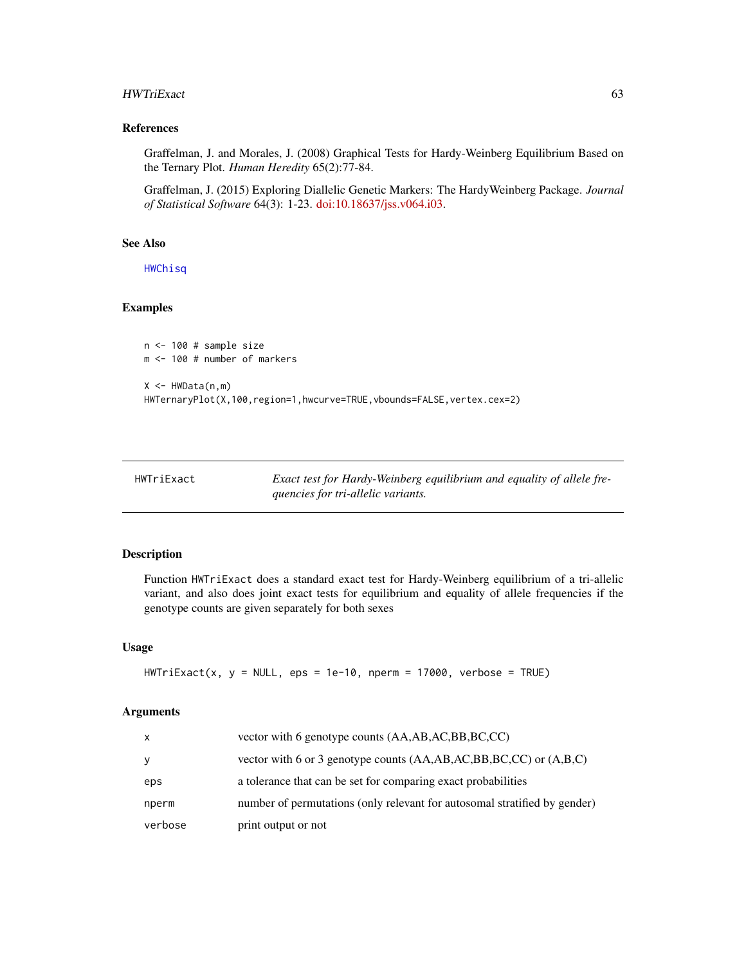#### HWTriExact 63

## References

Graffelman, J. and Morales, J. (2008) Graphical Tests for Hardy-Weinberg Equilibrium Based on the Ternary Plot. *Human Heredity* 65(2):77-84.

Graffelman, J. (2015) Exploring Diallelic Genetic Markers: The HardyWeinberg Package. *Journal of Statistical Software* 64(3): 1-23. [doi:10.18637/jss.v064.i03.](https://doi.org/10.18637/jss.v064.i03)

## See Also

[HWChisq](#page-23-0)

## Examples

```
n <- 100 # sample size
m <- 100 # number of markers
X \leq - HWData(n,m)HWTernaryPlot(X,100,region=1,hwcurve=TRUE,vbounds=FALSE,vertex.cex=2)
```
HWTriExact *Exact test for Hardy-Weinberg equilibrium and equality of allele frequencies for tri-allelic variants.*

## Description

Function HWTriExact does a standard exact test for Hardy-Weinberg equilibrium of a tri-allelic variant, and also does joint exact tests for equilibrium and equality of allele frequencies if the genotype counts are given separately for both sexes

#### Usage

```
HWTriExact(x, y = NULL, eps = 1e-10, nperm = 17000, verbose = TRUE)
```
#### Arguments

| x       | vector with 6 genotype counts (AA,AB,AC,BB,BC,CC)                            |
|---------|------------------------------------------------------------------------------|
| У       | vector with 6 or 3 genotype counts $(AA, AB, AC, BB, BC, CC)$ or $(A, B, C)$ |
| eps     | a tolerance that can be set for comparing exact probabilities                |
| nperm   | number of permutations (only relevant for autosomal stratified by gender)    |
| verbose | print output or not                                                          |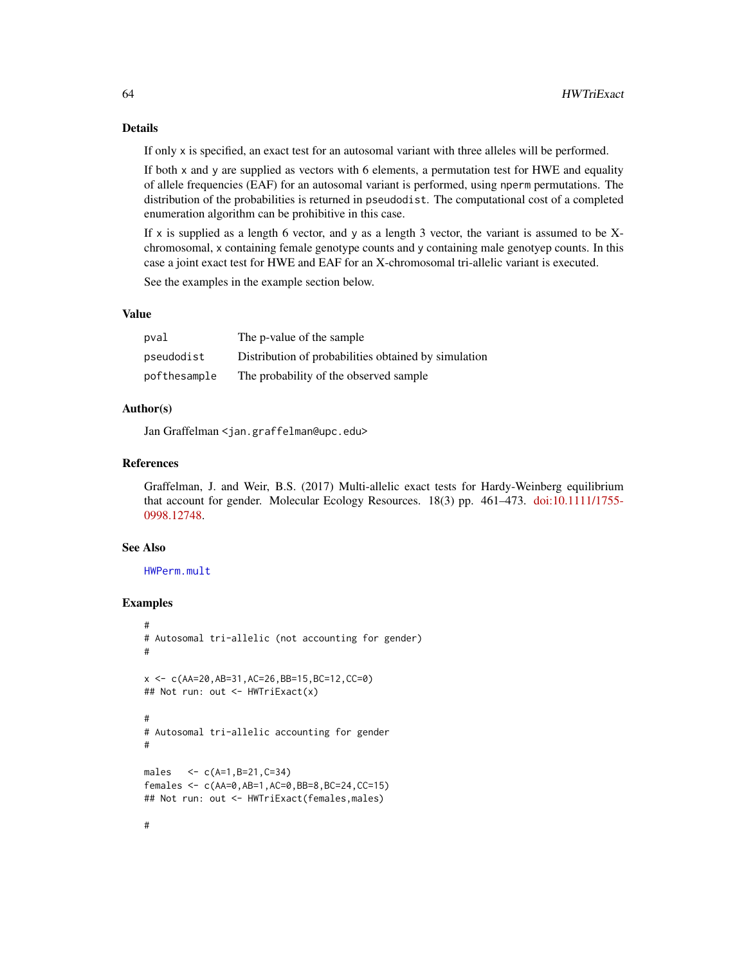## Details

If only x is specified, an exact test for an autosomal variant with three alleles will be performed.

If both x and y are supplied as vectors with 6 elements, a permutation test for HWE and equality of allele frequencies (EAF) for an autosomal variant is performed, using nperm permutations. The distribution of the probabilities is returned in pseudodist. The computational cost of a completed enumeration algorithm can be prohibitive in this case.

If  $x$  is supplied as a length 6 vector, and y as a length 3 vector, the variant is assumed to be Xchromosomal, x containing female genotype counts and y containing male genotyep counts. In this case a joint exact test for HWE and EAF for an X-chromosomal tri-allelic variant is executed.

See the examples in the example section below.

## Value

| pval         | The p-value of the sample                            |
|--------------|------------------------------------------------------|
| pseudodist   | Distribution of probabilities obtained by simulation |
| pofthesample | The probability of the observed sample               |

#### Author(s)

Jan Graffelman <jan.graffelman@upc.edu>

## References

Graffelman, J. and Weir, B.S. (2017) Multi-allelic exact tests for Hardy-Weinberg equilibrium that account for gender. Molecular Ecology Resources. 18(3) pp. 461–473. [doi:10.1111/1755-](https://doi.org/10.1111/1755-0998.12748) [0998.12748.](https://doi.org/10.1111/1755-0998.12748)

#### See Also

[HWPerm.mult](#page-52-0)

## Examples

#

```
#
# Autosomal tri-allelic (not accounting for gender)
#
x <- c(AA=20,AB=31,AC=26,BB=15,BC=12,CC=0)
## Not run: out <- HWTriExact(x)
#
# Autosomal tri-allelic accounting for gender
#
males \langle -c(A=1,B=21,C=34) \ranglefemales <- c(AA=0,AB=1,AC=0,BB=8,BC=24,CC=15)
## Not run: out <- HWTriExact(females,males)
```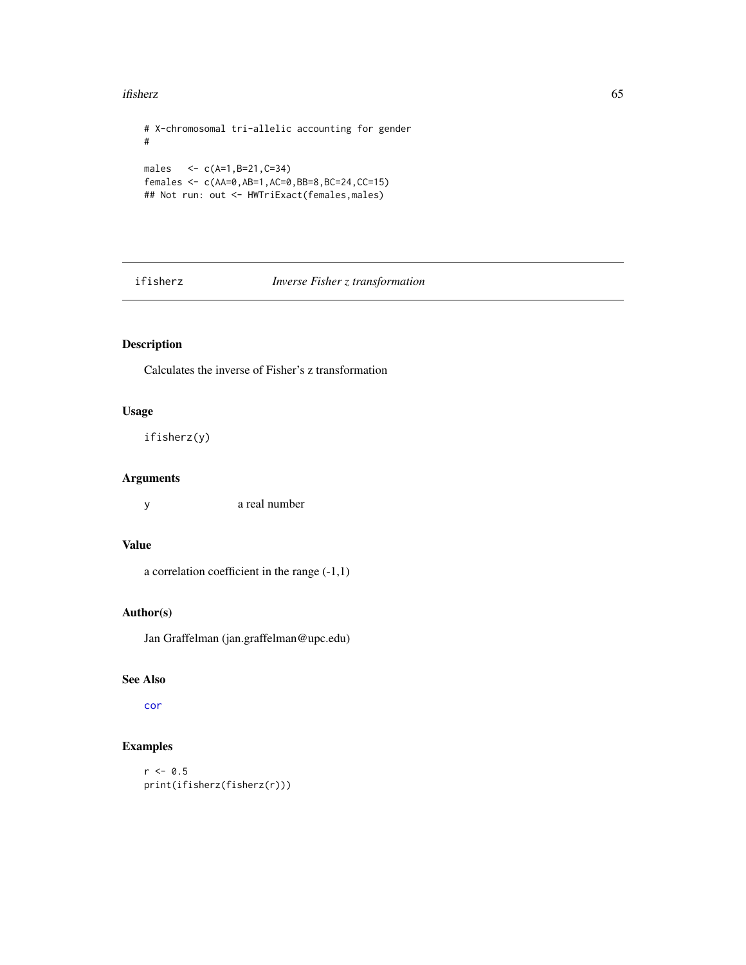#### ifisherz 65

```
# X-chromosomal tri-allelic accounting for gender
#
males <- c(A=1,B=21,C=34)
females <- c(AA=0,AB=1,AC=0,BB=8,BC=24,CC=15)
## Not run: out <- HWTriExact(females,males)
```
## ifisherz *Inverse Fisher z transformation*

## Description

Calculates the inverse of Fisher's z transformation

## Usage

ifisherz(y)

## Arguments

y a real number

## Value

a correlation coefficient in the range (-1,1)

## Author(s)

Jan Graffelman (jan.graffelman@upc.edu)

# See Also

[cor](#page-0-0)

```
r < -0.5print(ifisherz(fisherz(r)))
```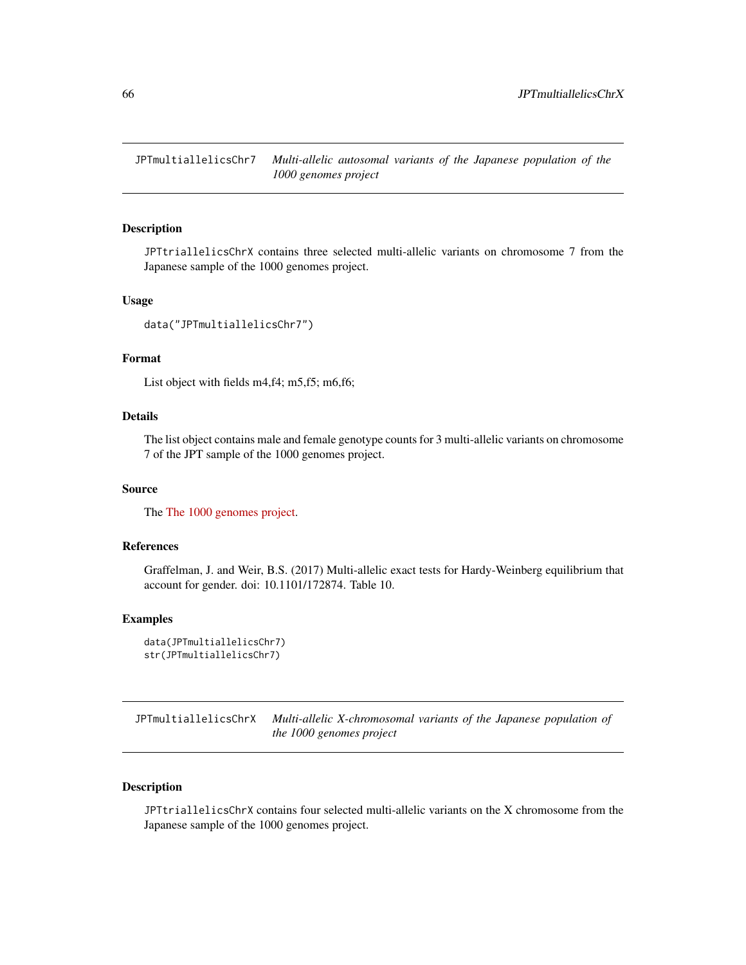JPTmultiallelicsChr7 *Multi-allelic autosomal variants of the Japanese population of the 1000 genomes project*

#### Description

JPTtriallelicsChrX contains three selected multi-allelic variants on chromosome 7 from the Japanese sample of the 1000 genomes project.

## Usage

```
data("JPTmultiallelicsChr7")
```
#### Format

List object with fields m4,f4; m5,f5; m6,f6;

## Details

The list object contains male and female genotype counts for 3 multi-allelic variants on chromosome 7 of the JPT sample of the 1000 genomes project.

## Source

The [The 1000 genomes project.](https://www.internationalgenome.org)

## References

Graffelman, J. and Weir, B.S. (2017) Multi-allelic exact tests for Hardy-Weinberg equilibrium that account for gender. doi: 10.1101/172874. Table 10.

#### Examples

```
data(JPTmultiallelicsChr7)
str(JPTmultiallelicsChr7)
```
JPTmultiallelicsChrX *Multi-allelic X-chromosomal variants of the Japanese population of the 1000 genomes project*

## Description

JPTtriallelicsChrX contains four selected multi-allelic variants on the X chromosome from the Japanese sample of the 1000 genomes project.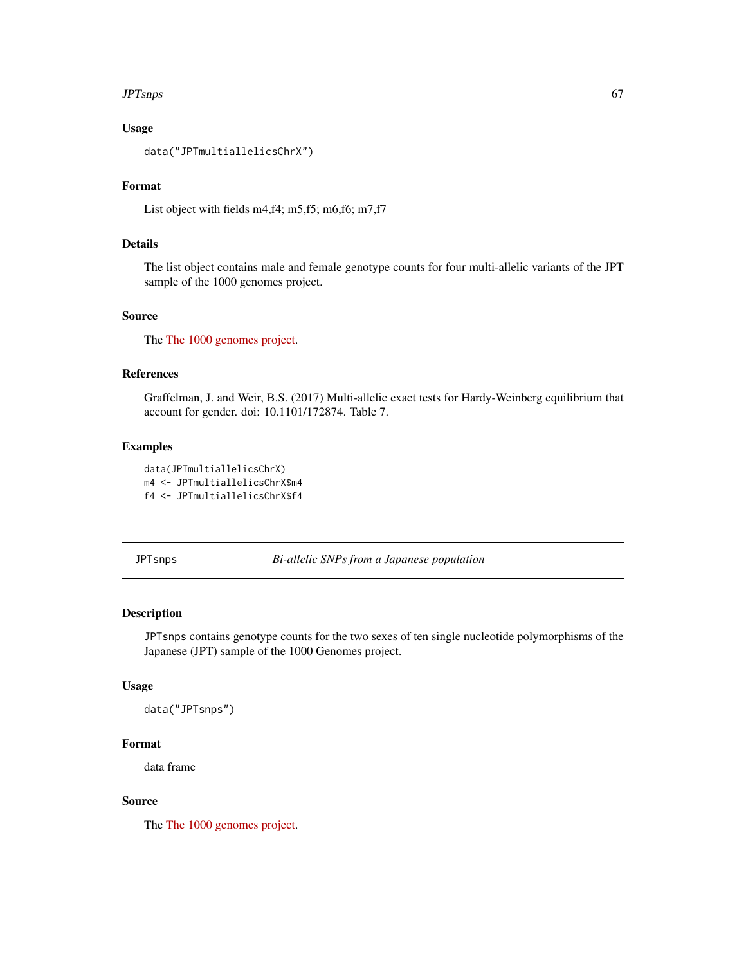#### $JPTs$ nps 67

## Usage

```
data("JPTmultiallelicsChrX")
```
#### Format

List object with fields m4,f4; m5,f5; m6,f6; m7,f7

# Details

The list object contains male and female genotype counts for four multi-allelic variants of the JPT sample of the 1000 genomes project.

# Source

The [The 1000 genomes project.](https://www.internationalgenome.org)

## References

Graffelman, J. and Weir, B.S. (2017) Multi-allelic exact tests for Hardy-Weinberg equilibrium that account for gender. doi: 10.1101/172874. Table 7.

## Examples

data(JPTmultiallelicsChrX) m4 <- JPTmultiallelicsChrX\$m4 f4 <- JPTmultiallelicsChrX\$f4

JPTsnps *Bi-allelic SNPs from a Japanese population*

## Description

JPTsnps contains genotype counts for the two sexes of ten single nucleotide polymorphisms of the Japanese (JPT) sample of the 1000 Genomes project.

#### Usage

data("JPTsnps")

## Format

data frame

#### Source

The [The 1000 genomes project.](https://www.internationalgenome.org)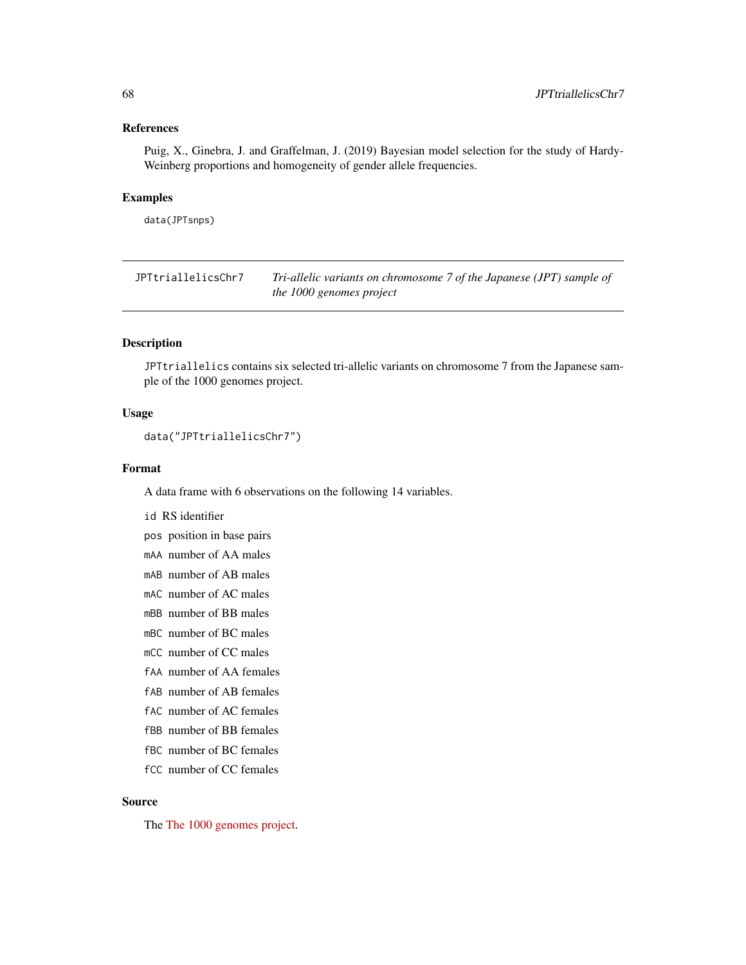#### References

Puig, X., Ginebra, J. and Graffelman, J. (2019) Bayesian model selection for the study of Hardy-Weinberg proportions and homogeneity of gender allele frequencies.

#### Examples

data(JPTsnps)

JPTtriallelicsChr7 *Tri-allelic variants on chromosome 7 of the Japanese (JPT) sample of the 1000 genomes project*

## Description

JPTtriallelics contains six selected tri-allelic variants on chromosome 7 from the Japanese sample of the 1000 genomes project.

#### Usage

```
data("JPTtriallelicsChr7")
```
## Format

A data frame with 6 observations on the following 14 variables.

id RS identifier

pos position in base pairs

mAA number of AA males

mAB number of AB males

mAC number of AC males

mBB number of BB males

mBC number of BC males

mCC number of CC males

fAA number of AA females

fAB number of AB females

fAC number of AC females

fBB number of BB females

fBC number of BC females

fCC number of CC females

#### Source

The [The 1000 genomes project.](https://www.internationalgenome.org)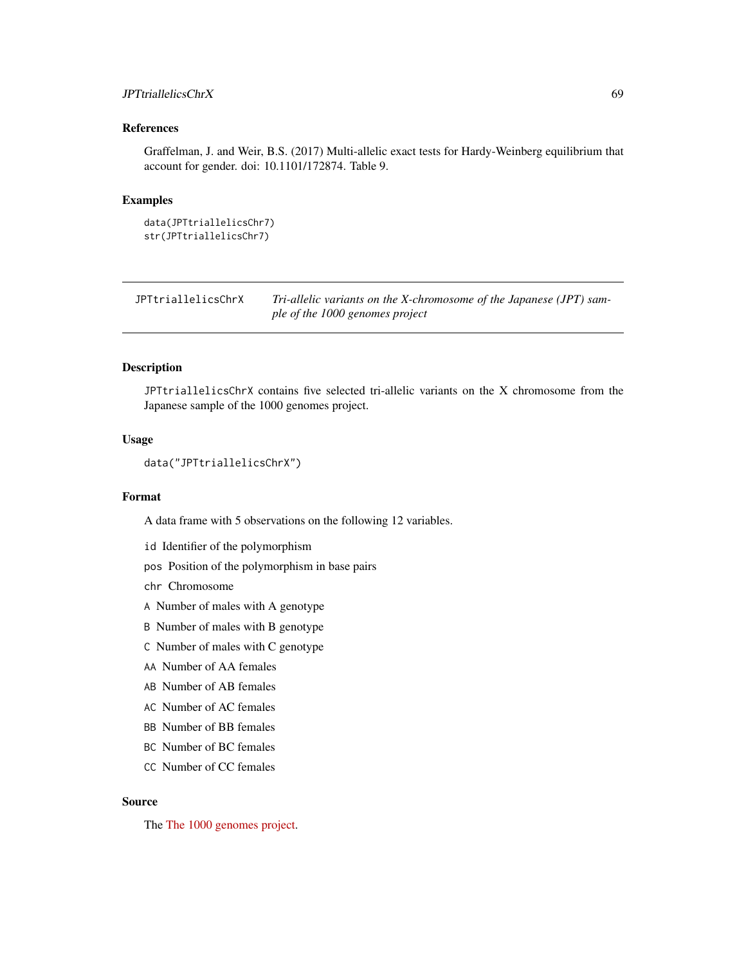## JPTtriallelicsChrX 69

## References

Graffelman, J. and Weir, B.S. (2017) Multi-allelic exact tests for Hardy-Weinberg equilibrium that account for gender. doi: 10.1101/172874. Table 9.

## Examples

```
data(JPTtriallelicsChr7)
str(JPTtriallelicsChr7)
```

| JPTtriallelicsChrX | Tri-allelic variants on the X-chromosome of the Japanese (JPT) sam- |
|--------------------|---------------------------------------------------------------------|
|                    | ple of the 1000 genomes project                                     |

#### Description

JPTtriallelicsChrX contains five selected tri-allelic variants on the X chromosome from the Japanese sample of the 1000 genomes project.

#### Usage

```
data("JPTtriallelicsChrX")
```
## Format

A data frame with 5 observations on the following 12 variables.

- id Identifier of the polymorphism
- pos Position of the polymorphism in base pairs

chr Chromosome

- A Number of males with A genotype
- B Number of males with B genotype
- C Number of males with C genotype
- AA Number of AA females
- AB Number of AB females
- AC Number of AC females
- BB Number of BB females
- BC Number of BC females
- CC Number of CC females

## Source

The [The 1000 genomes project.](https://www.internationalgenome.org)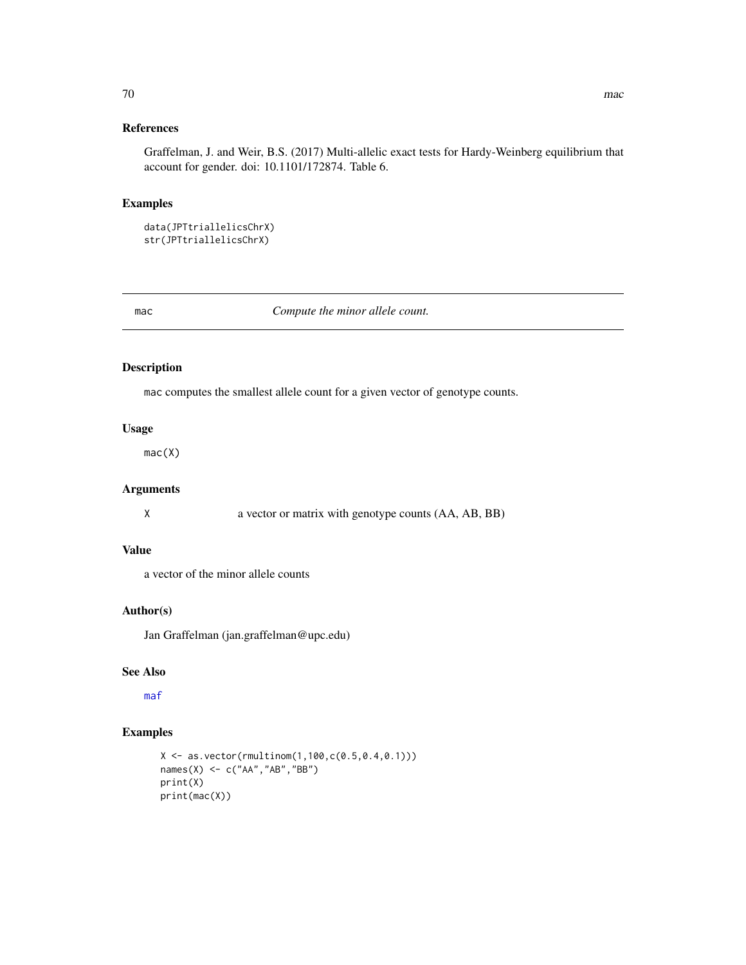## References

Graffelman, J. and Weir, B.S. (2017) Multi-allelic exact tests for Hardy-Weinberg equilibrium that account for gender. doi: 10.1101/172874. Table 6.

#### Examples

```
data(JPTtriallelicsChrX)
str(JPTtriallelicsChrX)
```
mac *Compute the minor allele count.*

## Description

mac computes the smallest allele count for a given vector of genotype counts.

## Usage

mac(X)

## Arguments

X a vector or matrix with genotype counts (AA, AB, BB)

## Value

a vector of the minor allele counts

## Author(s)

Jan Graffelman (jan.graffelman@upc.edu)

## See Also

[maf](#page-70-0)

```
X <- as.vector(rmultinom(1,100,c(0.5,0.4,0.1)))
names(X) <- c("AA","AB","BB")
print(X)
print(mac(X))
```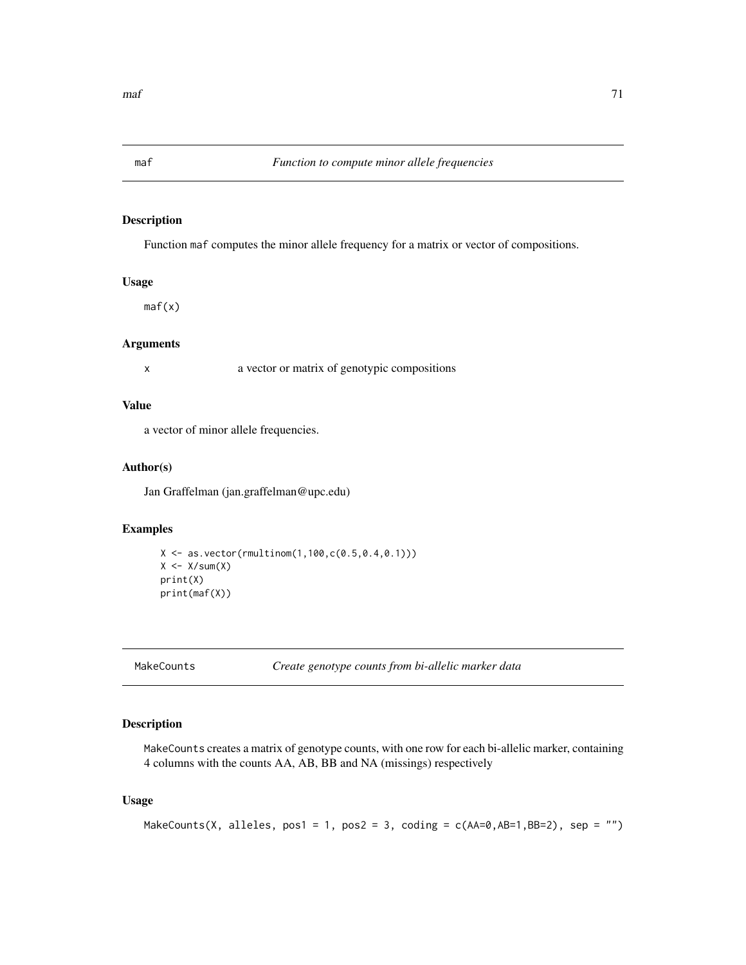<span id="page-70-0"></span>

## Description

Function maf computes the minor allele frequency for a matrix or vector of compositions.

#### Usage

maf(x)

#### Arguments

x a vector or matrix of genotypic compositions

#### Value

a vector of minor allele frequencies.

#### Author(s)

Jan Graffelman (jan.graffelman@upc.edu)

## Examples

```
X \leftarrow as.vector(rmultinom(1,100,c(0.5,0.4,0.1)))X \leftarrow X/\text{sum}(X)print(X)
print(maf(X))
```

```
MakeCounts Create genotype counts from bi-allelic marker data
```
## Description

MakeCounts creates a matrix of genotype counts, with one row for each bi-allelic marker, containing 4 columns with the counts AA, AB, BB and NA (missings) respectively

#### Usage

```
MakeCounts(X, alleles, pos1 = 1, pos2 = 3, coding = c(AA=0, AB=1, BB=2), sep = "")
```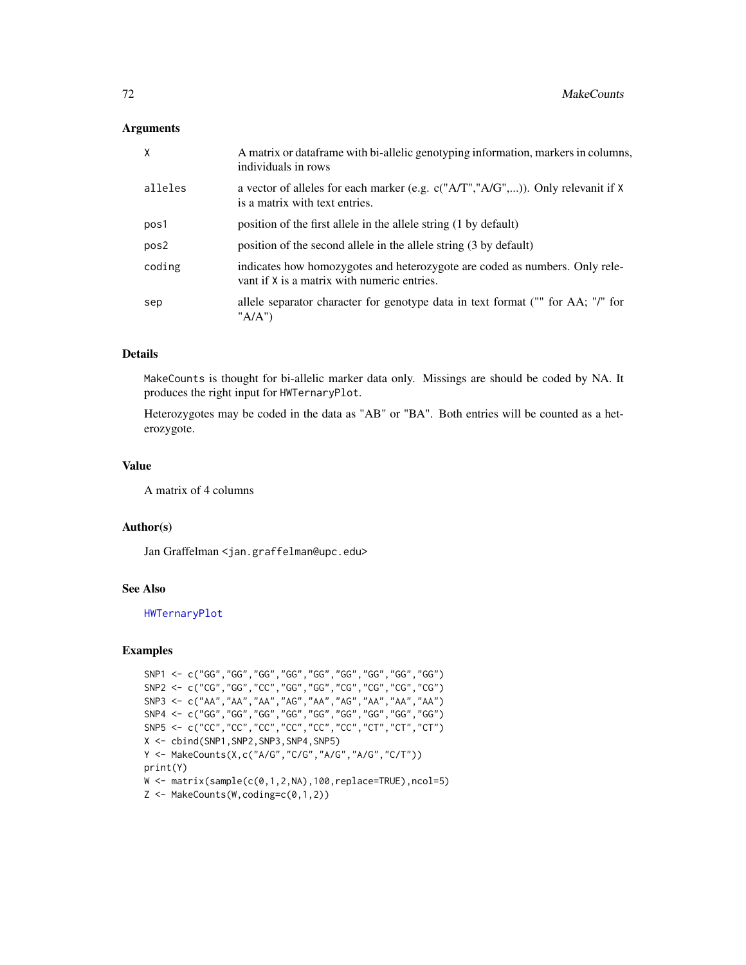#### Arguments

| $\times$         | A matrix or data frame with bi-allelic genotyping information, markers in columns,<br>individuals in rows                  |  |
|------------------|----------------------------------------------------------------------------------------------------------------------------|--|
| alleles          | a vector of alleles for each marker (e.g. $c("A/T", "A/G",)$ ). Only relevanit if X<br>is a matrix with text entries.      |  |
| pos1             | position of the first allele in the allele string (1 by default)                                                           |  |
| pos <sub>2</sub> | position of the second allele in the allele string (3 by default)                                                          |  |
| coding           | indicates how homozygotes and heterozygote are coded as numbers. Only rele-<br>vant if X is a matrix with numeric entries. |  |
| sep              | allele separator character for genotype data in text format ("" for AA; "/" for<br>"A/A")                                  |  |

## Details

MakeCounts is thought for bi-allelic marker data only. Missings are should be coded by NA. It produces the right input for HWTernaryPlot.

Heterozygotes may be coded in the data as "AB" or "BA". Both entries will be counted as a heterozygote.

#### Value

A matrix of 4 columns

## Author(s)

Jan Graffelman <jan.graffelman@upc.edu>

## See Also

[HWTernaryPlot](#page-59-0)

```
SNP1 <- c("GG","GG","GG","GG","GG","GG","GG","GG","GG")
SNP2 <- c("CG","GG","CC","GG","GG","CG","CG","CG","CG")
SNP3 <- c("AA","AA","AA","AG","AA","AG","AA","AA","AA")
SNP4 <- c("GG","GG","GG","GG","GG","GG","GG","GG","GG")
SNP5 <- c("CC","CC","CC","CC","CC","CC","CT","CT","CT")
X <- cbind(SNP1,SNP2,SNP3,SNP4,SNP5)
Y <- MakeCounts(X,c("A/G","C/G","A/G","A/G","C/T"))
print(Y)
W \leftarrow matrix(sample(c(0,1,2,NA),100,replace=TRUE),ncol=5)Z \leftarrow MakeCounts(W, coding=c(0,1,2))
```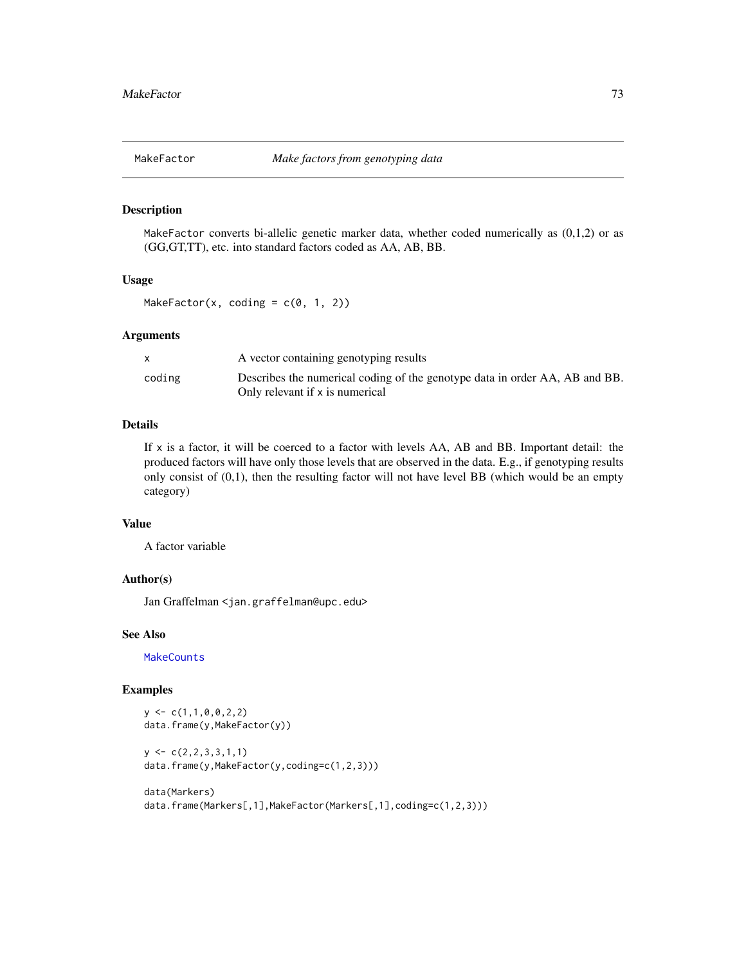<span id="page-72-0"></span>

MakeFactor converts bi-allelic genetic marker data, whether coded numerically as (0,1,2) or as (GG,GT,TT), etc. into standard factors coded as AA, AB, BB.

# Usage

MakeFactor(x, coding =  $c(\emptyset, 1, 2)$ )

# Arguments

|        | A vector containing genotyping results                                                                         |
|--------|----------------------------------------------------------------------------------------------------------------|
| coding | Describes the numerical coding of the genotype data in order AA, AB and BB.<br>Only relevant if x is numerical |

# Details

If x is a factor, it will be coerced to a factor with levels AA, AB and BB. Important detail: the produced factors will have only those levels that are observed in the data. E.g., if genotyping results only consist of  $(0,1)$ , then the resulting factor will not have level BB (which would be an empty category)

#### Value

A factor variable

#### Author(s)

Jan Graffelman <jan.graffelman@upc.edu>

#### See Also

**[MakeCounts](#page-70-0)** 

# Examples

 $y \leftarrow c(1,1,0,0,2,2)$ data.frame(y,MakeFactor(y))

```
y \leq -c(2, 2, 3, 3, 1, 1)data.frame(y,MakeFactor(y,coding=c(1,2,3)))
```

```
data(Markers)
data.frame(Markers[,1],MakeFactor(Markers[,1],coding=c(1,2,3)))
```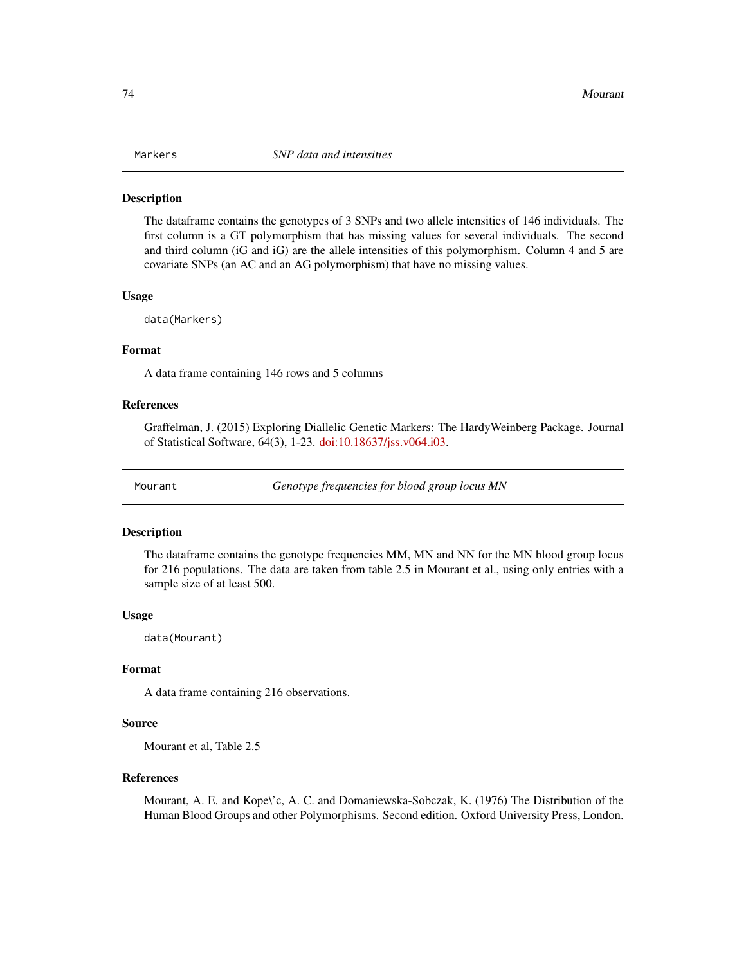<span id="page-73-0"></span>

The dataframe contains the genotypes of 3 SNPs and two allele intensities of 146 individuals. The first column is a GT polymorphism that has missing values for several individuals. The second and third column (iG and iG) are the allele intensities of this polymorphism. Column 4 and 5 are covariate SNPs (an AC and an AG polymorphism) that have no missing values.

#### Usage

data(Markers)

# Format

A data frame containing 146 rows and 5 columns

#### References

Graffelman, J. (2015) Exploring Diallelic Genetic Markers: The HardyWeinberg Package. Journal of Statistical Software, 64(3), 1-23. [doi:10.18637/jss.v064.i03.](https://doi.org/10.18637/jss.v064.i03)

Mourant *Genotype frequencies for blood group locus MN*

#### **Description**

The dataframe contains the genotype frequencies MM, MN and NN for the MN blood group locus for 216 populations. The data are taken from table 2.5 in Mourant et al., using only entries with a sample size of at least 500.

#### Usage

data(Mourant)

# Format

A data frame containing 216 observations.

# Source

Mourant et al, Table 2.5

#### References

Mourant, A. E. and Kope\'c, A. C. and Domaniewska-Sobczak, K. (1976) The Distribution of the Human Blood Groups and other Polymorphisms. Second edition. Oxford University Press, London.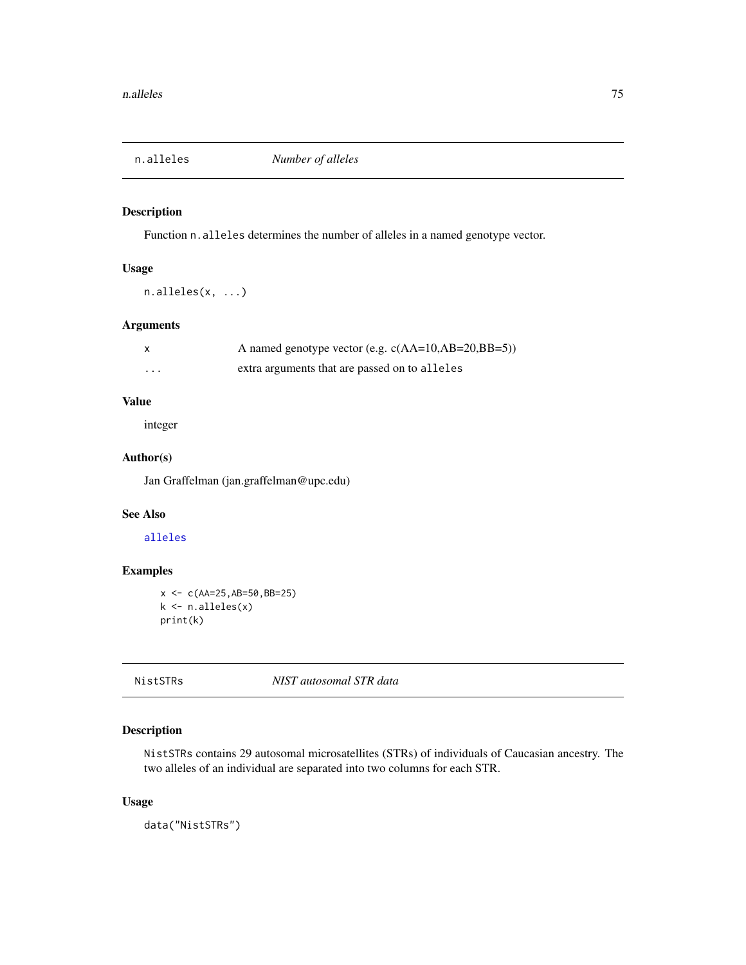<span id="page-74-0"></span>

Function n.alleles determines the number of alleles in a named genotype vector.

# Usage

n.alleles(x, ...)

# Arguments

|          | A named genotype vector (e.g. $c(AA=10, AB=20, BB=5)$ ) |
|----------|---------------------------------------------------------|
| $\cdots$ | extra arguments that are passed on to alleles           |

# Value

integer

# Author(s)

Jan Graffelman (jan.graffelman@upc.edu)

# See Also

[alleles](#page-6-0)

# Examples

```
x <- c(AA=25,AB=50,BB=25)
k <- n.alleles(x)
print(k)
```
# NistSTRs *NIST autosomal STR data*

# Description

NistSTRs contains 29 autosomal microsatellites (STRs) of individuals of Caucasian ancestry. The two alleles of an individual are separated into two columns for each STR.

# Usage

data("NistSTRs")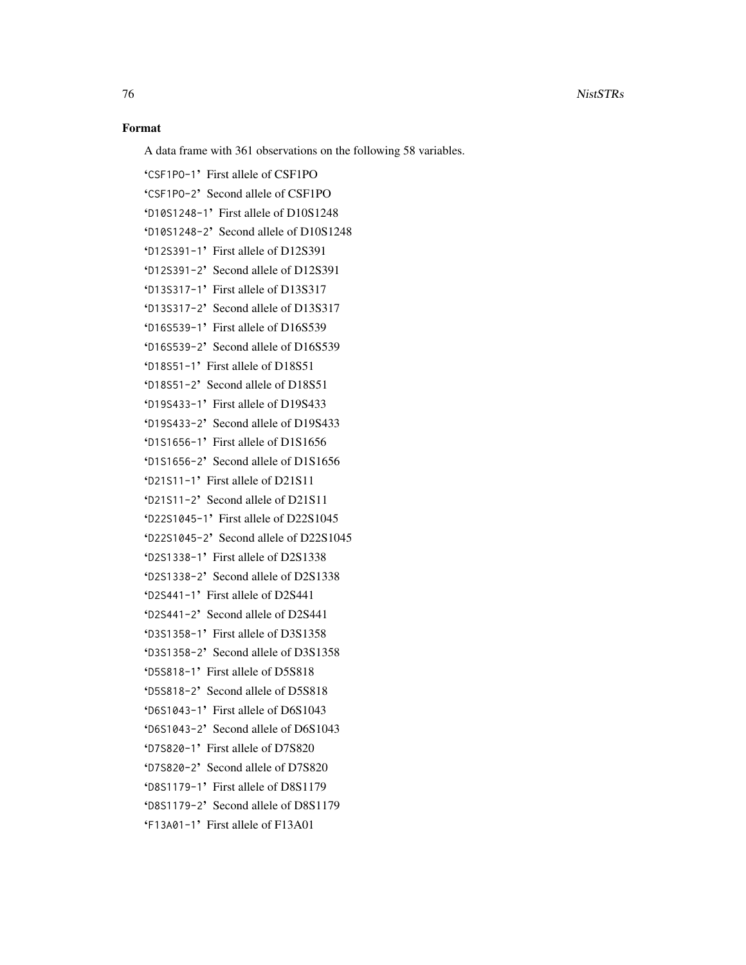# Format

A data frame with 361 observations on the following 58 variables.

'CSF1PO-1' First allele of CSF1PO 'CSF1PO-2' Second allele of CSF1PO 'D10S1248-1' First allele of D10S1248 'D10S1248-2' Second allele of D10S1248 'D12S391-1' First allele of D12S391 'D12S391-2' Second allele of D12S391 'D13S317-1' First allele of D13S317 'D13S317-2' Second allele of D13S317 'D16S539-1' First allele of D16S539 'D16S539-2' Second allele of D16S539 'D18S51-1' First allele of D18S51 'D18S51-2' Second allele of D18S51 'D19S433-1' First allele of D19S433 'D19S433-2' Second allele of D19S433 'D1S1656-1' First allele of D1S1656 'D1S1656-2' Second allele of D1S1656 'D21S11-1' First allele of D21S11 'D21S11-2' Second allele of D21S11 'D22S1045-1' First allele of D22S1045 'D22S1045-2' Second allele of D22S1045 'D2S1338-1' First allele of D2S1338 'D2S1338-2' Second allele of D2S1338 'D2S441-1' First allele of D2S441 'D2S441-2' Second allele of D2S441 'D3S1358-1' First allele of D3S1358 'D3S1358-2' Second allele of D3S1358 'D5S818-1' First allele of D5S818 'D5S818-2' Second allele of D5S818 'D6S1043-1' First allele of D6S1043 'D6S1043-2' Second allele of D6S1043 'D7S820-1' First allele of D7S820 'D7S820-2' Second allele of D7S820 'D8S1179-1' First allele of D8S1179 'D8S1179-2' Second allele of D8S1179 'F13A01-1' First allele of F13A01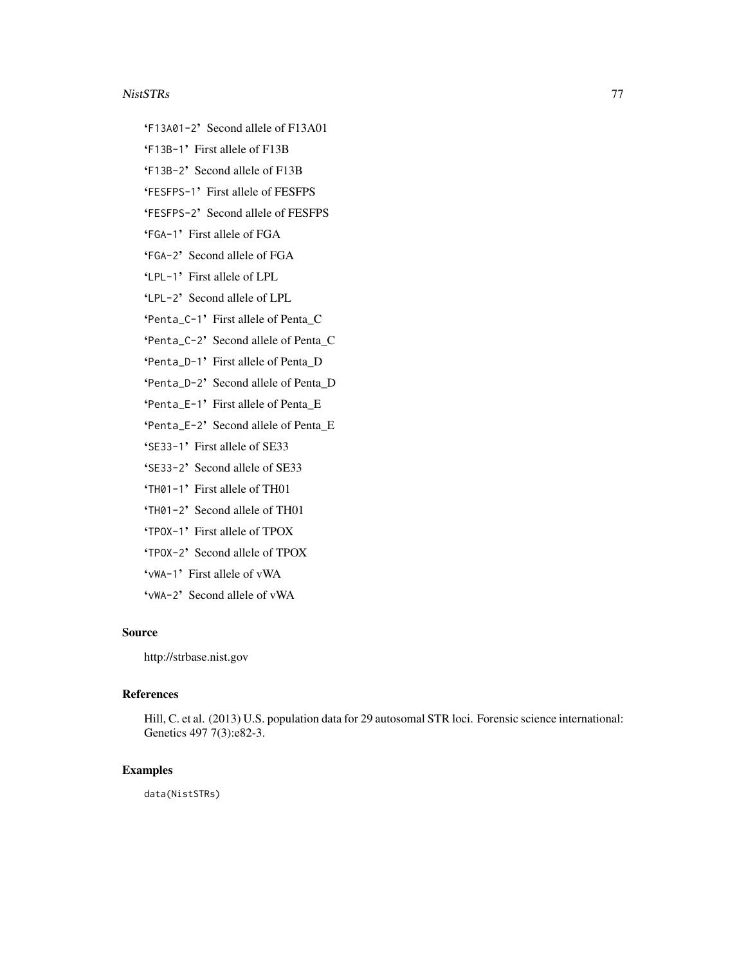#### NistSTRs 77

- 'F13A01-2' Second allele of F13A01
- 'F13B-1' First allele of F13B
- 'F13B-2' Second allele of F13B
- 'FESFPS-1' First allele of FESFPS

'FESFPS-2' Second allele of FESFPS

'FGA-1' First allele of FGA

- 'FGA-2' Second allele of FGA
- 'LPL-1' First allele of LPL
- 'LPL-2' Second allele of LPL
- 'Penta\_C-1' First allele of Penta\_C
- 'Penta\_C-2' Second allele of Penta\_C
- 'Penta\_D-1' First allele of Penta\_D
- 'Penta\_D-2' Second allele of Penta\_D
- 'Penta\_E-1' First allele of Penta\_E
- 'Penta\_E-2' Second allele of Penta\_E
- 'SE33-1' First allele of SE33
- 'SE33-2' Second allele of SE33
- 'TH01-1' First allele of TH01
- 'TH01-2' Second allele of TH01
- 'TPOX-1' First allele of TPOX
- 'TPOX-2' Second allele of TPOX
- 'vWA-1' First allele of vWA
- 'vWA-2' Second allele of vWA

# Source

http://strbase.nist.gov

#### References

Hill, C. et al. (2013) U.S. population data for 29 autosomal STR loci. Forensic science international: Genetics 497 7(3):e82-3.

# Examples

data(NistSTRs)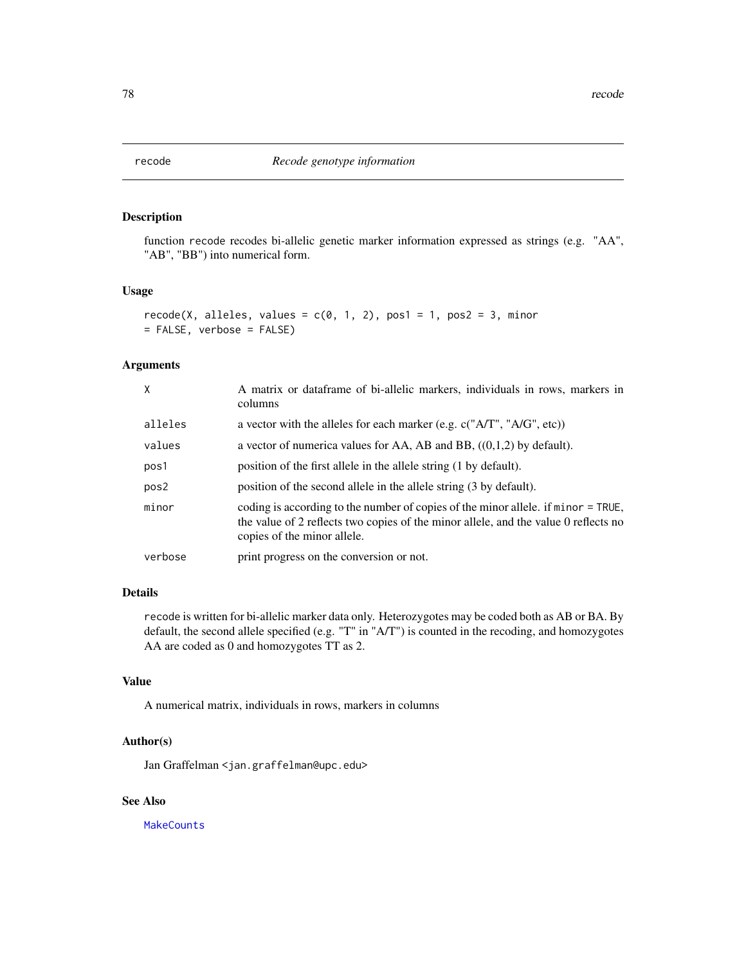<span id="page-77-0"></span>function recode recodes bi-allelic genetic marker information expressed as strings (e.g. "AA", "AB", "BB") into numerical form.

#### Usage

```
recode(X, alleles, values = c(0, 1, 2), pos1 = 1, pos2 = 3, minor
= FALSE, verbose = FALSE)
```
#### Arguments

| $\mathsf{X}$ | A matrix or dataframe of bi-allelic markers, individuals in rows, markers in<br>columns                                                                                                                 |
|--------------|---------------------------------------------------------------------------------------------------------------------------------------------------------------------------------------------------------|
| alleles      | a vector with the alleles for each marker (e.g. $c("A/T", "A/G", etc)$ )                                                                                                                                |
| values       | a vector of numerica values for AA, AB and BB, $((0,1,2)$ by default).                                                                                                                                  |
| pos1         | position of the first allele in the allele string (1 by default).                                                                                                                                       |
| pos2         | position of the second allele in the allele string (3 by default).                                                                                                                                      |
| minor        | coding is according to the number of copies of the minor allele. if minor = TRUE,<br>the value of 2 reflects two copies of the minor allele, and the value 0 reflects no<br>copies of the minor allele. |
| verbose      | print progress on the conversion or not.                                                                                                                                                                |

# Details

recode is written for bi-allelic marker data only. Heterozygotes may be coded both as AB or BA. By default, the second allele specified (e.g. "T" in "A/T") is counted in the recoding, and homozygotes AA are coded as 0 and homozygotes TT as 2.

# Value

A numerical matrix, individuals in rows, markers in columns

# Author(s)

Jan Graffelman <jan.graffelman@upc.edu>

# See Also

**[MakeCounts](#page-70-0)**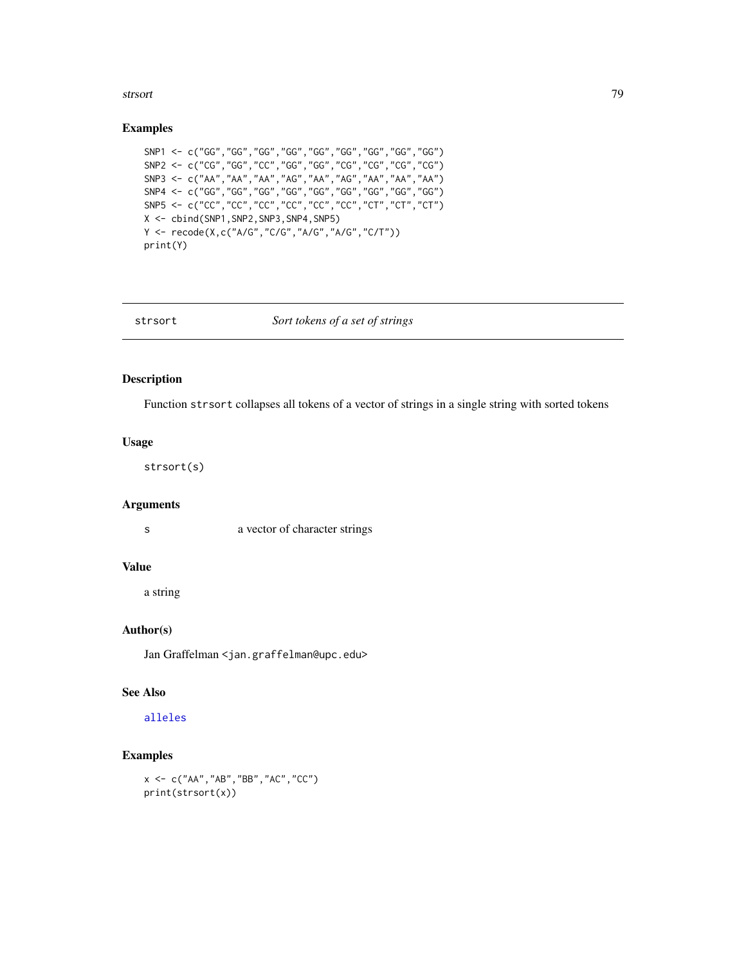#### <span id="page-78-0"></span>strsort to the contract of the contract of the contract of the contract of the contract of the contract of the contract of the contract of the contract of the contract of the contract of the contract of the contract of the

#### Examples

```
SNP1 <- c("GG","GG","GG","GG","GG","GG","GG","GG","GG")
SNP2 <- c("CG","GG","CC","GG","GG","CG","CG","CG","CG")
SNP3 <- c("AA","AA","AA","AG","AA","AG","AA","AA","AA")
SNP4 <- c("GG","GG","GG","GG","GG","GG","GG","GG","GG")
SNP5 <- c("CC","CC","CC","CC","CC","CC","CT","CT","CT")
X <- cbind(SNP1,SNP2,SNP3,SNP4,SNP5)
Y <- recode(X,c("A/G","C/G","A/G","A/G","C/T"))
print(Y)
```
# strsort *Sort tokens of a set of strings*

# Description

Function strsort collapses all tokens of a vector of strings in a single string with sorted tokens

# Usage

strsort(s)

#### Arguments

s a vector of character strings

#### Value

a string

# Author(s)

Jan Graffelman <jan.graffelman@upc.edu>

# See Also

# [alleles](#page-6-0)

# Examples

x <- c("AA","AB","BB","AC","CC") print(strsort(x))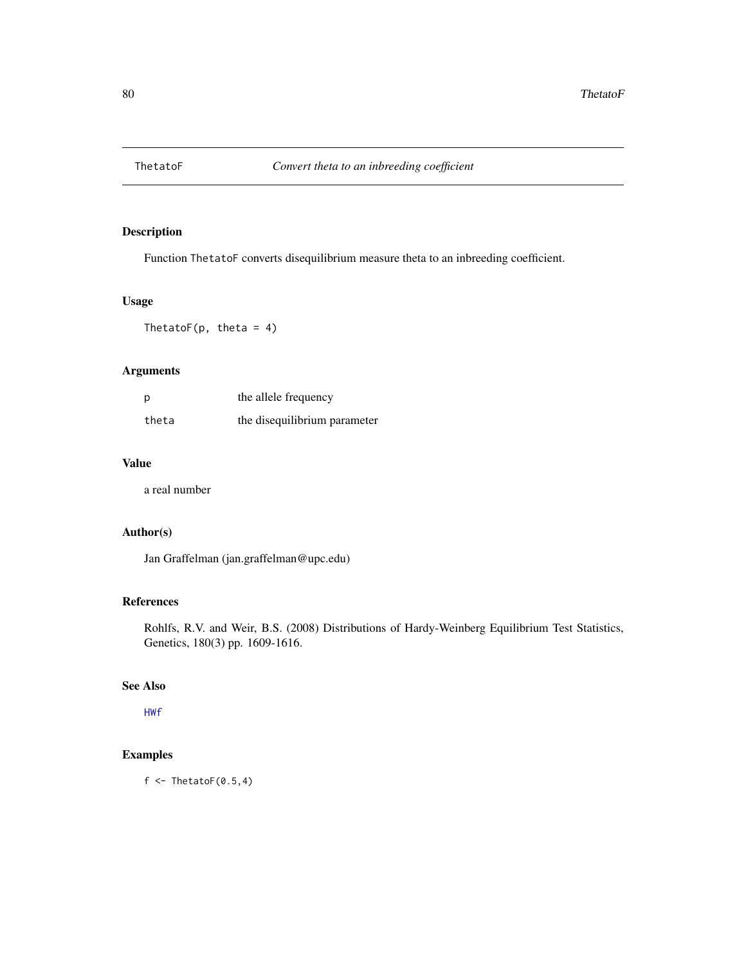<span id="page-79-0"></span>

Function ThetatoF converts disequilibrium measure theta to an inbreeding coefficient.

# Usage

ThetatoF( $p$ , theta = 4)

# Arguments

| p     | the allele frequency         |
|-------|------------------------------|
| theta | the disequilibrium parameter |

# Value

a real number

# Author(s)

Jan Graffelman (jan.graffelman@upc.edu)

# References

Rohlfs, R.V. and Weir, B.S. (2008) Distributions of Hardy-Weinberg Equilibrium Test Statistics, Genetics, 180(3) pp. 1609-1616.

#### See Also

[HWf](#page-39-0)

# Examples

 $f \leftarrow \text{ThetatoF}(0.5, 4)$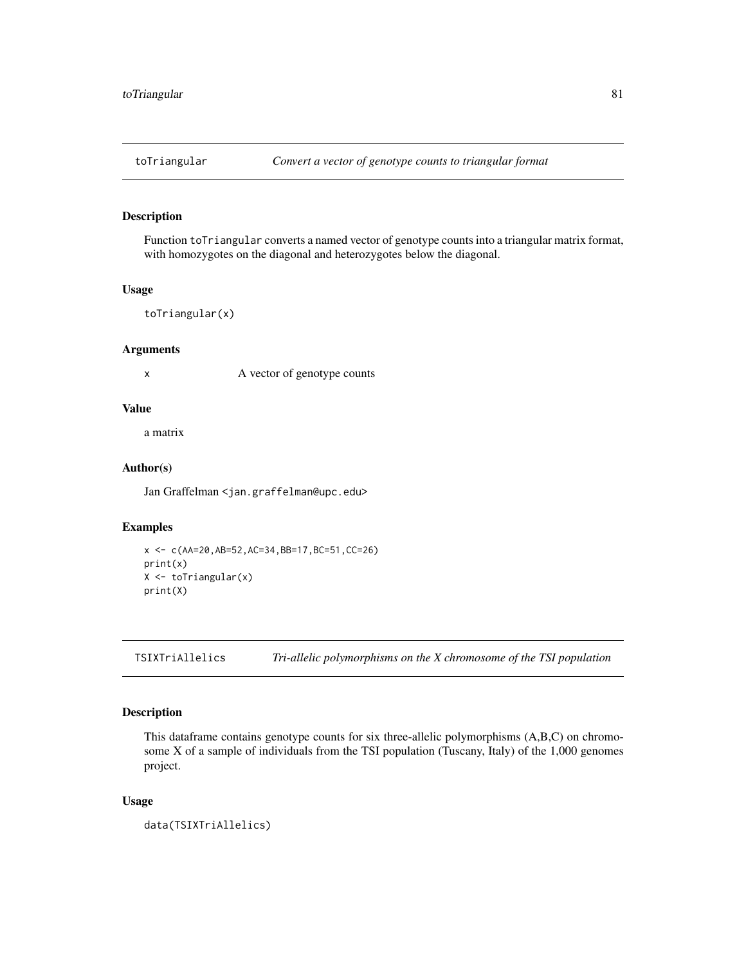<span id="page-80-0"></span>

Function toTriangular converts a named vector of genotype counts into a triangular matrix format, with homozygotes on the diagonal and heterozygotes below the diagonal.

# Usage

```
toTriangular(x)
```
# Arguments

x A vector of genotype counts

# Value

a matrix

# Author(s)

Jan Graffelman <jan.graffelman@upc.edu>

# Examples

```
x <- c(AA=20,AB=52,AC=34,BB=17,BC=51,CC=26)
print(x)
X <- toTriangular(x)
print(X)
```
TSIXTriAllelics *Tri-allelic polymorphisms on the X chromosome of the TSI population*

# Description

This dataframe contains genotype counts for six three-allelic polymorphisms (A,B,C) on chromosome X of a sample of individuals from the TSI population (Tuscany, Italy) of the 1,000 genomes project.

#### Usage

```
data(TSIXTriAllelics)
```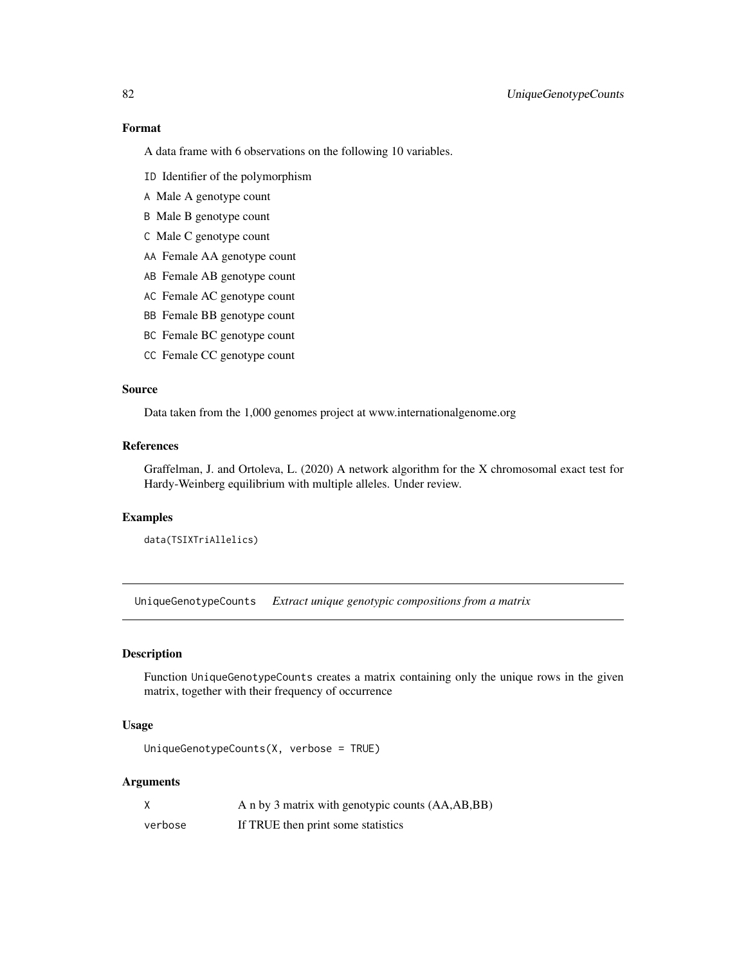# Format

A data frame with 6 observations on the following 10 variables.

- ID Identifier of the polymorphism
- A Male A genotype count
- B Male B genotype count
- C Male C genotype count
- AA Female AA genotype count
- AB Female AB genotype count
- AC Female AC genotype count
- BB Female BB genotype count
- BC Female BC genotype count
- CC Female CC genotype count

#### Source

Data taken from the 1,000 genomes project at www.internationalgenome.org

# References

Graffelman, J. and Ortoleva, L. (2020) A network algorithm for the X chromosomal exact test for Hardy-Weinberg equilibrium with multiple alleles. Under review.

#### Examples

```
data(TSIXTriAllelics)
```
UniqueGenotypeCounts *Extract unique genotypic compositions from a matrix*

# Description

Function UniqueGenotypeCounts creates a matrix containing only the unique rows in the given matrix, together with their frequency of occurrence

# Usage

UniqueGenotypeCounts(X, verbose = TRUE)

# Arguments

|         | A n by 3 matrix with genotypic counts (AA,AB,BB) |
|---------|--------------------------------------------------|
| verbose | If TRUE then print some statistics               |

<span id="page-81-0"></span>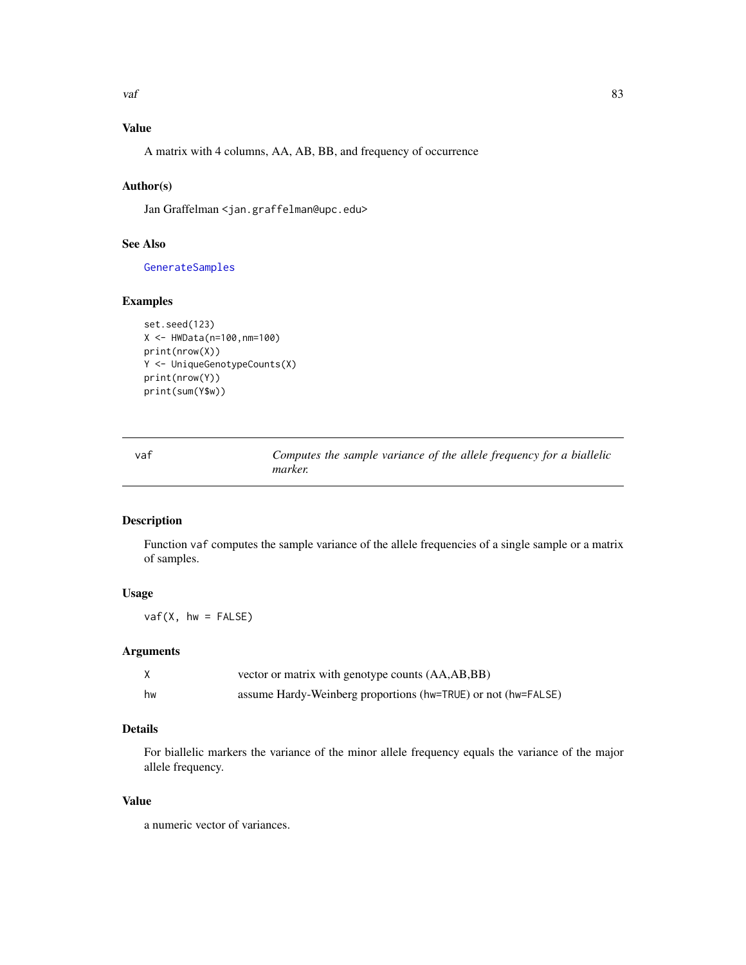<span id="page-82-0"></span> $\mathbf{v}$ af 83

# Value

A matrix with 4 columns, AA, AB, BB, and frequency of occurrence

# Author(s)

Jan Graffelman <jan.graffelman@upc.edu>

# See Also

[GenerateSamples](#page-15-0)

# Examples

```
set.seed(123)
X <- HWData(n=100,nm=100)
print(nrow(X))
Y <- UniqueGenotypeCounts(X)
print(nrow(Y))
print(sum(Y$w))
```
vaf *Computes the sample variance of the allele frequency for a biallelic marker.*

#### Description

Function vaf computes the sample variance of the allele frequencies of a single sample or a matrix of samples.

# Usage

 $vaf(X, hw = FALSE)$ 

#### Arguments

|    | vector or matrix with genotype counts (AA,AB,BB)              |
|----|---------------------------------------------------------------|
| hw | assume Hardy-Weinberg proportions (hw=TRUE) or not (hw=FALSE) |

# Details

For biallelic markers the variance of the minor allele frequency equals the variance of the major allele frequency.

#### Value

a numeric vector of variances.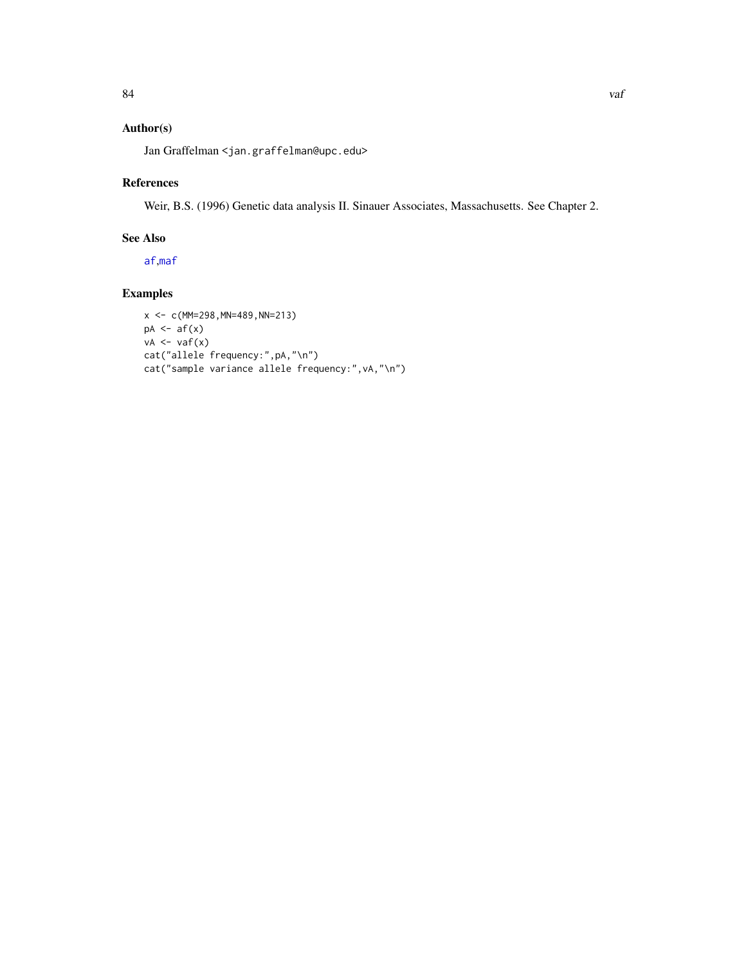# <span id="page-83-0"></span>Author(s)

Jan Graffelman <jan.graffelman@upc.edu>

# References

Weir, B.S. (1996) Genetic data analysis II. Sinauer Associates, Massachusetts. See Chapter 2.

# See Also

[af](#page-4-0),[maf](#page-70-1)

# Examples

```
x <- c(MM=298,MN=489,NN=213)
pA \leftarrow af(x)vA \leftarrow vaf(x)cat("allele frequency:",pA,"\n")
cat("sample variance allele frequency:",vA,"\n")
```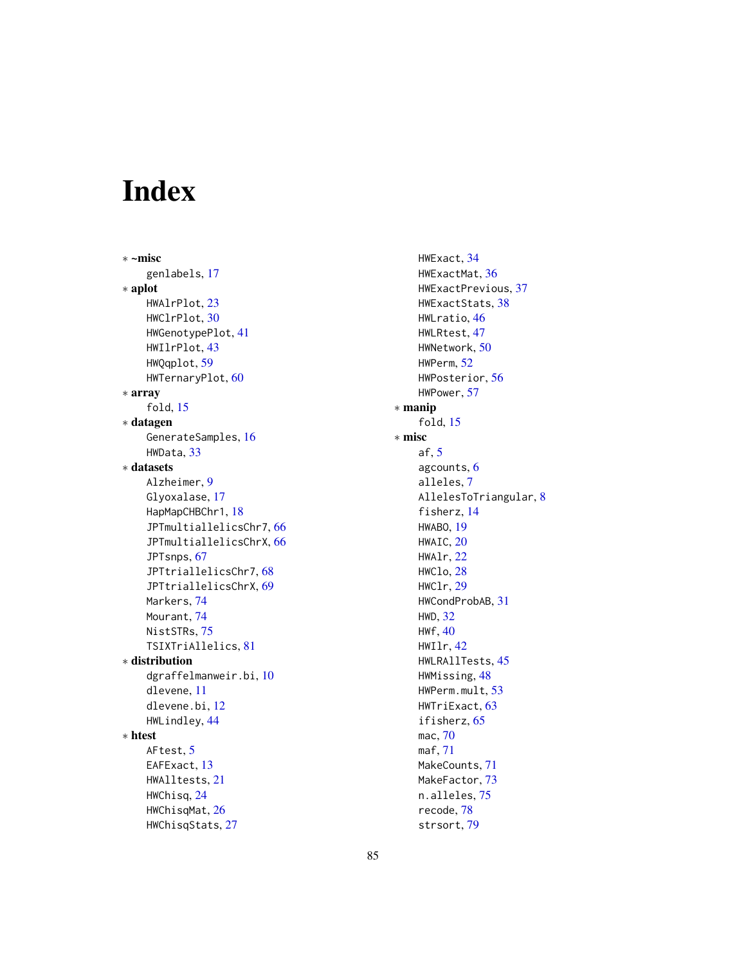# Index

∗ ~misc genlabels, [17](#page-16-0) ∗ aplot HWAlrPlot, [23](#page-22-0) HWClrPlot, [30](#page-29-0) HWGenotypePlot, [41](#page-40-0) HWIlrPlot, [43](#page-42-0) HWQqplot, [59](#page-58-0) HWTernaryPlot, [60](#page-59-0) ∗ array fold, [15](#page-14-0) ∗ datagen GenerateSamples, [16](#page-15-1) HWData, [33](#page-32-0) ∗ datasets Alzheimer, [9](#page-8-0) Glyoxalase, [17](#page-16-0) HapMapCHBChr1, [18](#page-17-0) JPTmultiallelicsChr7, [66](#page-65-0) JPTmultiallelicsChrX, [66](#page-65-0) JPTsnps, [67](#page-66-0) JPTtriallelicsChr7, [68](#page-67-0) JPTtriallelicsChrX, [69](#page-68-0) Markers, [74](#page-73-0) Mourant, [74](#page-73-0) NistSTRs, [75](#page-74-0) TSIXTriAllelics, [81](#page-80-0) ∗ distribution dgraffelmanweir.bi, [10](#page-9-0) dlevene, [11](#page-10-0) dlevene.bi, [12](#page-11-0) HWLindley, [44](#page-43-0) ∗ htest AFtest, [5](#page-4-1) EAFExact, [13](#page-12-0) HWAlltests, [21](#page-20-0) HWChisq, [24](#page-23-0) HWChisqMat, [26](#page-25-0) HWChisqStats, [27](#page-26-0)

HWExact, [34](#page-33-0) HWExactMat, [36](#page-35-0) HWExactPrevious, [37](#page-36-0) HWExactStats, [38](#page-37-0) HWLratio, [46](#page-45-0) HWLRtest, [47](#page-46-0) HWNetwork, [50](#page-49-0) HWPerm, [52](#page-51-0) HWPosterior, [56](#page-55-0) HWPower, [57](#page-56-0) ∗ manip fold, [15](#page-14-0) ∗ misc af, [5](#page-4-1) agcounts, [6](#page-5-0) alleles, [7](#page-6-1) AllelesToTriangular, [8](#page-7-0) fisherz, [14](#page-13-0) HWABO, [19](#page-18-0) HWAIC, [20](#page-19-0) HWAlr, [22](#page-21-0) HWClo, [28](#page-27-0) HWClr, [29](#page-28-0) HWCondProbAB, [31](#page-30-0) HWD, [32](#page-31-0) HWf, [40](#page-39-1) HWIlr, [42](#page-41-0) HWLRAllTests, [45](#page-44-0) HWMissing, [48](#page-47-0) HWPerm.mult, [53](#page-52-0) HWTriExact, [63](#page-62-0) ifisherz, [65](#page-64-0) mac, [70](#page-69-0) maf, [71](#page-70-2) MakeCounts, [71](#page-70-2) MakeFactor, [73](#page-72-0) n.alleles, [75](#page-74-0) recode, [78](#page-77-0) strsort, [79](#page-78-0)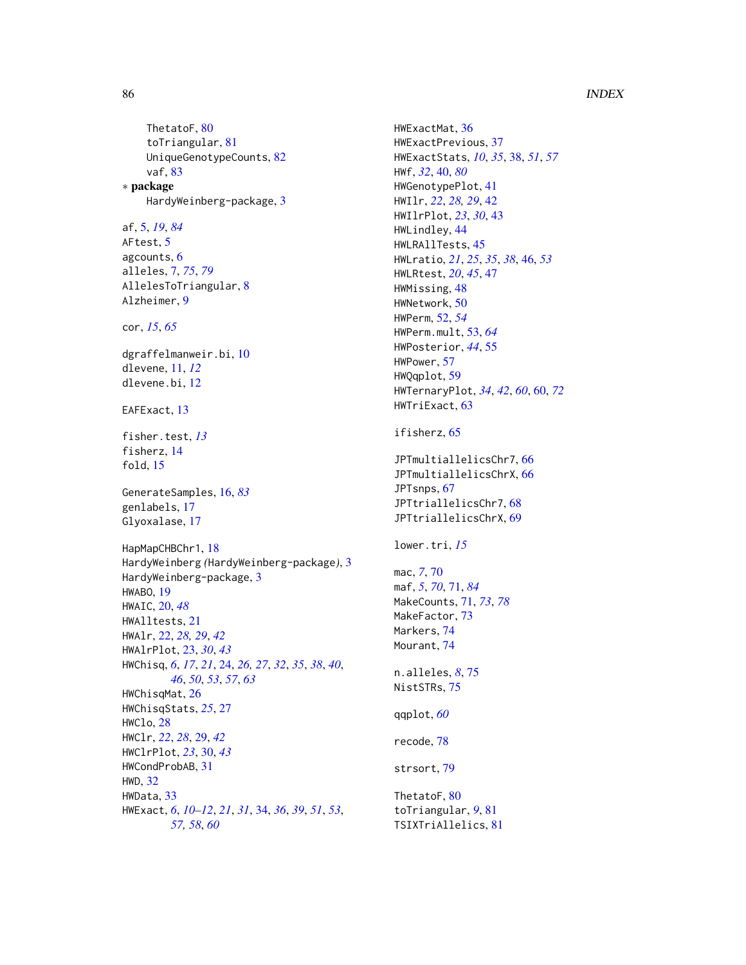# 86 INDEX

ThetatoF, [80](#page-79-0) toTriangular, [81](#page-80-0) UniqueGenotypeCounts, [82](#page-81-0) vaf, [83](#page-82-0) ∗ package HardyWeinberg-package, [3](#page-2-0) af, [5,](#page-4-1) *[19](#page-18-0)*, *[84](#page-83-0)* AFtest, [5](#page-4-1) agcounts, [6](#page-5-0) alleles, [7,](#page-6-1) *[75](#page-74-0)*, *[79](#page-78-0)* AllelesToTriangular, [8](#page-7-0) Alzheimer, [9](#page-8-0) cor, *[15](#page-14-0)*, *[65](#page-64-0)* dgraffelmanweir.bi, [10](#page-9-0) dlevene, [11,](#page-10-0) *[12](#page-11-0)* dlevene.bi, [12](#page-11-0) EAFExact, [13](#page-12-0) fisher.test, *[13](#page-12-0)* fisherz, [14](#page-13-0) fold, [15](#page-14-0) GenerateSamples, [16,](#page-15-1) *[83](#page-82-0)* genlabels, [17](#page-16-0) Glyoxalase, [17](#page-16-0) HapMapCHBChr1, [18](#page-17-0) HardyWeinberg *(*HardyWeinberg-package*)*, [3](#page-2-0) HardyWeinberg-package, [3](#page-2-0) HWABO, [19](#page-18-0) HWAIC, [20,](#page-19-0) *[48](#page-47-0)* HWAlltests, [21](#page-20-0) HWAlr, [22,](#page-21-0) *[28,](#page-27-0) [29](#page-28-0)*, *[42](#page-41-0)* HWAlrPlot, [23,](#page-22-0) *[30](#page-29-0)*, *[43](#page-42-0)* HWChisq, *[6](#page-5-0)*, *[17](#page-16-0)*, *[21](#page-20-0)*, [24,](#page-23-0) *[26,](#page-25-0) [27](#page-26-0)*, *[32](#page-31-0)*, *[35](#page-34-0)*, *[38](#page-37-0)*, *[40](#page-39-1)*, *[46](#page-45-0)*, *[50](#page-49-0)*, *[53](#page-52-0)*, *[57](#page-56-0)*, *[63](#page-62-0)* HWChisqMat, [26](#page-25-0) HWChisqStats, *[25](#page-24-0)*, [27](#page-26-0) HWClo, [28](#page-27-0) HWClr, *[22](#page-21-0)*, *[28](#page-27-0)*, [29,](#page-28-0) *[42](#page-41-0)* HWClrPlot, *[23](#page-22-0)*, [30,](#page-29-0) *[43](#page-42-0)* HWCondProbAB, [31](#page-30-0) HWD, [32](#page-31-0) HWData, [33](#page-32-0) HWExact, *[6](#page-5-0)*, *[10](#page-9-0)[–12](#page-11-0)*, *[21](#page-20-0)*, *[31](#page-30-0)*, [34,](#page-33-0) *[36](#page-35-0)*, *[39](#page-38-0)*, *[51](#page-50-0)*, *[53](#page-52-0)*, *[57,](#page-56-0) [58](#page-57-0)*, *[60](#page-59-0)*

HWExactMat, [36](#page-35-0) HWExactPrevious, [37](#page-36-0) HWExactStats, *[10](#page-9-0)*, *[35](#page-34-0)*, [38,](#page-37-0) *[51](#page-50-0)*, *[57](#page-56-0)* HWf, *[32](#page-31-0)*, [40,](#page-39-1) *[80](#page-79-0)* HWGenotypePlot, [41](#page-40-0) HWIlr, *[22](#page-21-0)*, *[28,](#page-27-0) [29](#page-28-0)*, [42](#page-41-0) HWIlrPlot, *[23](#page-22-0)*, *[30](#page-29-0)*, [43](#page-42-0) HWLindley, [44](#page-43-0) HWLRAllTests, [45](#page-44-0) HWLratio, *[21](#page-20-0)*, *[25](#page-24-0)*, *[35](#page-34-0)*, *[38](#page-37-0)*, [46,](#page-45-0) *[53](#page-52-0)* HWLRtest, *[20](#page-19-0)*, *[45](#page-44-0)*, [47](#page-46-0) HWMissing, [48](#page-47-0) HWNetwork, [50](#page-49-0) HWPerm, [52,](#page-51-0) *[54](#page-53-0)* HWPerm.mult, [53,](#page-52-0) *[64](#page-63-0)* HWPosterior, *[44](#page-43-0)*, [55](#page-54-0) HWPower, [57](#page-56-0) HWQqplot, [59](#page-58-0) HWTernaryPlot, *[34](#page-33-0)*, *[42](#page-41-0)*, *[60](#page-59-0)*, [60,](#page-59-0) *[72](#page-71-0)* HWTriExact, [63](#page-62-0) ifisherz, [65](#page-64-0) JPTmultiallelicsChr7, [66](#page-65-0) JPTmultiallelicsChrX, [66](#page-65-0) JPTsnps, [67](#page-66-0) JPTtriallelicsChr7, [68](#page-67-0) JPTtriallelicsChrX, [69](#page-68-0) lower.tri, *[15](#page-14-0)* mac, *[7](#page-6-1)*, [70](#page-69-0) maf, *[5](#page-4-1)*, *[70](#page-69-0)*, [71,](#page-70-2) *[84](#page-83-0)* MakeCounts, [71,](#page-70-2) *[73](#page-72-0)*, *[78](#page-77-0)* MakeFactor, [73](#page-72-0) Markers, [74](#page-73-0) Mourant, [74](#page-73-0) n.alleles, *[8](#page-7-0)*, [75](#page-74-0) NistSTRs, [75](#page-74-0) qqplot, *[60](#page-59-0)* recode, [78](#page-77-0) strsort, [79](#page-78-0) ThetatoF, [80](#page-79-0) toTriangular, *[9](#page-8-0)*, [81](#page-80-0) TSIXTriAllelics, [81](#page-80-0)